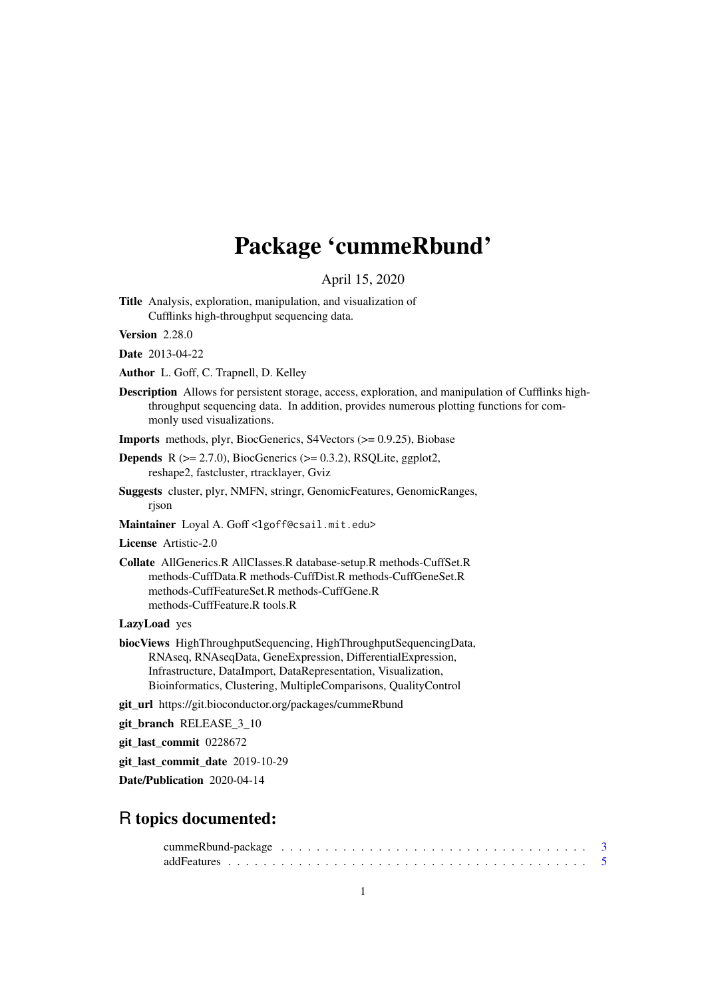# Package 'cummeRbund'

April 15, 2020

Title Analysis, exploration, manipulation, and visualization of Cufflinks high-throughput sequencing data.

Version 2.28.0

Date 2013-04-22

Author L. Goff, C. Trapnell, D. Kelley

Description Allows for persistent storage, access, exploration, and manipulation of Cufflinks highthroughput sequencing data. In addition, provides numerous plotting functions for commonly used visualizations.

Imports methods, plyr, BiocGenerics, S4Vectors (>= 0.9.25), Biobase

**Depends** R  $(>= 2.7.0)$ , BiocGenerics  $(>= 0.3.2)$ , RSQLite, ggplot2, reshape2, fastcluster, rtracklayer, Gviz

Suggests cluster, plyr, NMFN, stringr, GenomicFeatures, GenomicRanges, rjson

Maintainer Loyal A. Goff <lgoff@csail.mit.edu>

License Artistic-2.0

Collate AllGenerics.R AllClasses.R database-setup.R methods-CuffSet.R methods-CuffData.R methods-CuffDist.R methods-CuffGeneSet.R methods-CuffFeatureSet.R methods-CuffGene.R methods-CuffFeature.R tools.R

LazyLoad yes

biocViews HighThroughputSequencing, HighThroughputSequencingData, RNAseq, RNAseqData, GeneExpression, DifferentialExpression, Infrastructure, DataImport, DataRepresentation, Visualization, Bioinformatics, Clustering, MultipleComparisons, QualityControl

git\_url https://git.bioconductor.org/packages/cummeRbund

git\_branch RELEASE\_3\_10

git\_last\_commit 0228672

git last commit date 2019-10-29

Date/Publication 2020-04-14

### R topics documented: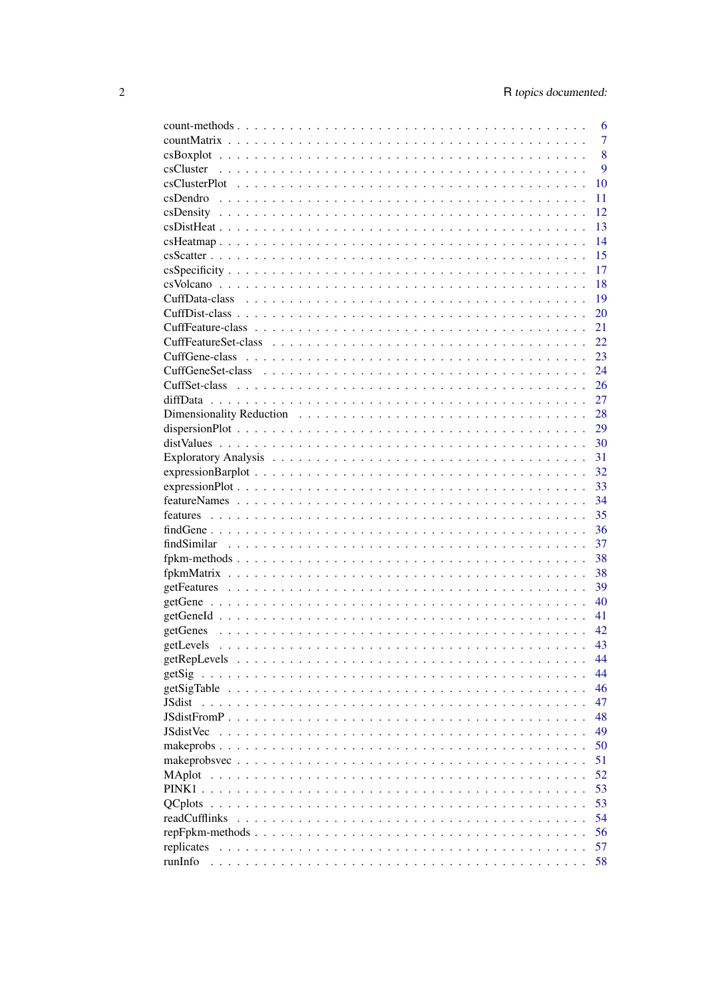| 6                                                                                                                                                                                                                                                                                                                                                                                                                                     |
|---------------------------------------------------------------------------------------------------------------------------------------------------------------------------------------------------------------------------------------------------------------------------------------------------------------------------------------------------------------------------------------------------------------------------------------|
| $\overline{7}$                                                                                                                                                                                                                                                                                                                                                                                                                        |
| 8                                                                                                                                                                                                                                                                                                                                                                                                                                     |
| 9                                                                                                                                                                                                                                                                                                                                                                                                                                     |
| 10                                                                                                                                                                                                                                                                                                                                                                                                                                    |
| 11                                                                                                                                                                                                                                                                                                                                                                                                                                    |
| 12                                                                                                                                                                                                                                                                                                                                                                                                                                    |
| 13                                                                                                                                                                                                                                                                                                                                                                                                                                    |
| 14                                                                                                                                                                                                                                                                                                                                                                                                                                    |
| 15                                                                                                                                                                                                                                                                                                                                                                                                                                    |
| 17                                                                                                                                                                                                                                                                                                                                                                                                                                    |
| 18                                                                                                                                                                                                                                                                                                                                                                                                                                    |
| 19                                                                                                                                                                                                                                                                                                                                                                                                                                    |
| 20                                                                                                                                                                                                                                                                                                                                                                                                                                    |
| 21                                                                                                                                                                                                                                                                                                                                                                                                                                    |
| 22                                                                                                                                                                                                                                                                                                                                                                                                                                    |
| 23                                                                                                                                                                                                                                                                                                                                                                                                                                    |
| 24                                                                                                                                                                                                                                                                                                                                                                                                                                    |
| 26                                                                                                                                                                                                                                                                                                                                                                                                                                    |
| 27                                                                                                                                                                                                                                                                                                                                                                                                                                    |
| 28                                                                                                                                                                                                                                                                                                                                                                                                                                    |
| 29                                                                                                                                                                                                                                                                                                                                                                                                                                    |
| 30                                                                                                                                                                                                                                                                                                                                                                                                                                    |
| 31                                                                                                                                                                                                                                                                                                                                                                                                                                    |
| 32                                                                                                                                                                                                                                                                                                                                                                                                                                    |
| $expressionPlot \n\t\ldots \n\t\ldots \n\t\ldots \n\t\ldots \n\t\ldots \n\t\ldots \n\t\ldots \n\t\ldots \n\t\ldots \n\t\ldots \n\t\ldots \n\t\ldots \n\t\ldots \n\t\ldots \n\t\ldots \n\t\ldots \n\t\ldots \n\t\ldots \n\t\ldots \n\t\ldots \n\t\ldots \n\t\ldots \n\t\ldots \n\t\ldots \n\t\ldots \n\t\ldots \n\t\ldots \n\t\ldots \n\t\ldots \n\t\ldots \n\t\ldots \n\t\ldots \n\t\ldots \n\t\ldots \n\t\ldots \n\t\ldots \n$<br>33 |
| 34                                                                                                                                                                                                                                                                                                                                                                                                                                    |
| 35                                                                                                                                                                                                                                                                                                                                                                                                                                    |
| 36                                                                                                                                                                                                                                                                                                                                                                                                                                    |
| 37                                                                                                                                                                                                                                                                                                                                                                                                                                    |
| 38                                                                                                                                                                                                                                                                                                                                                                                                                                    |
| 38                                                                                                                                                                                                                                                                                                                                                                                                                                    |
| 39                                                                                                                                                                                                                                                                                                                                                                                                                                    |
| 40                                                                                                                                                                                                                                                                                                                                                                                                                                    |
|                                                                                                                                                                                                                                                                                                                                                                                                                                       |
| 41                                                                                                                                                                                                                                                                                                                                                                                                                                    |
| 42<br>getGenes                                                                                                                                                                                                                                                                                                                                                                                                                        |
| getLevels<br>43<br>a constitution of the constitution of the constitution of the constitution of the constitution of the constitution of the constitution of the constitution of the constitution of the constitution of the constitution of the                                                                                                                                                                                      |
| 44                                                                                                                                                                                                                                                                                                                                                                                                                                    |
| 44                                                                                                                                                                                                                                                                                                                                                                                                                                    |
| 46<br>getSigTable                                                                                                                                                                                                                                                                                                                                                                                                                     |
| 47<br>JSdist                                                                                                                                                                                                                                                                                                                                                                                                                          |
| 48                                                                                                                                                                                                                                                                                                                                                                                                                                    |
| <b>JSdistVec</b><br>49                                                                                                                                                                                                                                                                                                                                                                                                                |
| 50                                                                                                                                                                                                                                                                                                                                                                                                                                    |
| 51                                                                                                                                                                                                                                                                                                                                                                                                                                    |
| 52<br>MAplot                                                                                                                                                                                                                                                                                                                                                                                                                          |
| 53                                                                                                                                                                                                                                                                                                                                                                                                                                    |
| 53<br><b>OCplots</b>                                                                                                                                                                                                                                                                                                                                                                                                                  |
| 54<br>readCufflinks                                                                                                                                                                                                                                                                                                                                                                                                                   |
| 56<br>repFpkm-methods                                                                                                                                                                                                                                                                                                                                                                                                                 |
| 57<br>replicates                                                                                                                                                                                                                                                                                                                                                                                                                      |
| runInfo<br>58                                                                                                                                                                                                                                                                                                                                                                                                                         |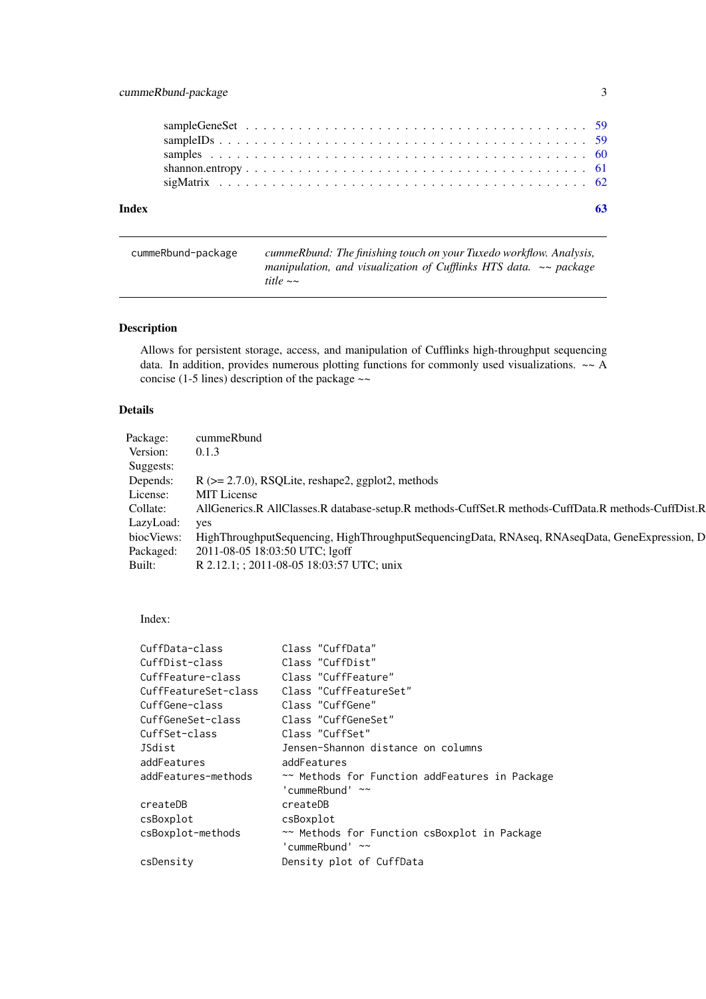### <span id="page-2-0"></span>cummeRbund-package 3

| Index |  |  |  |  |  |  |  |  |  |  |  |  |  |  |  |  |  |  |
|-------|--|--|--|--|--|--|--|--|--|--|--|--|--|--|--|--|--|--|
|       |  |  |  |  |  |  |  |  |  |  |  |  |  |  |  |  |  |  |
|       |  |  |  |  |  |  |  |  |  |  |  |  |  |  |  |  |  |  |
|       |  |  |  |  |  |  |  |  |  |  |  |  |  |  |  |  |  |  |
|       |  |  |  |  |  |  |  |  |  |  |  |  |  |  |  |  |  |  |
|       |  |  |  |  |  |  |  |  |  |  |  |  |  |  |  |  |  |  |

| cummeRbund-package | cummeRbund: The finishing touch on your Tuxedo workflow. Analysis,    |
|--------------------|-----------------------------------------------------------------------|
|                    | manipulation, and visualization of Cufflinks HTS data. $\sim$ package |
|                    | title $\sim$                                                          |

### Description

Allows for persistent storage, access, and manipulation of Cufflinks high-throughput sequencing data. In addition, provides numerous plotting functions for commonly used visualizations. ~~ A concise (1-5 lines) description of the package  $\sim$ 

### Details

| cummeRbund                                                                                                |
|-----------------------------------------------------------------------------------------------------------|
| 0.1.3                                                                                                     |
|                                                                                                           |
| $R$ ( $>= 2.7.0$ ), RSQLite, reshape2, ggplot2, methods                                                   |
| MIT License                                                                                               |
| AllGenerics.R AllClasses.R database-setup.R methods-CuffSet.R methods-CuffData.R methods-CuffDist.R       |
| LazyLoad: yes                                                                                             |
| bioc Views: HighThroughputSequencing, HighThroughputSequencingData, RNAseq, RNAseqData, GeneExpression, D |
| 2011-08-05 18:03:50 UTC; lgoff                                                                            |
| R 2.12.1; ; 2011-08-05 18:03:57 UTC; unix                                                                 |
|                                                                                                           |

### Index:

| Class "CuffData"                               |
|------------------------------------------------|
| Class "CuffDist"                               |
| Class "CuffFeature"                            |
| Class "CuffFeatureSet"                         |
| Class "CuffGene"                               |
| Class "CuffGeneSet"                            |
| Class "CuffSet"                                |
| Jensen-Shannon distance on columns             |
| addFeatures                                    |
| ~~ Methods for Function addFeatures in Package |
| 'cummeRbund' $\sim$                            |
| createDB                                       |
| csBoxplot                                      |
| ~~ Methods for Function csBoxplot in Package   |
| 'cummeRbund' $\sim$                            |
| Density plot of CuffData                       |
|                                                |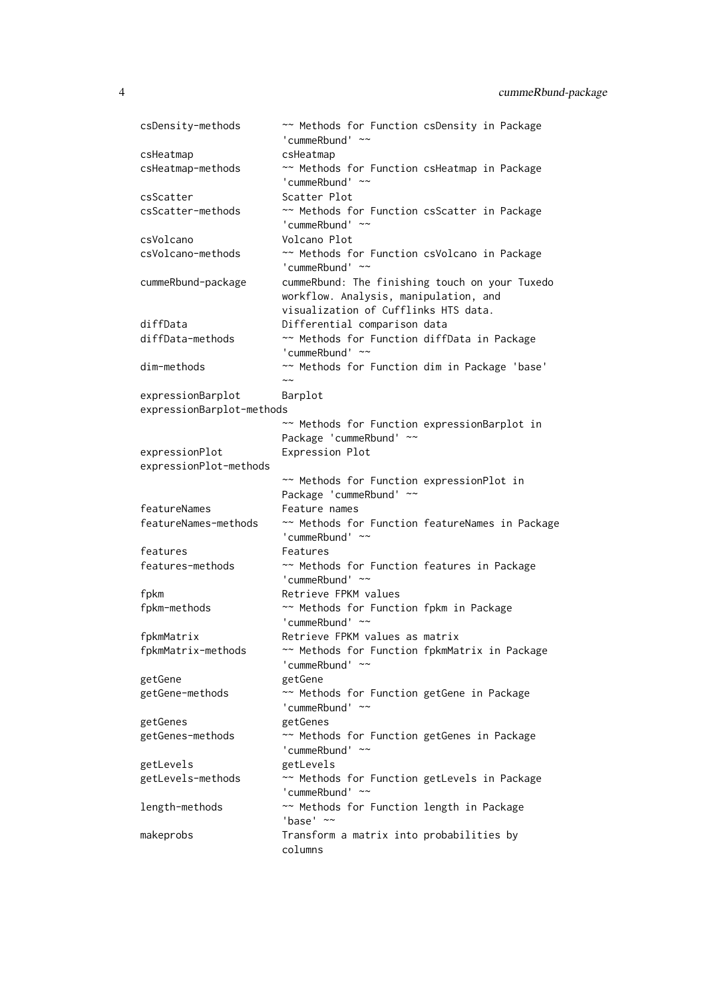```
csDensity-methods ~~ Methods for Function csDensity in Package
                     'cummeRbund' ~~
csHeatmap csHeatmap
csHeatmap-methods ~~ Methods for Function csHeatmap in Package
                     'cummeRbund' ~~
csScatter Scatter Plot
csScatter-methods \sim Methods for Function csScatter in Package
                     'cummeRbund' ~~
csVolcano Volcano Plot
csVolcano-methods ~~ Methods for Function csVolcano in Package
                     'cummeRbund' ~~
cummeRbund-package cummeRbund: The finishing touch on your Tuxedo
                    workflow. Analysis, manipulation, and
                    visualization of Cufflinks HTS data.
diffData Differential comparison data
diffData-methods ~~ Methods for Function diffData in Package
                     'cummeRbund' ~~
dim-methods ~~ Methods for Function dim in Package 'base'
                     \sim \simexpressionBarplot Barplot
expressionBarplot-methods
                     ~~ Methods for Function expressionBarplot in
                    Package 'cummeRbund' ~~
expressionPlot Expression Plot
expressionPlot-methods
                     ~~ Methods for Function expressionPlot in
                    Package 'cummeRbund' ~~
featureNames Feature names
featureNames-methods ~~ Methods for Function featureNames in Package
                     'cummeRbund' ~~
features Features
features-methods ~~ Methods for Function features in Package
                     'cummeRbund' ~~
fpkm Retrieve FPKM values
fpkm-methods ~~ Methods for Function fpkm in Package
                     'cummeRbund' ~~
fpkmMatrix Retrieve FPKM values as matrix
fpkmMatrix-methods ~~ Methods for Function fpkmMatrix in Package
                     'cummeRbund' ~~
getGene getGene
getGene-methods ~~ Methods for Function getGene in Package
                     'cummeRbund' ~~
getGenes getGenes
getGenes-methods \sim Methods for Function getGenes in Package
                     'cummeRbund' ~~
getLevels getLevels
getLevels-methods ~~ Methods for Function getLevels in Package
                     'cummeRbund' ~~
length-methods ~~ Methods for Function length in Package
                     'base' ~\simmakeprobs Transform a matrix into probabilities by
                    columns
```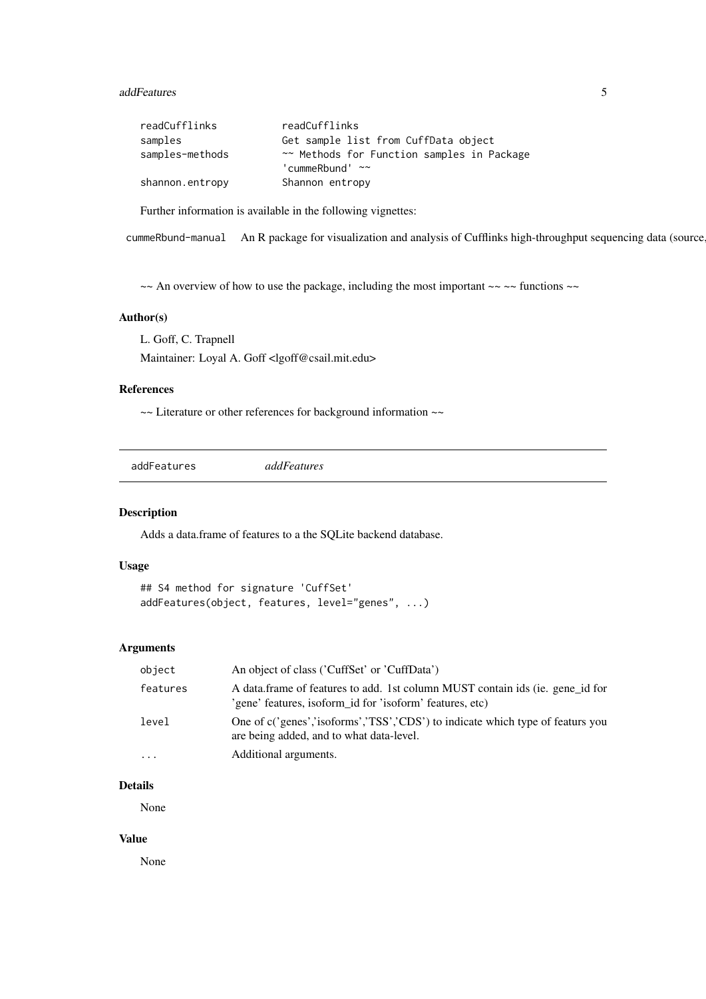#### <span id="page-4-0"></span>addFeatures 5

| readCufflinks   | readCufflinks                              |
|-----------------|--------------------------------------------|
| samples         | Get sample list from CuffData object       |
| samples-methods | ~~ Methods for Function samples in Package |
|                 | 'cummeRbund' $\sim$                        |
| shannon.entropy | Shannon entropy                            |

Further information is available in the following vignettes:

cummeRbund-manual An R package for visualization and analysis of Cufflinks high-throughput sequencing data (source

 $\sim$  An overview of how to use the package, including the most important  $\sim$   $\sim$  functions  $\sim$ 

### Author(s)

L. Goff, C. Trapnell

Maintainer: Loyal A. Goff <lgoff@csail.mit.edu>

#### References

~~ Literature or other references for background information ~~

addFeatures *addFeatures*

### Description

Adds a data.frame of features to a the SQLite backend database.

### Usage

```
## S4 method for signature 'CuffSet'
addFeatures(object, features, level="genes", ...)
```
### Arguments

| object   | An object of class ('CuffSet' or 'CuffData')                                                                                              |
|----------|-------------------------------------------------------------------------------------------------------------------------------------------|
| features | A data frame of features to add. 1st column MUST contain ids (ie. gene id for<br>'gene' features, isoform_id for 'isoform' features, etc) |
| level    | One of c('genes','isoforms','TSS','CDS') to indicate which type of featurs you<br>are being added, and to what data-level.                |
| $\cdot$  | Additional arguments.                                                                                                                     |

#### Details

None

#### Value

None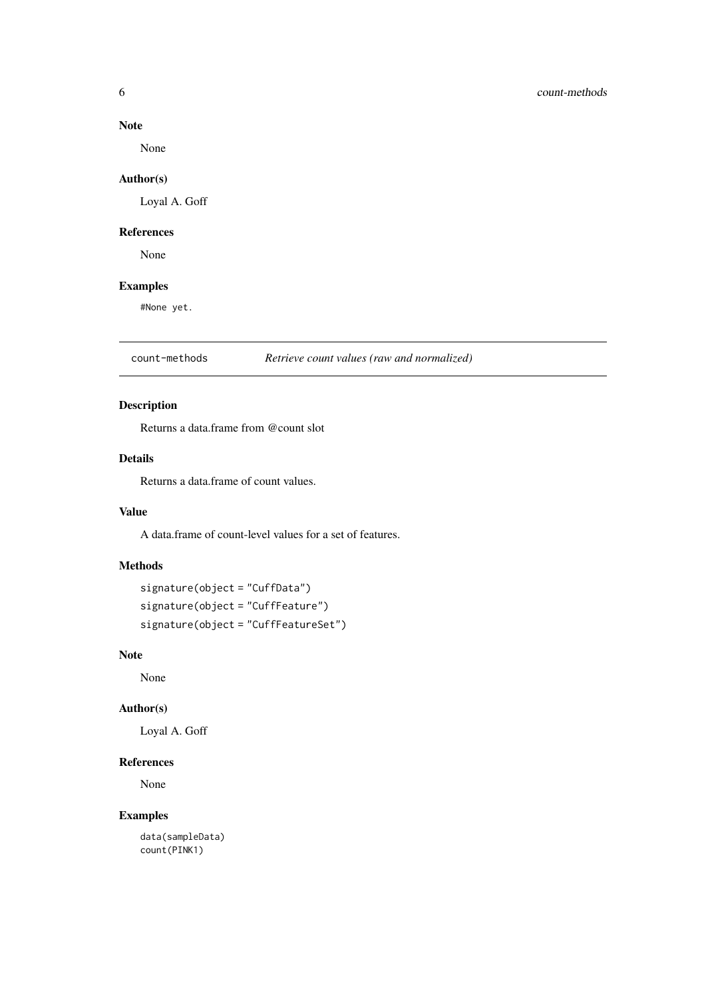#### Note

None

### Author(s)

Loyal A. Goff

### References

None

### Examples

#None yet.

count-methods *Retrieve count values (raw and normalized)*

### Description

Returns a data.frame from @count slot

#### Details

Returns a data.frame of count values.

### Value

A data.frame of count-level values for a set of features.

### Methods

```
signature(object = "CuffData")
signature(object = "CuffFeature")
signature(object = "CuffFeatureSet")
```
### Note

None

#### Author(s)

Loyal A. Goff

### References

None

### Examples

data(sampleData) count(PINK1)

<span id="page-5-0"></span>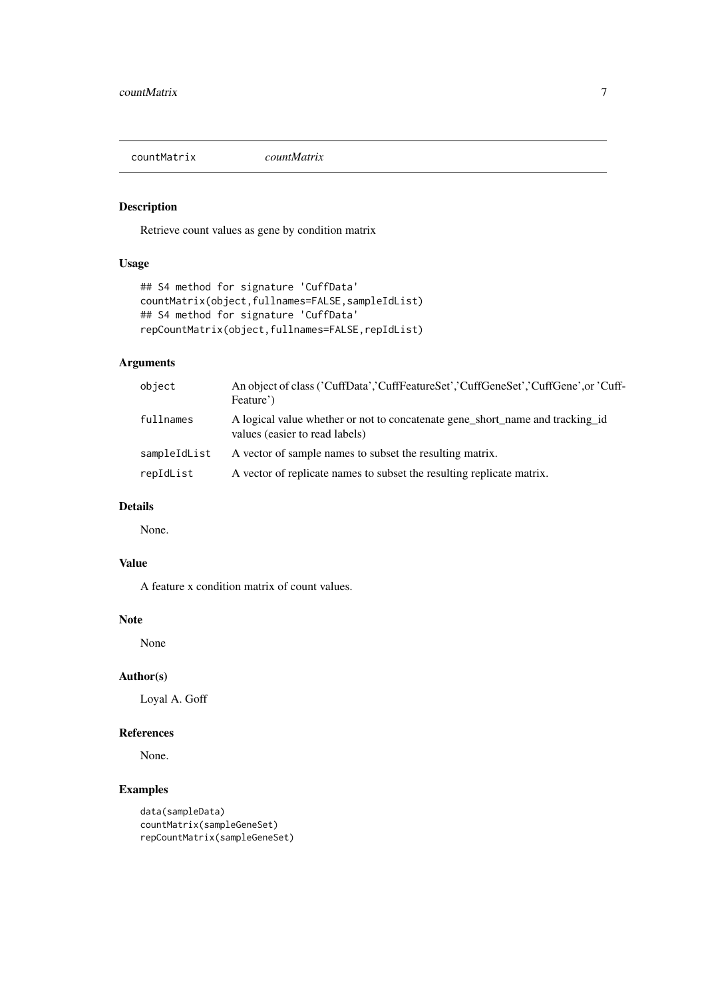<span id="page-6-0"></span>countMatrix *countMatrix*

### Description

Retrieve count values as gene by condition matrix

### Usage

```
## S4 method for signature 'CuffData'
countMatrix(object,fullnames=FALSE,sampleIdList)
## S4 method for signature 'CuffData'
repCountMatrix(object,fullnames=FALSE,repIdList)
```
### Arguments

| object       | An object of class ('CuffData','CuffFeatureSet','CuffGeneSet','CuffGene',or 'Cuff-<br>Feature')                 |
|--------------|-----------------------------------------------------------------------------------------------------------------|
| fullnames    | A logical value whether or not to concatenate gene short name and tracking id<br>values (easier to read labels) |
| sampleIdList | A vector of sample names to subset the resulting matrix.                                                        |
| repIdList    | A vector of replicate names to subset the resulting replicate matrix.                                           |

### Details

None.

### Value

A feature x condition matrix of count values.

### Note

None

#### Author(s)

Loyal A. Goff

#### References

None.

```
data(sampleData)
countMatrix(sampleGeneSet)
repCountMatrix(sampleGeneSet)
```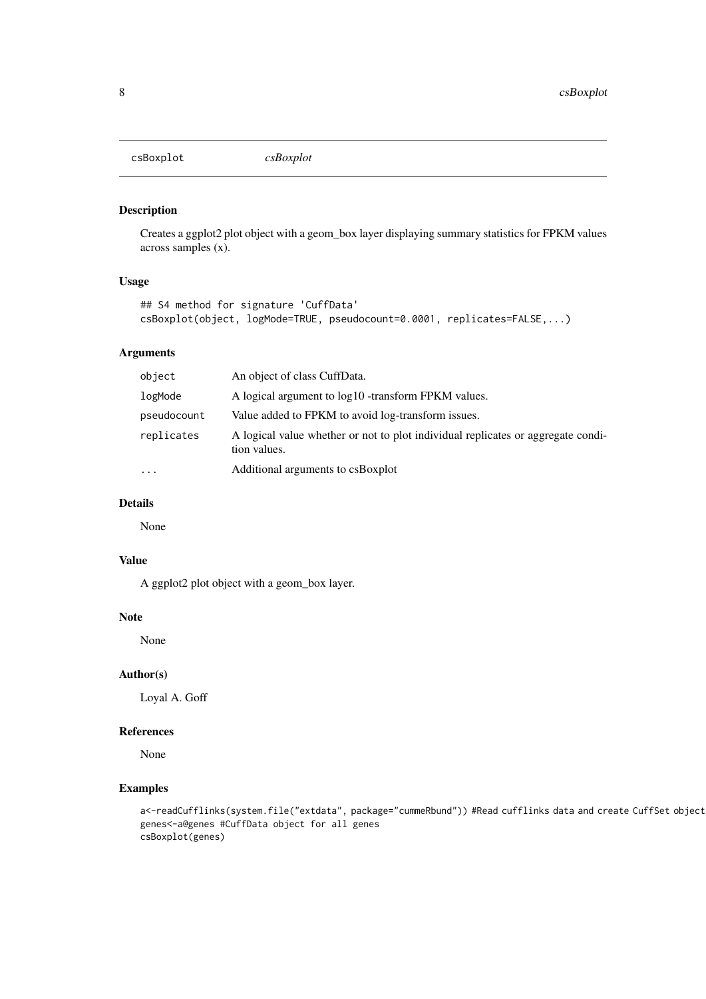<span id="page-7-0"></span>csBoxplot *csBoxplot*

### Description

Creates a ggplot2 plot object with a geom\_box layer displaying summary statistics for FPKM values across samples (x).

### Usage

```
## S4 method for signature 'CuffData'
csBoxplot(object, logMode=TRUE, pseudocount=0.0001, replicates=FALSE,...)
```
### Arguments

| object      | An object of class CuffData.                                                                     |
|-------------|--------------------------------------------------------------------------------------------------|
| logMode     | A logical argument to $log10$ -transform FPKM values.                                            |
| pseudocount | Value added to FPKM to avoid log-transform issues.                                               |
| replicates  | A logical value whether or not to plot individual replicates or aggregate condi-<br>tion values. |
| $\cdots$    | Additional arguments to csBoxplot                                                                |

### Details

None

### Value

A ggplot2 plot object with a geom\_box layer.

### Note

None

### Author(s)

Loyal A. Goff

#### References

None

```
a<-readCufflinks(system.file("extdata", package="cummeRbund")) #Read cufflinks data and create CuffSet object
genes<-a@genes #CuffData object for all genes
csBoxplot(genes)
```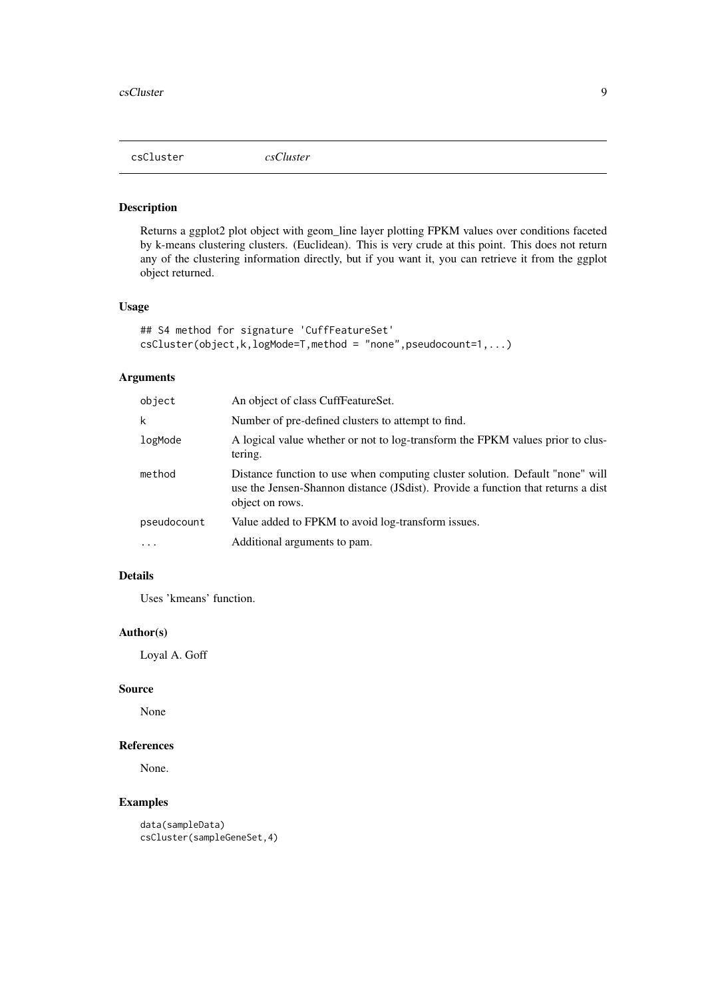<span id="page-8-0"></span>csCluster *csCluster*

### Description

Returns a ggplot2 plot object with geom\_line layer plotting FPKM values over conditions faceted by k-means clustering clusters. (Euclidean). This is very crude at this point. This does not return any of the clustering information directly, but if you want it, you can retrieve it from the ggplot object returned.

#### Usage

```
## S4 method for signature 'CuffFeatureSet'
csCluster(object,k,logMode=T,method = "none",pseudocount=1,...)
```
### Arguments

| object      | An object of class CuffFeatureSet.                                                                                                                                                   |
|-------------|--------------------------------------------------------------------------------------------------------------------------------------------------------------------------------------|
| k           | Number of pre-defined clusters to attempt to find.                                                                                                                                   |
| logMode     | A logical value whether or not to log-transform the FPKM values prior to clus-<br>tering.                                                                                            |
| method      | Distance function to use when computing cluster solution. Default "none" will<br>use the Jensen-Shannon distance (JSdist). Provide a function that returns a dist<br>object on rows. |
| pseudocount | Value added to FPKM to avoid log-transform issues.                                                                                                                                   |
| $\cdot$     | Additional arguments to pam.                                                                                                                                                         |

#### Details

Uses 'kmeans' function.

#### Author(s)

Loyal A. Goff

#### Source

None

### References

None.

### Examples

data(sampleData) csCluster(sampleGeneSet,4)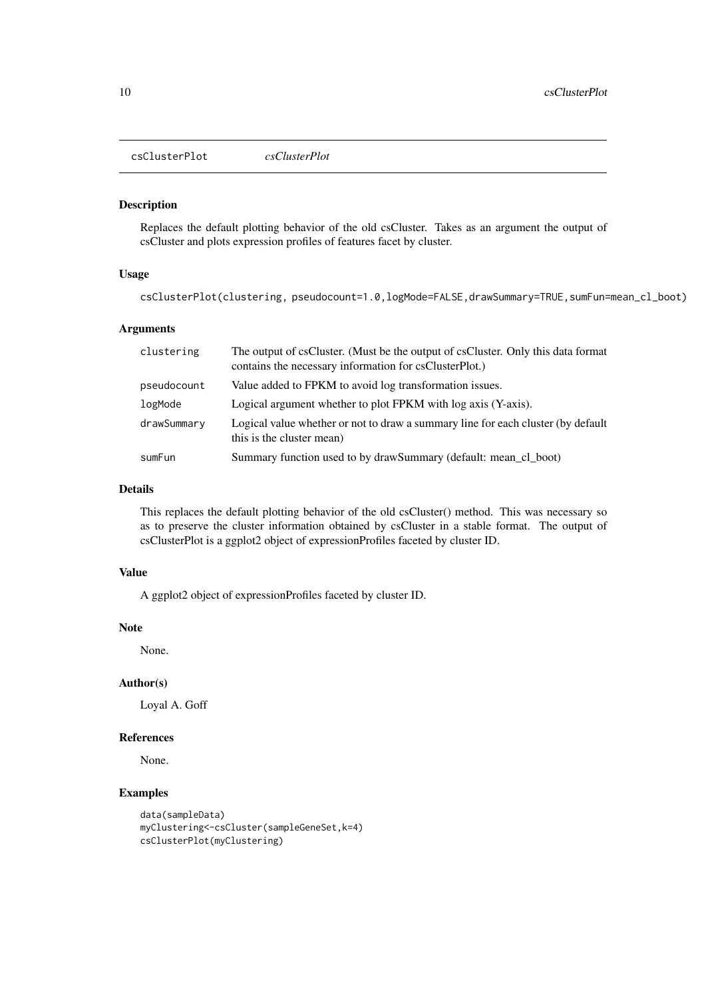<span id="page-9-0"></span>csClusterPlot *csClusterPlot*

#### Description

Replaces the default plotting behavior of the old csCluster. Takes as an argument the output of csCluster and plots expression profiles of features facet by cluster.

### Usage

csClusterPlot(clustering, pseudocount=1.0,logMode=FALSE,drawSummary=TRUE,sumFun=mean\_cl\_boot)

#### Arguments

| clustering  | The output of csCluster. (Must be the output of csCluster. Only this data format<br>contains the necessary information for csClusterPlot.) |
|-------------|--------------------------------------------------------------------------------------------------------------------------------------------|
| pseudocount | Value added to FPKM to avoid log transformation issues.                                                                                    |
| logMode     | Logical argument whether to plot FPKM with log axis (Y-axis).                                                                              |
| drawSummary | Logical value whether or not to draw a summary line for each cluster (by default<br>this is the cluster mean)                              |
| sumFun      | Summary function used to by drawSummary (default: mean_cl_boot)                                                                            |

### Details

This replaces the default plotting behavior of the old csCluster() method. This was necessary so as to preserve the cluster information obtained by csCluster in a stable format. The output of csClusterPlot is a ggplot2 object of expressionProfiles faceted by cluster ID.

#### Value

A ggplot2 object of expressionProfiles faceted by cluster ID.

#### Note

None.

#### Author(s)

Loyal A. Goff

#### References

None.

```
data(sampleData)
myClustering<-csCluster(sampleGeneSet,k=4)
csClusterPlot(myClustering)
```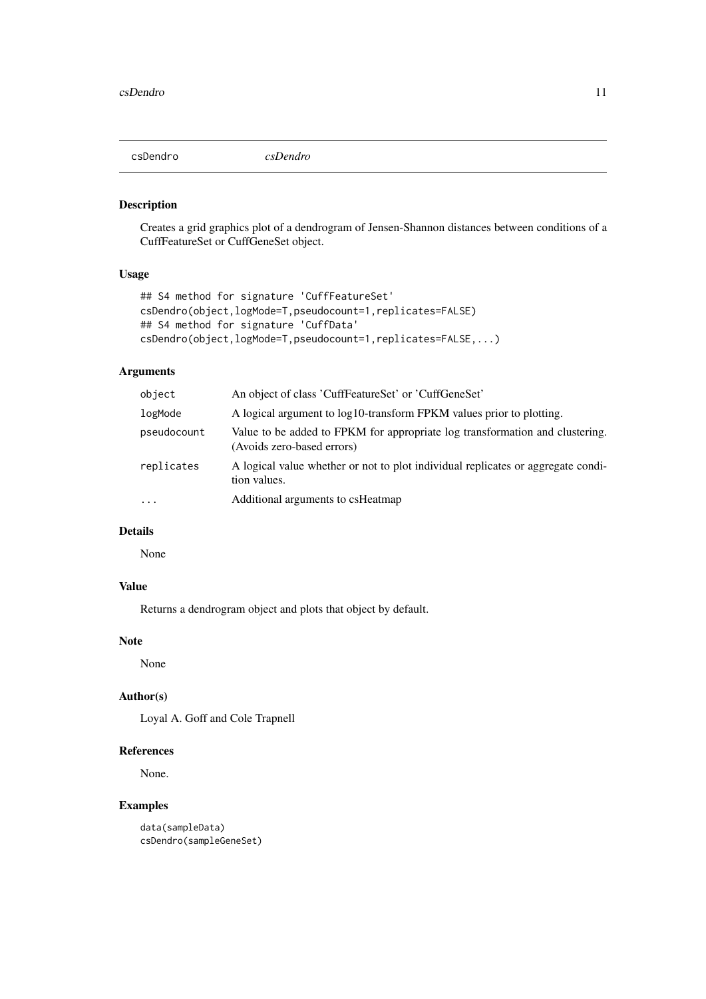<span id="page-10-0"></span>csDendro *csDendro*

### Description

Creates a grid graphics plot of a dendrogram of Jensen-Shannon distances between conditions of a CuffFeatureSet or CuffGeneSet object.

### Usage

```
## S4 method for signature 'CuffFeatureSet'
csDendro(object,logMode=T,pseudocount=1,replicates=FALSE)
## S4 method for signature 'CuffData'
csDendro(object,logMode=T,pseudocount=1,replicates=FALSE,...)
```
### Arguments

| object      | An object of class 'CuffFeatureSet' or 'CuffGeneSet'                                                       |
|-------------|------------------------------------------------------------------------------------------------------------|
| logMode     | A logical argument to log10-transform FPKM values prior to plotting.                                       |
| pseudocount | Value to be added to FPKM for appropriate log transformation and clustering.<br>(Avoids zero-based errors) |
| replicates  | A logical value whether or not to plot individual replicates or aggregate condi-<br>tion values.           |
| $\ddotsc$   | Additional arguments to csHeatmap                                                                          |

### Details

None

### Value

Returns a dendrogram object and plots that object by default.

#### Note

None

### Author(s)

Loyal A. Goff and Cole Trapnell

### References

None.

### Examples

data(sampleData) csDendro(sampleGeneSet)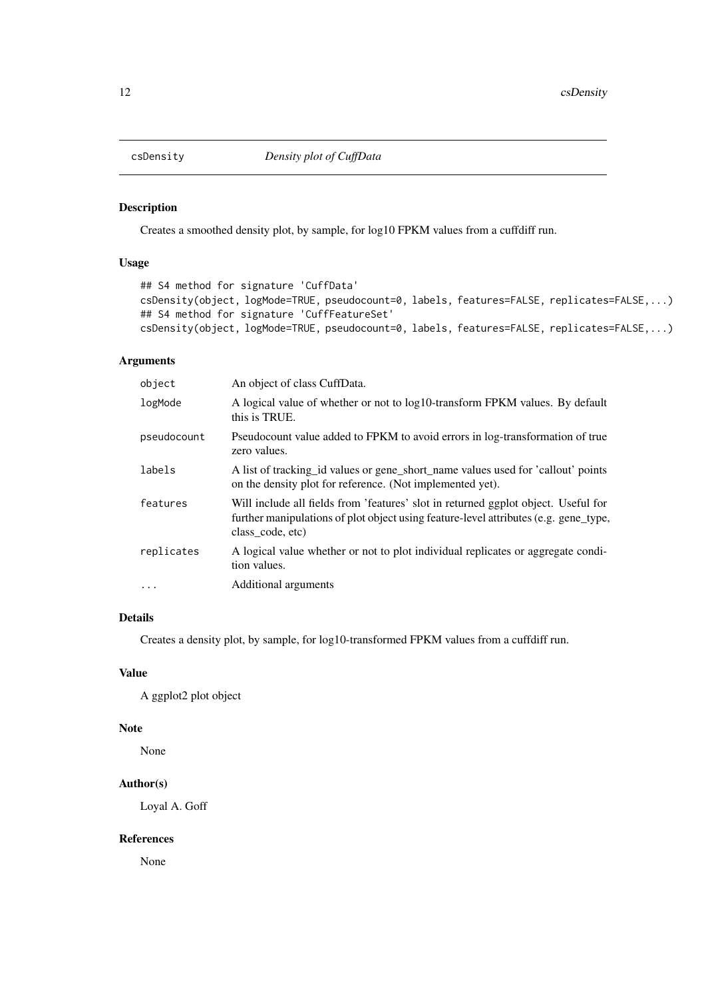<span id="page-11-0"></span>

### Description

Creates a smoothed density plot, by sample, for log10 FPKM values from a cuffdiff run.

### Usage

```
## S4 method for signature 'CuffData'
csDensity(object, logMode=TRUE, pseudocount=0, labels, features=FALSE, replicates=FALSE,...)
## S4 method for signature 'CuffFeatureSet'
csDensity(object, logMode=TRUE, pseudocount=0, labels, features=FALSE, replicates=FALSE,...)
```
#### Arguments

| object      | An object of class CuffData.                                                                                                                                                                   |
|-------------|------------------------------------------------------------------------------------------------------------------------------------------------------------------------------------------------|
| logMode     | A logical value of whether or not to log10-transform FPKM values. By default<br>this is TRUE.                                                                                                  |
| pseudocount | Pseudocount value added to FPKM to avoid errors in log-transformation of true<br>zero values.                                                                                                  |
| labels      | A list of tracking id values or gene short name values used for 'callout' points<br>on the density plot for reference. (Not implemented yet).                                                  |
| features    | Will include all fields from 'features' slot in returned ggplot object. Useful for<br>further manipulations of plot object using feature-level attributes (e.g. gene_type,<br>class code, etc) |
| replicates  | A logical value whether or not to plot individual replicates or aggregate condi-<br>tion values.                                                                                               |
| $\ddotsc$   | Additional arguments                                                                                                                                                                           |

#### Details

Creates a density plot, by sample, for log10-transformed FPKM values from a cuffdiff run.

#### Value

A ggplot2 plot object

#### Note

None

#### Author(s)

Loyal A. Goff

#### References

None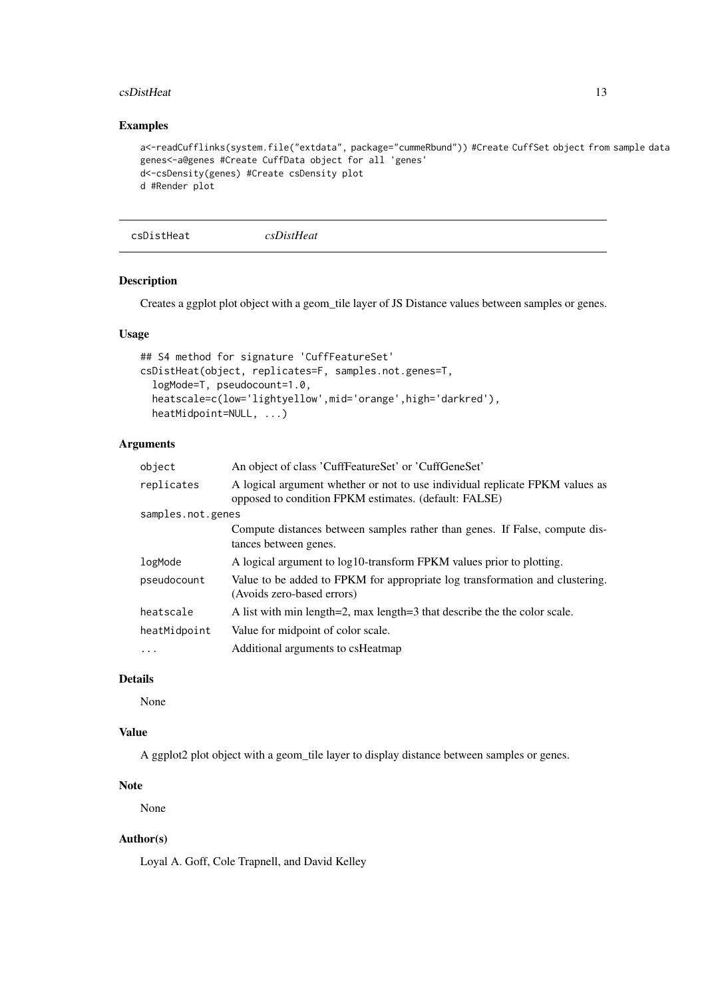#### <span id="page-12-0"></span> $\text{c}$ sDistHeat 13

### Examples

```
a<-readCufflinks(system.file("extdata", package="cummeRbund")) #Create CuffSet object from sample data
genes<-a@genes #Create CuffData object for all 'genes'
d<-csDensity(genes) #Create csDensity plot
d #Render plot
```

```
csDistHeat csDistHeat
```
### Description

Creates a ggplot plot object with a geom\_tile layer of JS Distance values between samples or genes.

### Usage

```
## S4 method for signature 'CuffFeatureSet'
csDistHeat(object, replicates=F, samples.not.genes=T,
  logMode=T, pseudocount=1.0,
  heatscale=c(low='lightyellow',mid='orange',high='darkred'),
  heatMidpoint=NULL, ...)
```
### Arguments

| object            | An object of class 'CuffFeatureSet' or 'CuffGeneSet'                                                                                  |  |
|-------------------|---------------------------------------------------------------------------------------------------------------------------------------|--|
| replicates        | A logical argument whether or not to use individual replicate FPKM values as<br>opposed to condition FPKM estimates. (default: FALSE) |  |
| samples.not.genes |                                                                                                                                       |  |
|                   | Compute distances between samples rather than genes. If False, compute dis-<br>tances between genes.                                  |  |
| logMode           | A logical argument to log10-transform FPKM values prior to plotting.                                                                  |  |
| pseudocount       | Value to be added to FPKM for appropriate log transformation and clustering.<br>(Avoids zero-based errors)                            |  |
| heatscale         | A list with min length=2, max length=3 that describe the the color scale.                                                             |  |
| heatMidpoint      | Value for midpoint of color scale.                                                                                                    |  |
| $\cdot$           | Additional arguments to csHeatmap                                                                                                     |  |

### Details

None

### Value

A ggplot2 plot object with a geom\_tile layer to display distance between samples or genes.

#### Note

None

### Author(s)

Loyal A. Goff, Cole Trapnell, and David Kelley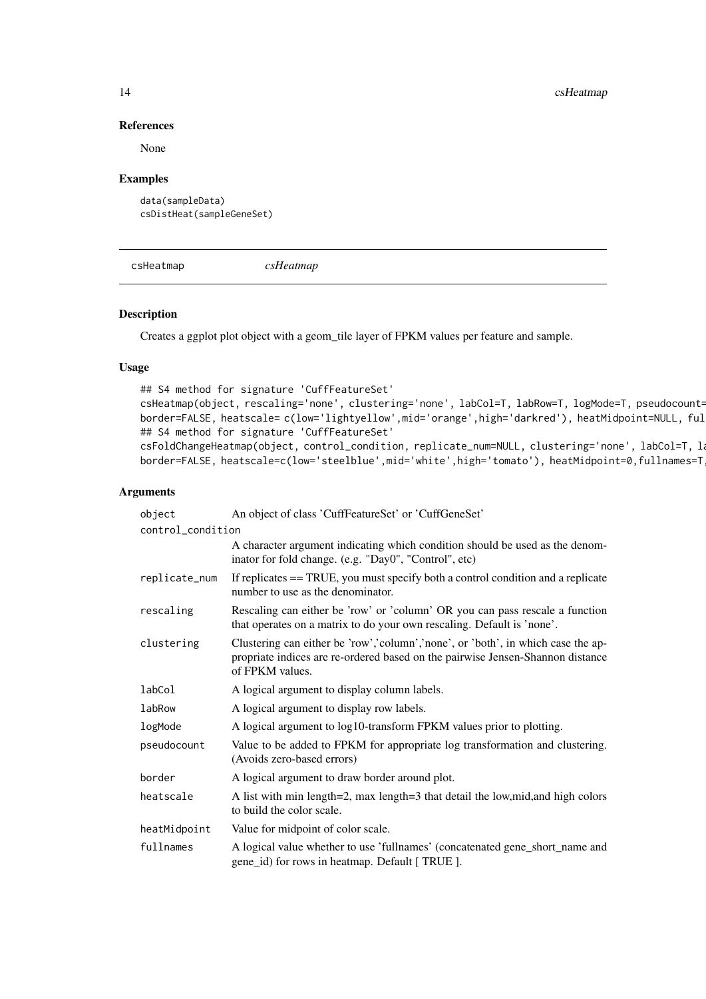14 csHeatmap csHeatmap csHeatmap csHeatmap csHeatmap csHeatmap csHeatmap csHeatmap csHeatmap csHeatmap csHeatmap csHeatmap csHeatmap csHeatmap csHeatmap csHeatmap csHeatmap csHeatmap csHeatmap csHeatmap csHeatmap csHeatmap

#### References

None

### Examples

```
data(sampleData)
csDistHeat(sampleGeneSet)
```
csHeatmap *csHeatmap*

#### Description

Creates a ggplot plot object with a geom\_tile layer of FPKM values per feature and sample.

#### Usage

```
## S4 method for signature 'CuffFeatureSet'
csHeatmap(object, rescaling='none', clustering='none', labCol=T, labRow=T, logMode=T, pseudocount=
border=FALSE, heatscale= c(low='lightyellow',mid='orange',high='darkred'), heatMidpoint=NULL, ful
## S4 method for signature 'CuffFeatureSet'
csFoldChangeHeatmap(object, control_condition, replicate_num=NULL, clustering='none', labCol=T, log
border=FALSE, heatscale=c(low='steelblue',mid='white',high='tomato'), heatMidpoint=0,fullnames=T
```
#### Arguments

| object            | An object of class 'CuffFeatureSet' or 'CuffGeneSet'                                                                                                                                  |  |
|-------------------|---------------------------------------------------------------------------------------------------------------------------------------------------------------------------------------|--|
| control_condition |                                                                                                                                                                                       |  |
|                   | A character argument indicating which condition should be used as the denom-<br>inator for fold change. (e.g. "Day0", "Control", etc)                                                 |  |
| replicate_num     | If replicates == TRUE, you must specify both a control condition and a replicate<br>number to use as the denominator.                                                                 |  |
| rescaling         | Rescaling can either be 'row' or 'column' OR you can pass rescale a function<br>that operates on a matrix to do your own rescaling. Default is 'none'.                                |  |
| clustering        | Clustering can either be 'row','column','none', or 'both', in which case the ap-<br>propriate indices are re-ordered based on the pairwise Jensen-Shannon distance<br>of FPKM values. |  |
| labCol            | A logical argument to display column labels.                                                                                                                                          |  |
| labRow            | A logical argument to display row labels.                                                                                                                                             |  |
| logMode           | A logical argument to log10-transform FPKM values prior to plotting.                                                                                                                  |  |
| pseudocount       | Value to be added to FPKM for appropriate log transformation and clustering.<br>(Avoids zero-based errors)                                                                            |  |
| border            | A logical argument to draw border around plot.                                                                                                                                        |  |
| heatscale         | A list with min length=2, max length=3 that detail the low, mid, and high colors<br>to build the color scale.                                                                         |  |
| heatMidpoint      | Value for midpoint of color scale.                                                                                                                                                    |  |
| fullnames         | A logical value whether to use 'fullnames' (concatenated gene_short_name and<br>gene_id) for rows in heatmap. Default [TRUE ].                                                        |  |

<span id="page-13-0"></span>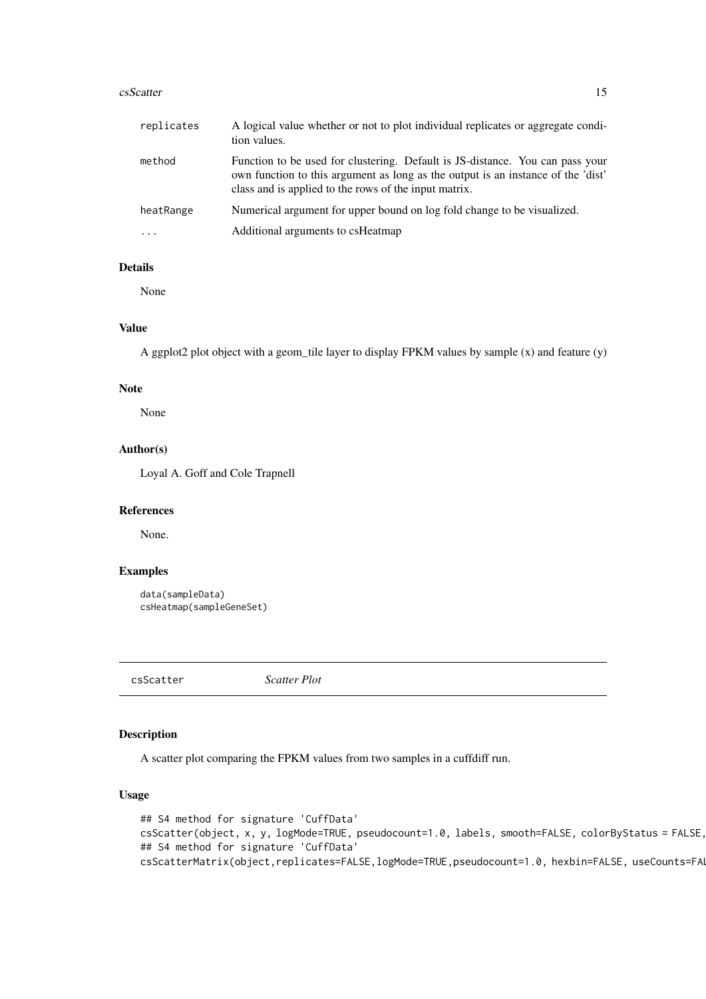#### <span id="page-14-0"></span>csScatter 15

| replicates | A logical value whether or not to plot individual replicates or aggregate condi-<br>tion values.                                                                                                                           |  |
|------------|----------------------------------------------------------------------------------------------------------------------------------------------------------------------------------------------------------------------------|--|
| method     | Function to be used for clustering. Default is JS-distance. You can pass your<br>own function to this argument as long as the output is an instance of the 'dist'<br>class and is applied to the rows of the input matrix. |  |
| heatRange  | Numerical argument for upper bound on log fold change to be visualized.                                                                                                                                                    |  |
| $\ddotsc$  | Additional arguments to csHeatmap                                                                                                                                                                                          |  |

### Details

None

### Value

A ggplot2 plot object with a geom\_tile layer to display FPKM values by sample (x) and feature (y)

#### Note

None

### Author(s)

Loyal A. Goff and Cole Trapnell

#### References

None.

### Examples

```
data(sampleData)
csHeatmap(sampleGeneSet)
```
csScatter *Scatter Plot*

#### Description

A scatter plot comparing the FPKM values from two samples in a cuffdiff run.

#### Usage

```
## S4 method for signature 'CuffData'
csScatter(object, x, y, logMode=TRUE, pseudocount=1.0, labels, smooth=FALSE, colorByStatus = FALSE,
## S4 method for signature 'CuffData'
csScatterMatrix(object,replicates=FALSE,logMode=TRUE,pseudocount=1.0, hexbin=FALSE, useCounts=FA
```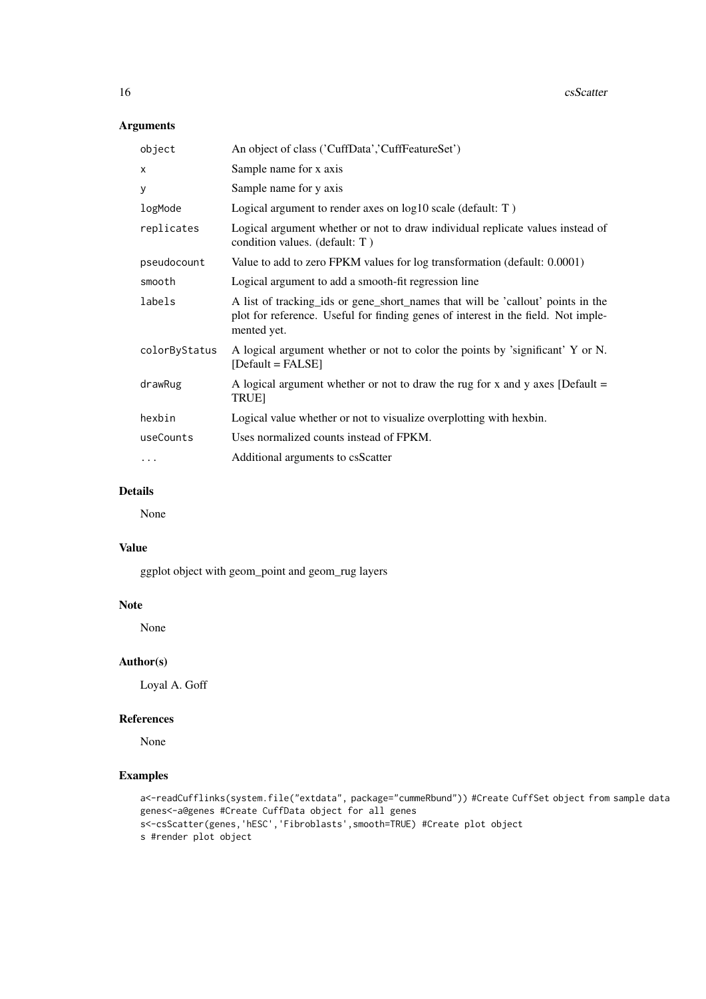### Arguments

| An object of class ('CuffData','CuffFeatureSet')                                                                                                                                    |  |
|-------------------------------------------------------------------------------------------------------------------------------------------------------------------------------------|--|
| Sample name for x axis                                                                                                                                                              |  |
| Sample name for y axis                                                                                                                                                              |  |
| Logical argument to render axes on log10 scale (default: T)                                                                                                                         |  |
| Logical argument whether or not to draw individual replicate values instead of<br>condition values. (default: T)                                                                    |  |
| Value to add to zero FPKM values for log transformation (default: 0.0001)                                                                                                           |  |
| Logical argument to add a smooth-fit regression line                                                                                                                                |  |
| A list of tracking ids or gene short names that will be 'callout' points in the<br>plot for reference. Useful for finding genes of interest in the field. Not imple-<br>mented yet. |  |
| A logical argument whether or not to color the points by 'significant' Y or N.<br>$[Default = FALSE]$                                                                               |  |
| A logical argument whether or not to draw the rug for x and y axes [Default $=$<br><b>TRUE</b>                                                                                      |  |
| Logical value whether or not to visualize overplotting with hexbin.                                                                                                                 |  |
| Uses normalized counts instead of FPKM.                                                                                                                                             |  |
| Additional arguments to csScatter                                                                                                                                                   |  |
|                                                                                                                                                                                     |  |

### Details

None

#### Value

ggplot object with geom\_point and geom\_rug layers

### Note

None

### Author(s)

Loyal A. Goff

#### References

None

```
a<-readCufflinks(system.file("extdata", package="cummeRbund")) #Create CuffSet object from sample data
genes<-a@genes #Create CuffData object for all genes
s<-csScatter(genes,'hESC','Fibroblasts',smooth=TRUE) #Create plot object
s #render plot object
```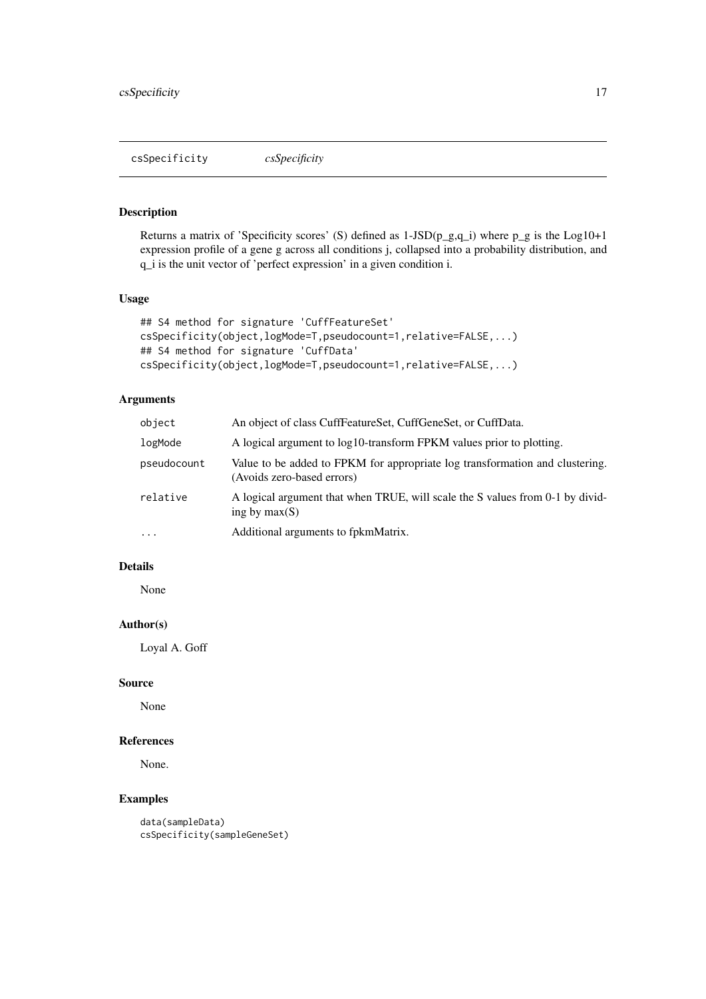<span id="page-16-0"></span>csSpecificity *csSpecificity*

#### Description

Returns a matrix of 'Specificity scores' (S) defined as  $1-JSD(p_g,q_i)$  where  $p_g$  is the Log10+1 expression profile of a gene g across all conditions j, collapsed into a probability distribution, and q\_i is the unit vector of 'perfect expression' in a given condition i.

#### Usage

```
## S4 method for signature 'CuffFeatureSet'
csSpecificity(object,logMode=T,pseudocount=1,relative=FALSE,...)
## S4 method for signature 'CuffData'
csSpecificity(object,logMode=T,pseudocount=1,relative=FALSE,...)
```
#### Arguments

| object      | An object of class CuffFeatureSet, CuffGeneSet, or CuffData.                                               |  |
|-------------|------------------------------------------------------------------------------------------------------------|--|
| logMode     | A logical argument to log10-transform FPKM values prior to plotting.                                       |  |
| pseudocount | Value to be added to FPKM for appropriate log transformation and clustering.<br>(Avoids zero-based errors) |  |
| relative    | A logical argument that when TRUE, will scale the S values from 0-1 by divid-<br>ing by $max(S)$           |  |
| .           | Additional arguments to fpkmMatrix.                                                                        |  |

### Details

None

#### Author(s)

Loyal A. Goff

#### Source

None

#### References

None.

### Examples

data(sampleData) csSpecificity(sampleGeneSet)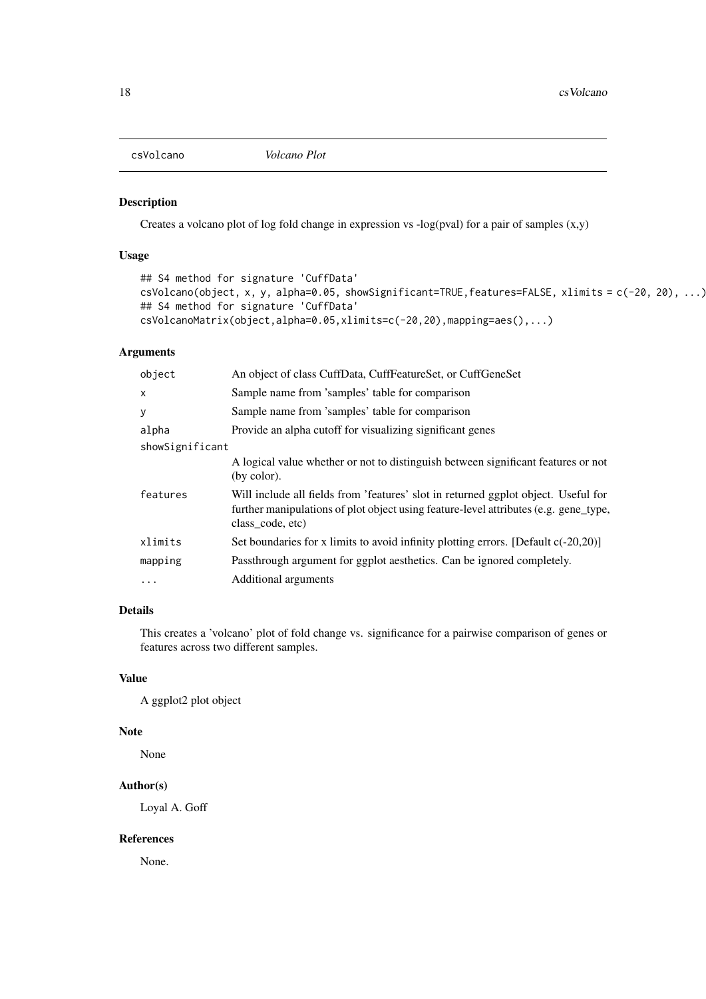<span id="page-17-0"></span>csVolcano *Volcano Plot*

### Description

Creates a volcano plot of log fold change in expression vs -log(pval) for a pair of samples (x,y)

### Usage

```
## S4 method for signature 'CuffData'
csVolcano(object, x, y, alpha=0.05, showSignificant=TRUE,features=FALSE, xlimits = c(-20, 20), ...)
## S4 method for signature 'CuffData'
csVolcanoMatrix(object,alpha=0.05,xlimits=c(-20,20),mapping=aes(),...)
```
#### Arguments

| object          | An object of class CuffData, CuffFeatureSet, or CuffGeneSet                                                                                                                                    |  |
|-----------------|------------------------------------------------------------------------------------------------------------------------------------------------------------------------------------------------|--|
| $\mathsf{x}$    | Sample name from 'samples' table for comparison                                                                                                                                                |  |
| y               | Sample name from 'samples' table for comparison                                                                                                                                                |  |
| alpha           | Provide an alpha cutoff for visualizing significant genes                                                                                                                                      |  |
| showSignificant |                                                                                                                                                                                                |  |
|                 | A logical value whether or not to distinguish between significant features or not<br>(by color).                                                                                               |  |
| features        | Will include all fields from 'features' slot in returned ggplot object. Useful for<br>further manipulations of plot object using feature-level attributes (e.g. gene_type,<br>class code, etc) |  |
| xlimits         | Set boundaries for x limits to avoid infinity plotting errors. [Default $c(-20,20)$ ]                                                                                                          |  |
| mapping         | Passthrough argument for ggplot aesthetics. Can be ignored completely.                                                                                                                         |  |
| $\cdot$         | Additional arguments                                                                                                                                                                           |  |
|                 |                                                                                                                                                                                                |  |

### Details

This creates a 'volcano' plot of fold change vs. significance for a pairwise comparison of genes or features across two different samples.

### Value

A ggplot2 plot object

### Note

None

### Author(s)

Loyal A. Goff

#### References

None.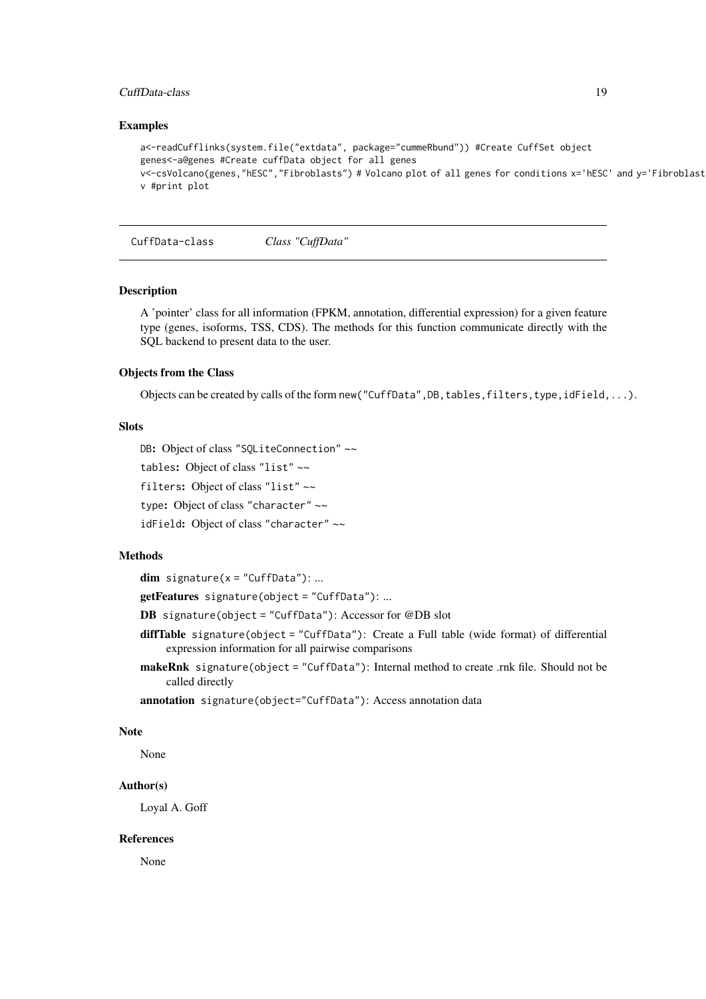#### <span id="page-18-0"></span>CuffData-class 19

#### Examples

```
a<-readCufflinks(system.file("extdata", package="cummeRbund")) #Create CuffSet object
genes<-a@genes #Create cuffData object for all genes
v<-csVolcano(genes,"hESC","Fibroblasts") # Volcano plot of all genes for conditions x='hESC' and y='Fibroblast'
v #print plot
```
CuffData-class *Class "CuffData"*

#### Description

A 'pointer' class for all information (FPKM, annotation, differential expression) for a given feature type (genes, isoforms, TSS, CDS). The methods for this function communicate directly with the SQL backend to present data to the user.

#### Objects from the Class

Objects can be created by calls of the form new ("CuffData", DB, tables, filters, type, idField,...).

### Slots

DB: Object of class "SQLiteConnection" ~~

tables: Object of class "list" ~~

filters: Object of class "list" ~~

type: Object of class "character" ~~

idField: Object of class "character" ~~

#### Methods

 $dim$  signature( $x = "CuffData")$ : ...

getFeatures signature(object = "CuffData"): ...

- DB signature(object = "CuffData"): Accessor for @DB slot
- diffTable signature(object = "CuffData"): Create a Full table (wide format) of differential expression information for all pairwise comparisons
- makeRnk signature(object = "CuffData"): Internal method to create .rnk file. Should not be called directly

annotation signature(object="CuffData"): Access annotation data

#### Note

None

#### Author(s)

Loyal A. Goff

#### References

None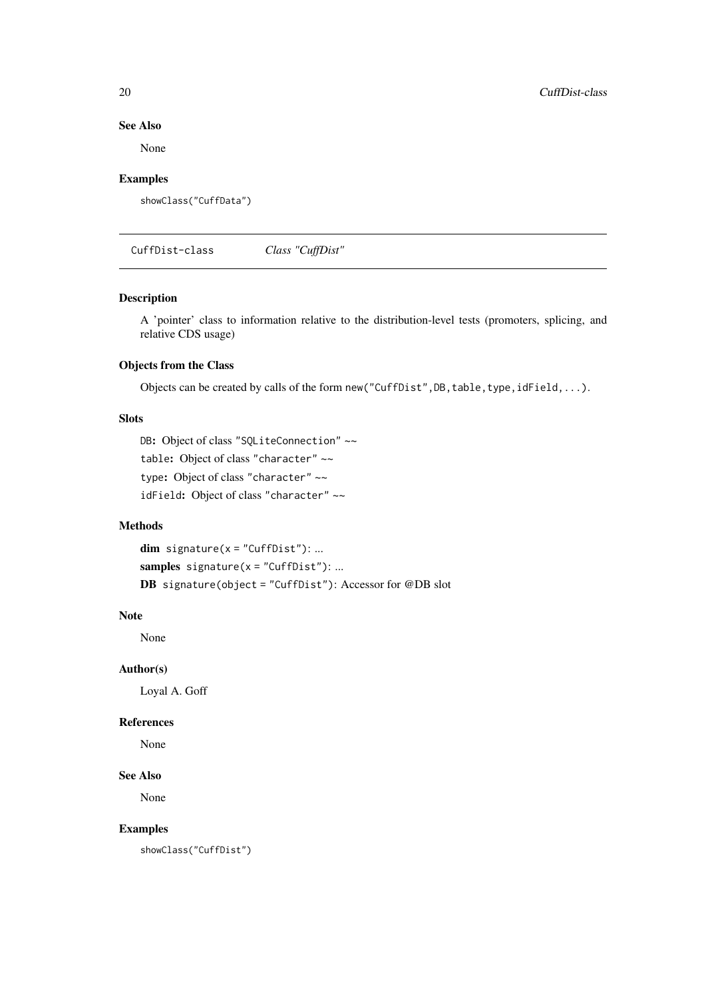#### See Also

None

### Examples

showClass("CuffData")

CuffDist-class *Class "CuffDist"*

### Description

A 'pointer' class to information relative to the distribution-level tests (promoters, splicing, and relative CDS usage)

### Objects from the Class

Objects can be created by calls of the form new("CuffDist",DB,table,type,idField,...).

### Slots

```
DB: Object of class "SQLiteConnection" ~~
table: Object of class "character" ~~
type: Object of class "character" ~~
idField: Object of class "character" ~~
```
### Methods

 $dim$  signature(x = "CuffDist"): ... samples  $signature(x = "CuffDist")$ : ... DB signature(object = "CuffDist"): Accessor for @DB slot

### Note

None

#### Author(s)

Loyal A. Goff

#### References

None

### See Also

None

#### Examples

showClass("CuffDist")

<span id="page-19-0"></span>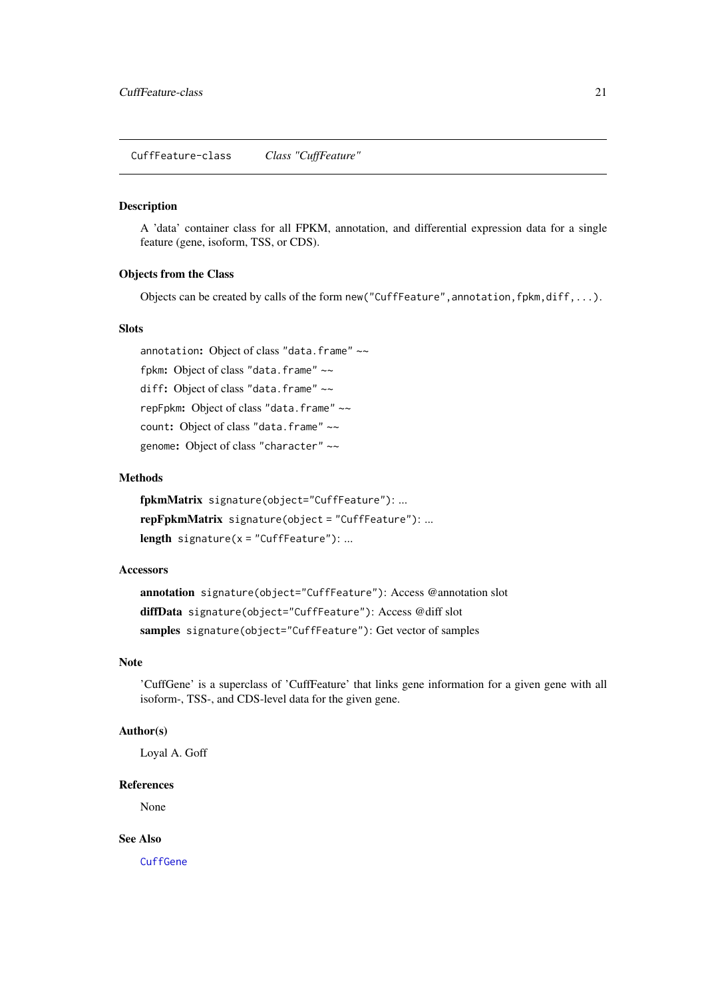<span id="page-20-1"></span><span id="page-20-0"></span>CuffFeature-class *Class "CuffFeature"*

#### Description

A 'data' container class for all FPKM, annotation, and differential expression data for a single feature (gene, isoform, TSS, or CDS).

### Objects from the Class

Objects can be created by calls of the form new ("CuffFeature", annotation,  $fpkm, diff,...)$ .

#### Slots

annotation: Object of class "data.frame" ~~ fpkm: Object of class "data.frame" ~~ diff: Object of class "data.frame" ~~ repFpkm: Object of class "data.frame" ~~ count: Object of class "data.frame" ~~ genome: Object of class "character" ~~

### Methods

fpkmMatrix signature(object="CuffFeature"): ... repFpkmMatrix signature(object = "CuffFeature"): ... length signature( $x =$ "CuffFeature"): ...

#### Accessors

annotation signature(object="CuffFeature"): Access @annotation slot diffData signature(object="CuffFeature"): Access @diff slot samples signature(object="CuffFeature"): Get vector of samples

#### Note

'CuffGene' is a superclass of 'CuffFeature' that links gene information for a given gene with all isoform-, TSS-, and CDS-level data for the given gene.

#### Author(s)

Loyal A. Goff

#### References

None

### See Also

**[CuffGene](#page-22-1)**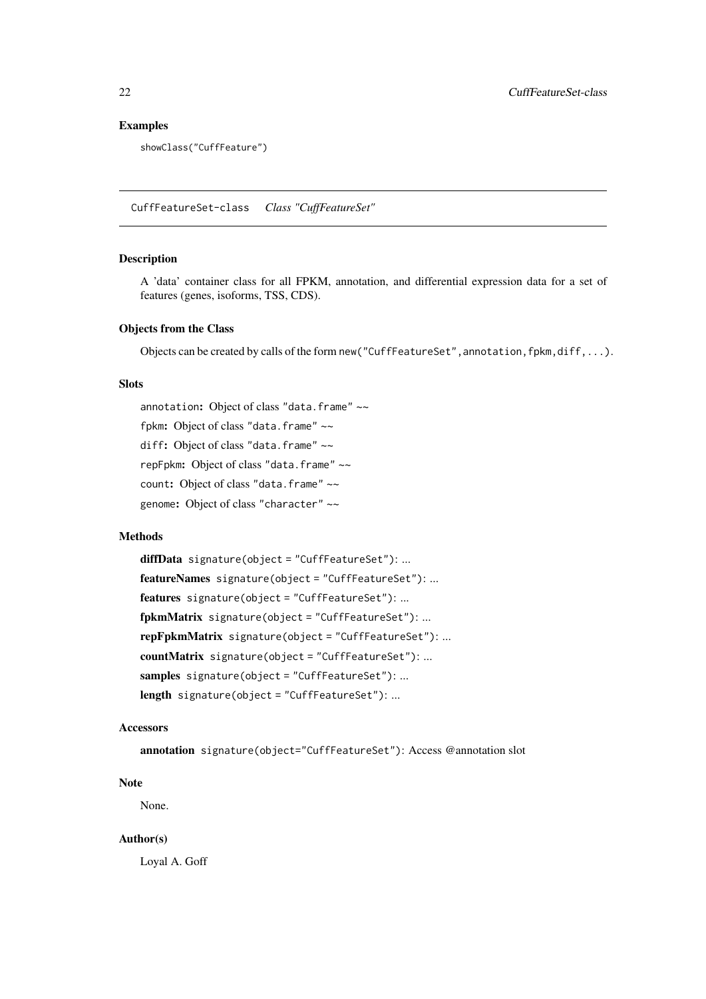#### Examples

showClass("CuffFeature")

<span id="page-21-1"></span>CuffFeatureSet-class *Class "CuffFeatureSet"*

#### Description

A 'data' container class for all FPKM, annotation, and differential expression data for a set of features (genes, isoforms, TSS, CDS).

#### Objects from the Class

Objects can be created by calls of the form new ("CuffFeatureSet", annotation, fpkm, diff,...).

### Slots

annotation: Object of class "data.frame" ~~ fpkm: Object of class "data.frame" ~~ diff: Object of class "data.frame" ~~ repFpkm: Object of class "data.frame" ~~ count: Object of class "data.frame" ~~ genome: Object of class "character" ~~

#### Methods

diffData signature(object = "CuffFeatureSet"): ... featureNames signature(object = "CuffFeatureSet"): ... features signature(object = "CuffFeatureSet"): ... fpkmMatrix signature(object = "CuffFeatureSet"): ... repFpkmMatrix signature(object = "CuffFeatureSet"): ... countMatrix signature(object = "CuffFeatureSet"): ... samples signature(object = "CuffFeatureSet"): ... length signature(object = "CuffFeatureSet"): ...

#### Accessors

annotation signature(object="CuffFeatureSet"): Access @annotation slot

#### Note

None.

#### Author(s)

Loyal A. Goff

<span id="page-21-0"></span>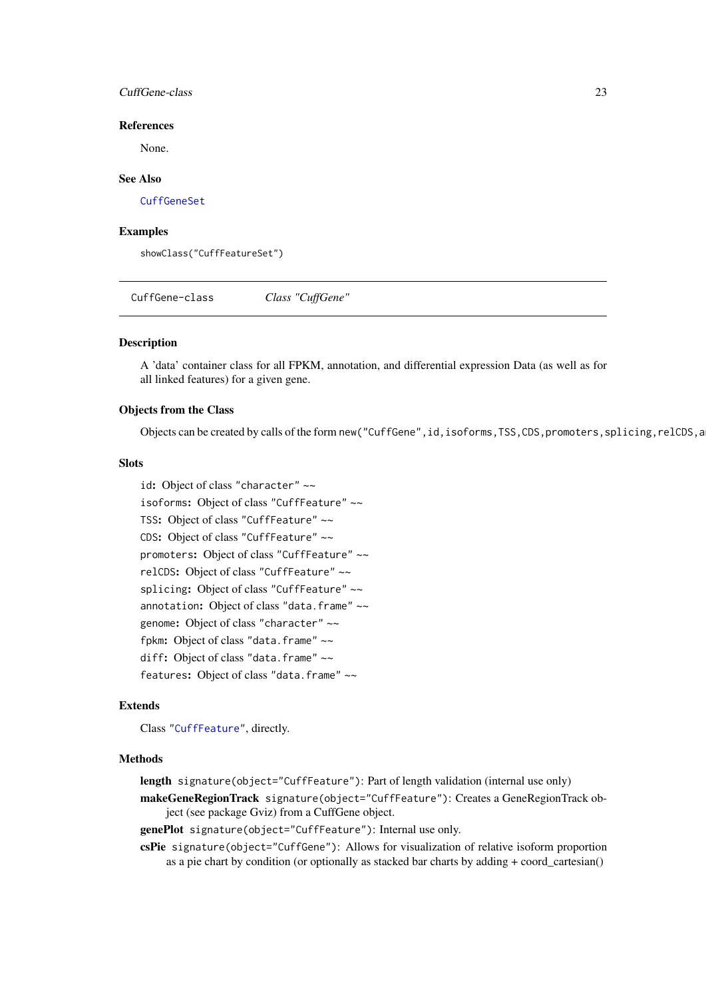#### <span id="page-22-0"></span>CuffGene-class 23

#### References

None.

### See Also

[CuffGeneSet](#page-23-1)

#### Examples

showClass("CuffFeatureSet")

<span id="page-22-1"></span>CuffGene-class *Class "CuffGene"*

### Description

A 'data' container class for all FPKM, annotation, and differential expression Data (as well as for all linked features) for a given gene.

### Objects from the Class

Objects can be created by calls of the form new("CuffGene", id, isoforms, TSS,CDS, promoters, splicing, relCDS, a

#### Slots

| id: Object of class "character" ~~           |
|----------------------------------------------|
| isoforms: Object of class "CuffFeature" ~~   |
| TSS: Object of class "CuffFeature" ~~        |
| CDS: Object of class "CuffFeature" $\sim$    |
| promoters: Object of class "CuffFeature" ~~  |
| relCDS: Object of class "CuffFeature" ~~     |
| splicing: Object of class "CuffFeature" ~~   |
| annotation: Object of class "data. frame" ~~ |
| genome: Object of class "character" ~~       |
| fpkm: Object of class "data.frame" ~~        |
| diff: Object of class "data.frame" ~~        |
| features: Object of class "data. frame" ~~   |

#### Extends

Class ["CuffFeature"](#page-20-1), directly.

#### Methods

length signature(object="CuffFeature"): Part of length validation (internal use only)

makeGeneRegionTrack signature(object="CuffFeature"): Creates a GeneRegionTrack object (see package Gviz) from a CuffGene object.

genePlot signature(object="CuffFeature"): Internal use only.

csPie signature(object="CuffGene"): Allows for visualization of relative isoform proportion as a pie chart by condition (or optionally as stacked bar charts by adding + coord\_cartesian()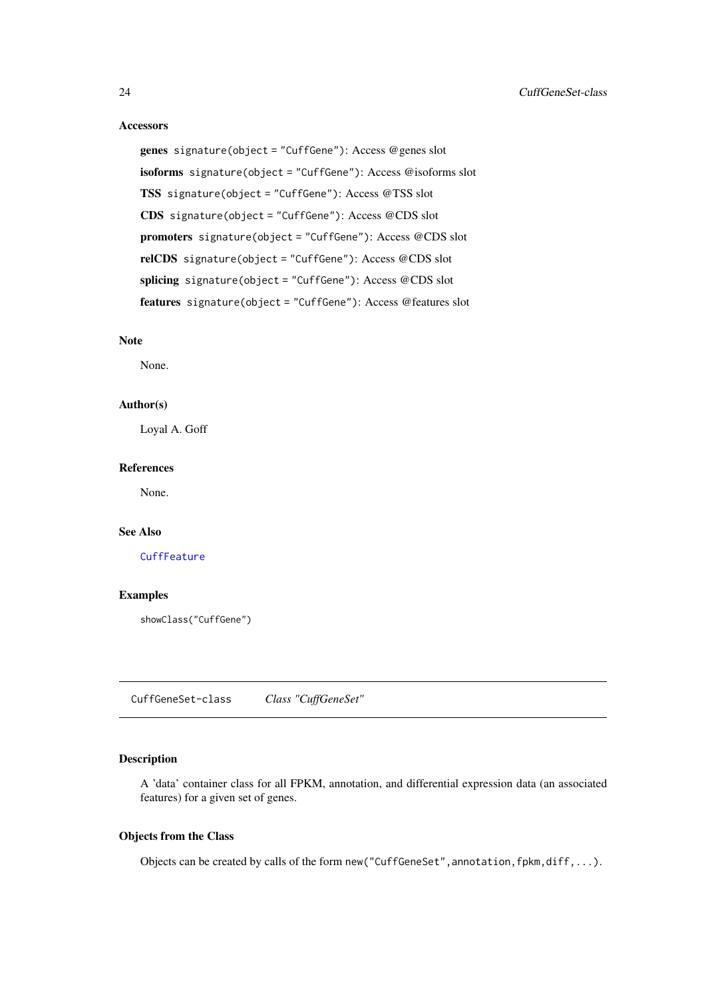#### Accessors

```
genes signature(object = "CuffGene"): Access @genes slot
isoforms signature(object = "CuffGene"): Access @isoforms slot
TSS signature(object = "CuffGene"): Access @TSS slot
CDS signature(object = "CuffGene"): Access @CDS slot
promoters signature(object = "CuffGene"): Access @CDS slot
relCDS signature(object = "CuffGene"): Access @CDS slot
splicing signature(object = "CuffGene"): Access @CDS slot
features signature(object = "CuffGene"): Access @features slot
```
#### Note

None.

### Author(s)

Loyal A. Goff

#### References

None.

#### See Also

#### **[CuffFeature](#page-20-1)**

#### Examples

showClass("CuffGene")

<span id="page-23-1"></span>CuffGeneSet-class *Class "CuffGeneSet"*

#### Description

A 'data' container class for all FPKM, annotation, and differential expression data (an associated features) for a given set of genes.

### Objects from the Class

Objects can be created by calls of the form new ("CuffGeneSet", annotation, fpkm, diff,...).

<span id="page-23-0"></span>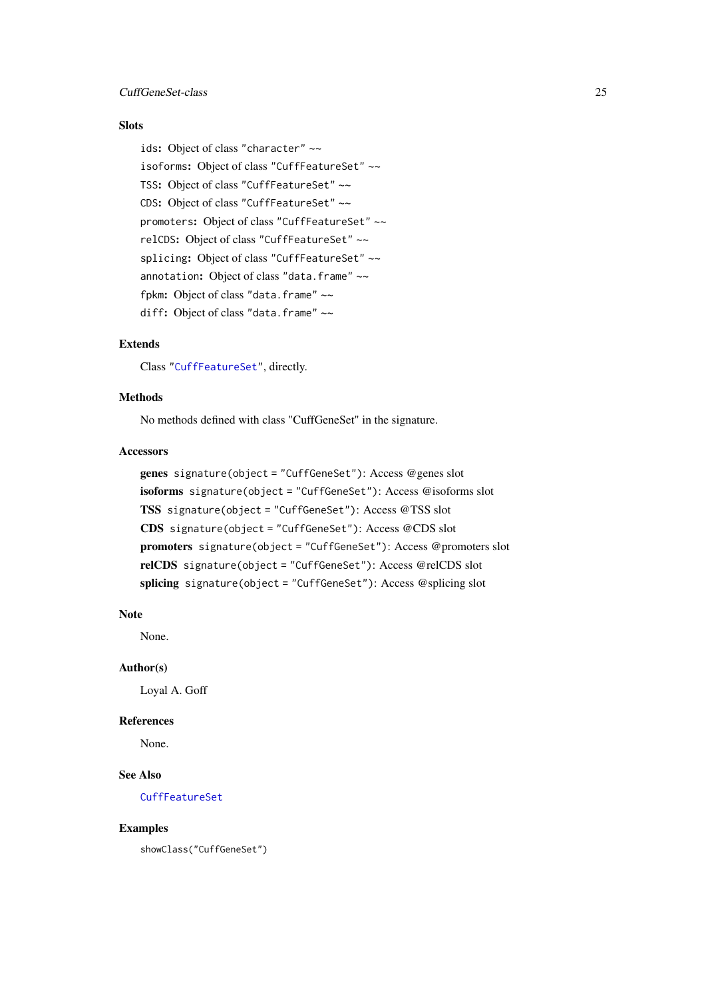#### <span id="page-24-0"></span>CuffGeneSet-class 25

#### **Slots**

ids: Object of class "character" ~~ isoforms: Object of class "CuffFeatureSet" ~~ TSS: Object of class "CuffFeatureSet" ~~ CDS: Object of class "CuffFeatureSet" ~~ promoters: Object of class "CuffFeatureSet" ~~ relCDS: Object of class "CuffFeatureSet" ~~ splicing: Object of class "CuffFeatureSet" ~~ annotation: Object of class "data.frame" ~~ fpkm: Object of class "data.frame" ~~ diff: Object of class "data.frame" ~~

### Extends

Class ["CuffFeatureSet"](#page-21-1), directly.

### Methods

No methods defined with class "CuffGeneSet" in the signature.

### Accessors

```
genes signature(object = "CuffGeneSet"): Access @genes slot
isoforms signature(object = "CuffGeneSet"): Access @isoforms slot
TSS signature(object = "CuffGeneSet"): Access @TSS slot
CDS signature(object = "CuffGeneSet"): Access @CDS slot
promoters signature(object = "CuffGeneSet"): Access @promoters slot
relCDS signature(object = "CuffGeneSet"): Access @relCDS slot
splicing signature(object = "CuffGeneSet"): Access @splicing slot
```
#### Note

None.

#### Author(s)

Loyal A. Goff

#### References

None.

### See Also

[CuffFeatureSet](#page-21-1)

#### Examples

showClass("CuffGeneSet")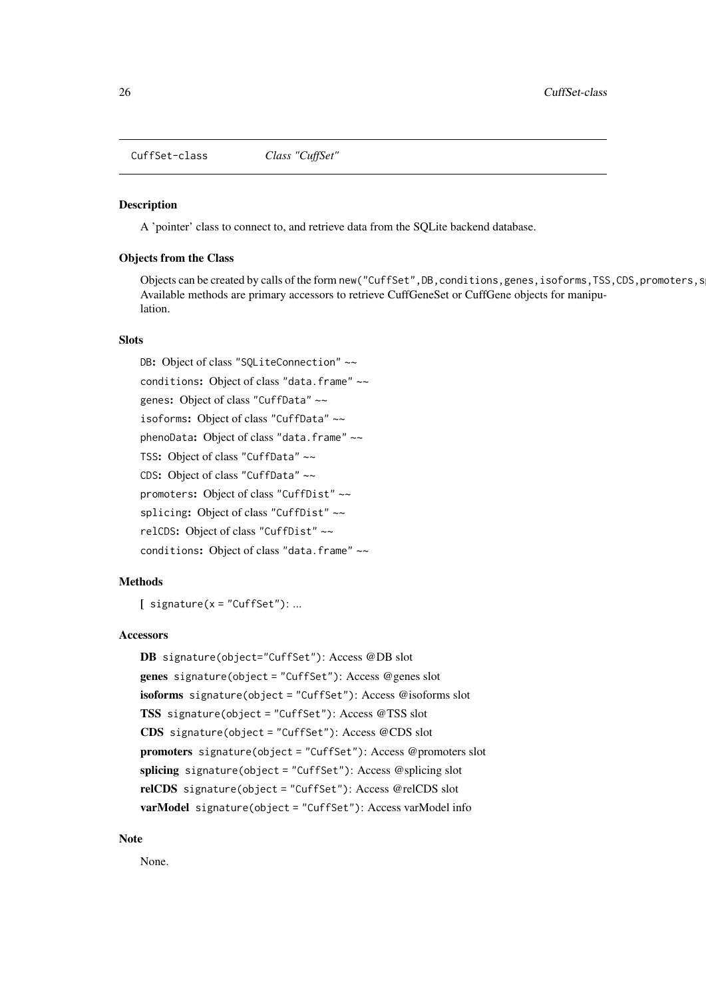<span id="page-25-0"></span>CuffSet-class *Class "CuffSet"*

#### Description

A 'pointer' class to connect to, and retrieve data from the SQLite backend database.

#### Objects from the Class

Objects can be created by calls of the form new("CuffSet",DB,conditions,genes,isoforms,TSS,CDS,promoters,s Available methods are primary accessors to retrieve CuffGeneSet or CuffGene objects for manipulation.

### **Slots**

DB: Object of class "SQLiteConnection" ~~ conditions: Object of class "data.frame" ~~ genes: Object of class "CuffData" ~~ isoforms: Object of class "CuffData" ~~ phenoData: Object of class "data.frame" ~~ TSS: Object of class "CuffData" ~~ CDS: Object of class "CuffData" ~~ promoters: Object of class "CuffDist" ~~ splicing: Object of class "CuffDist" ~~ relCDS: Object of class "CuffDist" ~~ conditions: Object of class "data.frame" ~~

### Methods

 $[$  signature(x = "CuffSet"): ...

#### Accessors

```
DB signature(object="CuffSet"): Access @DB slot
genes signature(object = "CuffSet"): Access @genes slot
isoforms signature(object = "CuffSet"): Access @isoforms slot
TSS signature(object = "CuffSet"): Access @TSS slot
CDS signature(object = "CuffSet"): Access @CDS slot
promoters signature(object = "CuffSet"): Access @promoters slot
splicing signature(object = "CuffSet"): Access @splicing slot
relCDS signature(object = "CuffSet"): Access @relCDS slot
varModel signature(object = "CuffSet"): Access varModel info
```
### Note

None.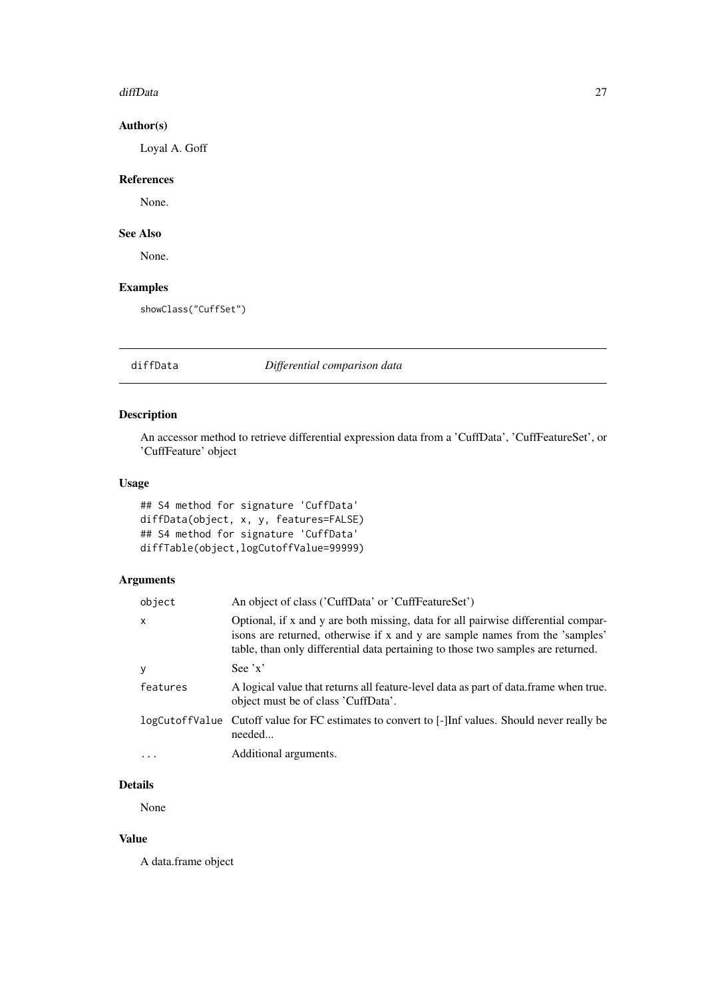#### <span id="page-26-0"></span>diffData 27

#### Author(s)

Loyal A. Goff

### References

None.

### See Also

None.

### Examples

showClass("CuffSet")

#### diffData *Differential comparison data*

### Description

An accessor method to retrieve differential expression data from a 'CuffData', 'CuffFeatureSet', or 'CuffFeature' object

### Usage

## S4 method for signature 'CuffData' diffData(object, x, y, features=FALSE) ## S4 method for signature 'CuffData' diffTable(object,logCutoffValue=99999)

### Arguments

| object   | An object of class ('CuffData' or 'CuffFeatureSet')                                                                                                                                                                                                   |  |
|----------|-------------------------------------------------------------------------------------------------------------------------------------------------------------------------------------------------------------------------------------------------------|--|
| X        | Optional, if x and y are both missing, data for all pairwise differential compar-<br>isons are returned, otherwise if x and y are sample names from the 'samples'<br>table, than only differential data pertaining to those two samples are returned. |  |
| y        | See $'x'$                                                                                                                                                                                                                                             |  |
| features | A logical value that returns all feature-level data as part of data. frame when true.<br>object must be of class 'CuffData'.                                                                                                                          |  |
|          | logCutoffValue Cutoff value for FC estimates to convert to [-]Inf values. Should never really be<br>needed                                                                                                                                            |  |
|          | Additional arguments.                                                                                                                                                                                                                                 |  |
|          |                                                                                                                                                                                                                                                       |  |

### Details

None

#### Value

A data.frame object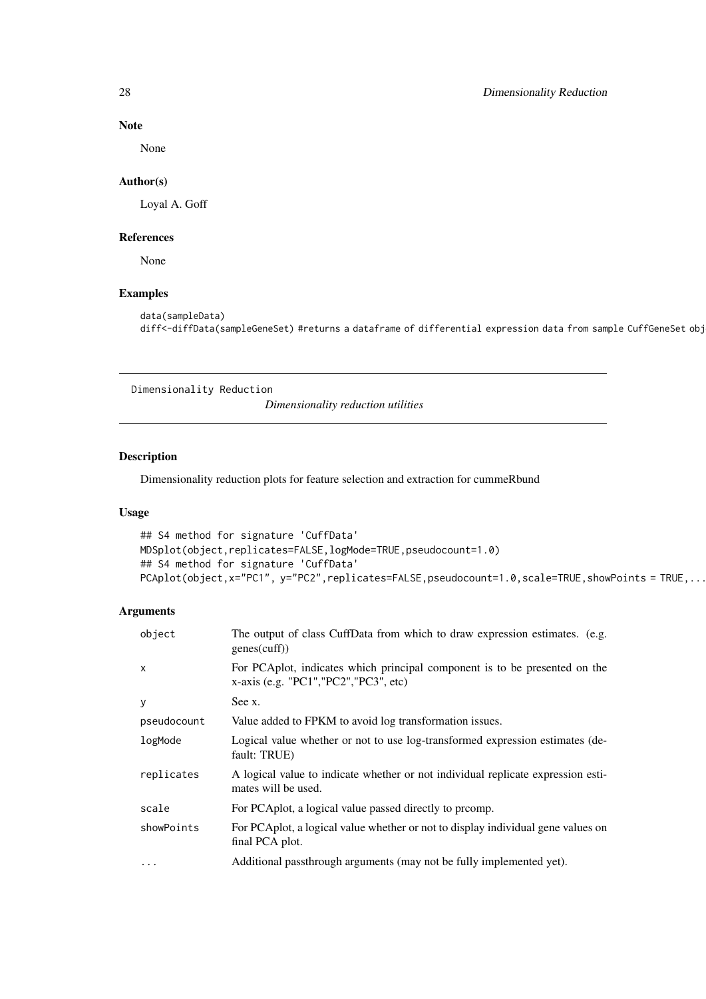#### Note

None

#### Author(s)

Loyal A. Goff

#### References

None

### Examples

```
data(sampleData)
diff<-diffData(sampleGeneSet) #returns a dataframe of differential expression data from sample CuffGeneSet obj
```
Dimensionality Reduction

*Dimensionality reduction utilities*

### Description

Dimensionality reduction plots for feature selection and extraction for cummeRbund

#### Usage

```
## S4 method for signature 'CuffData'
MDSplot(object,replicates=FALSE,logMode=TRUE,pseudocount=1.0)
## S4 method for signature 'CuffData'
PCAplot(object,x="PC1", y="PC2",replicates=FALSE,pseudocount=1.0,scale=TRUE,showPoints = TRUE,...
```
#### Arguments

| object       | The output of class CuffData from which to draw expression estimates. (e.g.<br>genes(cuff))                              |  |
|--------------|--------------------------------------------------------------------------------------------------------------------------|--|
| $\times$     | For PCA plot, indicates which principal component is to be presented on the<br>$x$ -axis (e.g. "PC1", "PC2", "PC3", etc) |  |
| $\mathbf{y}$ | See x.                                                                                                                   |  |
| pseudocount  | Value added to FPKM to avoid log transformation issues.                                                                  |  |
| logMode      | Logical value whether or not to use log-transformed expression estimates (de-<br>fault: TRUE)                            |  |
| replicates   | A logical value to indicate whether or not individual replicate expression esti-<br>mates will be used.                  |  |
| scale        | For PCA plot, a logical value passed directly to promp.                                                                  |  |
| showPoints   | For PCAplot, a logical value whether or not to display individual gene values on<br>final PCA plot.                      |  |
| $\ddotsc$    | Additional passthrough arguments (may not be fully implemented yet).                                                     |  |

<span id="page-27-0"></span>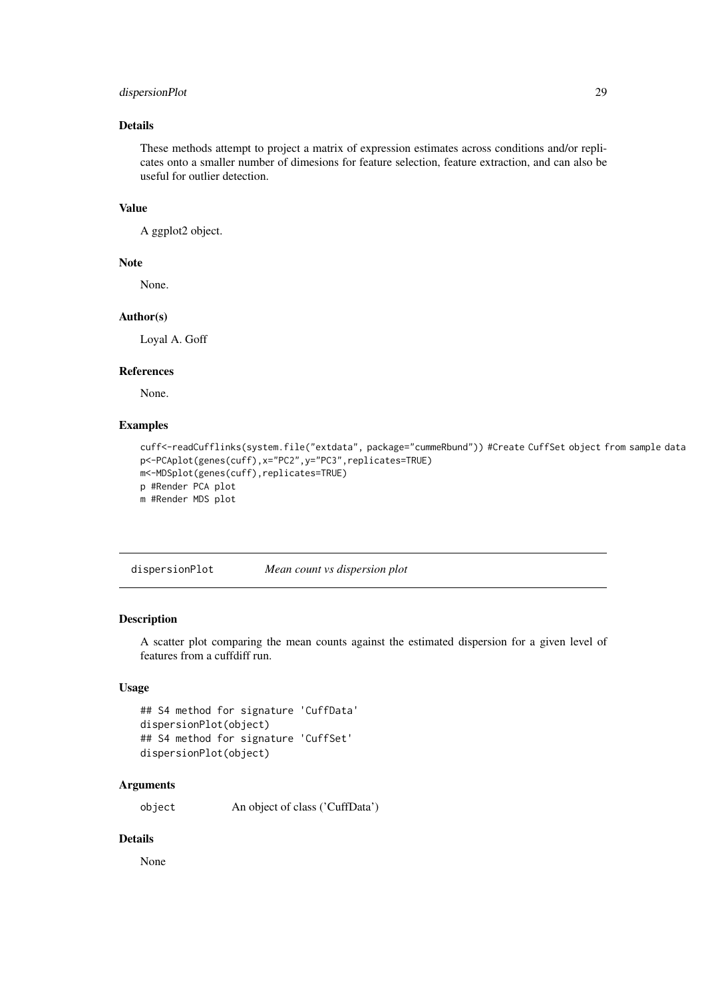#### <span id="page-28-0"></span>dispersionPlot 29

#### Details

These methods attempt to project a matrix of expression estimates across conditions and/or replicates onto a smaller number of dimesions for feature selection, feature extraction, and can also be useful for outlier detection.

#### Value

A ggplot2 object.

#### Note

None.

### Author(s)

Loyal A. Goff

#### References

None.

### Examples

```
cuff<-readCufflinks(system.file("extdata", package="cummeRbund")) #Create CuffSet object from sample data
p<-PCAplot(genes(cuff),x="PC2",y="PC3",replicates=TRUE)
m<-MDSplot(genes(cuff),replicates=TRUE)
p #Render PCA plot
m #Render MDS plot
```
dispersionPlot *Mean count vs dispersion plot*

#### Description

A scatter plot comparing the mean counts against the estimated dispersion for a given level of features from a cuffdiff run.

#### Usage

```
## S4 method for signature 'CuffData'
dispersionPlot(object)
## S4 method for signature 'CuffSet'
dispersionPlot(object)
```
### Arguments

object An object of class ('CuffData')

### Details

None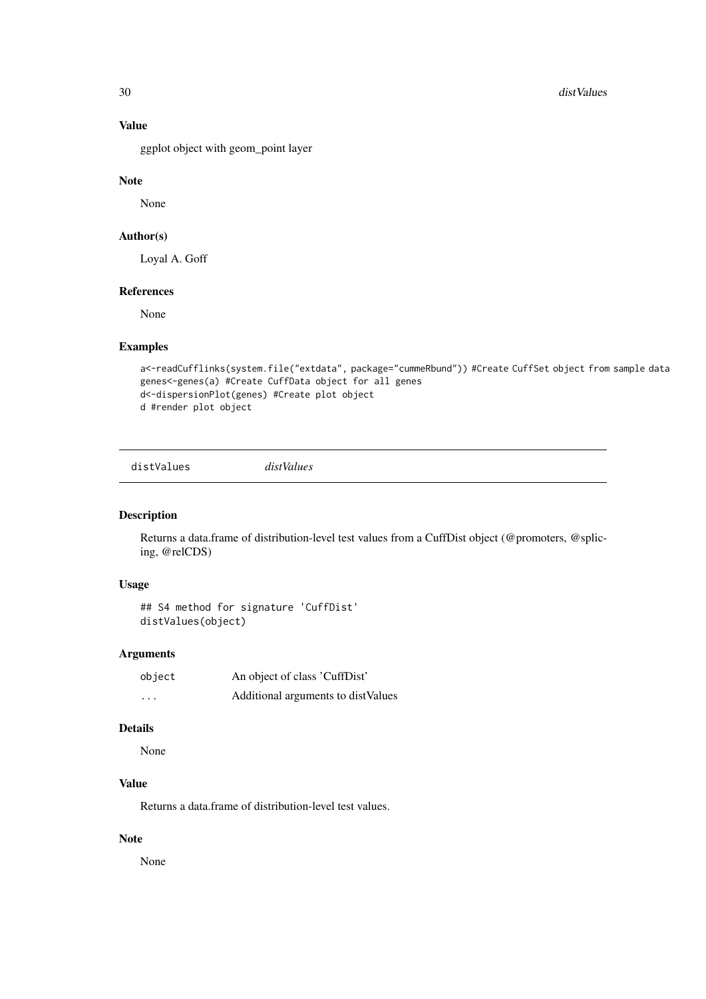<span id="page-29-0"></span>30 distValues

### Value

ggplot object with geom\_point layer

#### Note

None

### Author(s)

Loyal A. Goff

### References

None

### Examples

```
a<-readCufflinks(system.file("extdata", package="cummeRbund")) #Create CuffSet object from sample data
genes<-genes(a) #Create CuffData object for all genes
d<-dispersionPlot(genes) #Create plot object
d #render plot object
```
distValues *distValues*

#### Description

Returns a data.frame of distribution-level test values from a CuffDist object (@promoters, @splicing, @relCDS)

### Usage

## S4 method for signature 'CuffDist' distValues(object)

### Arguments

| object   | An object of class 'CuffDist'      |
|----------|------------------------------------|
| $\cdots$ | Additional arguments to distValues |

#### Details

None

### Value

Returns a data.frame of distribution-level test values.

### Note

None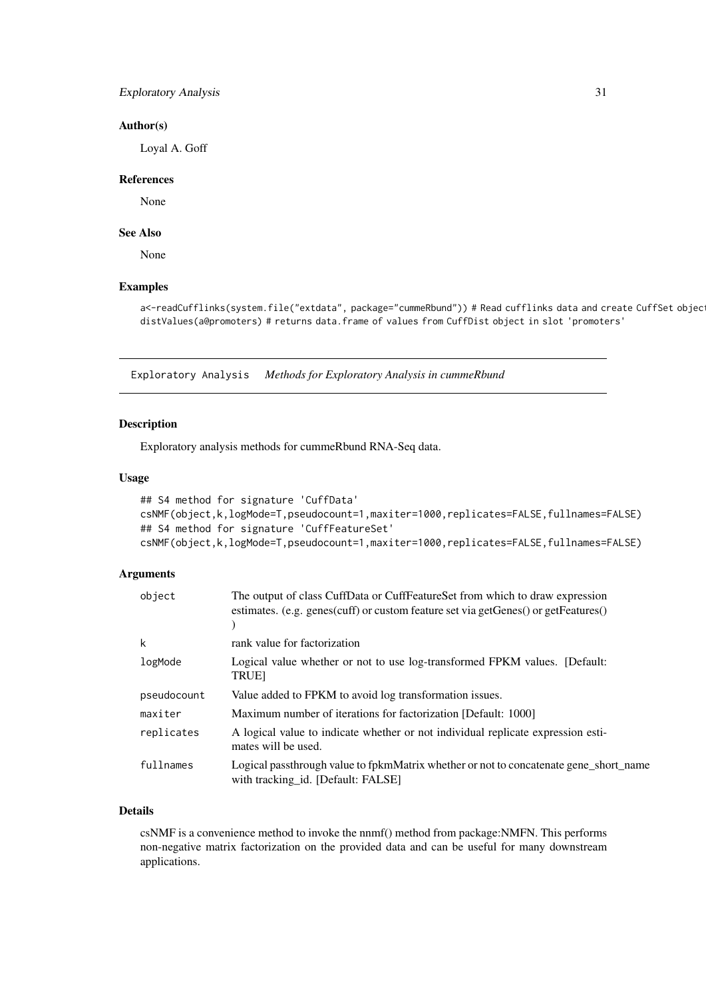#### <span id="page-30-0"></span>Exploratory Analysis 31

#### Author(s)

Loyal A. Goff

#### References

None

### See Also

None

#### Examples

a<-readCufflinks(system.file("extdata", package="cummeRbund")) # Read cufflinks data and create CuffSet objec distValues(a@promoters) # returns data.frame of values from CuffDist object in slot 'promoters'

Exploratory Analysis *Methods for Exploratory Analysis in cummeRbund*

### Description

Exploratory analysis methods for cummeRbund RNA-Seq data.

### Usage

```
## S4 method for signature 'CuffData'
csNMF(object,k,logMode=T,pseudocount=1,maxiter=1000,replicates=FALSE,fullnames=FALSE)
## S4 method for signature 'CuffFeatureSet'
csNMF(object,k,logMode=T,pseudocount=1,maxiter=1000,replicates=FALSE,fullnames=FALSE)
```
#### Arguments

| object      | The output of class CuffData or CuffFeatureSet from which to draw expression<br>estimates. (e.g. genes(cuff) or custom feature set via getGenes() or getFeatures() |
|-------------|--------------------------------------------------------------------------------------------------------------------------------------------------------------------|
| k           | rank value for factorization                                                                                                                                       |
| logMode     | Logical value whether or not to use log-transformed FPKM values. [Default:<br><b>TRUE</b>                                                                          |
| pseudocount | Value added to FPKM to avoid log transformation issues.                                                                                                            |
| maxiter     | Maximum number of iterations for factorization [Default: 1000]                                                                                                     |
| replicates  | A logical value to indicate whether or not individual replicate expression esti-<br>mates will be used.                                                            |
| fullnames   | Logical passthrough value to fpkmMatrix whether or not to concatenate gene_short_name<br>with tracking id. [Default: FALSE]                                        |

### Details

csNMF is a convenience method to invoke the nnmf() method from package:NMFN. This performs non-negative matrix factorization on the provided data and can be useful for many downstream applications.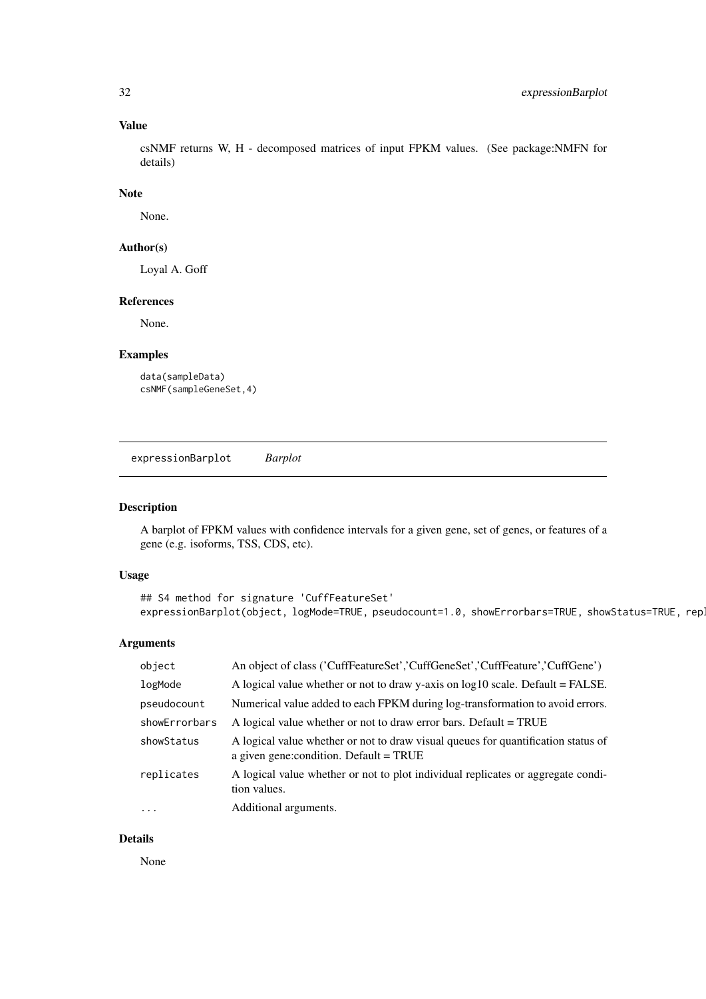### Value

csNMF returns W, H - decomposed matrices of input FPKM values. (See package:NMFN for details)

### Note

None.

### Author(s)

Loyal A. Goff

#### References

None.

### Examples

```
data(sampleData)
csNMF(sampleGeneSet,4)
```
expressionBarplot *Barplot*

### Description

A barplot of FPKM values with confidence intervals for a given gene, set of genes, or features of a gene (e.g. isoforms, TSS, CDS, etc).

#### Usage

```
## S4 method for signature 'CuffFeatureSet'
expressionBarplot(object, logMode=TRUE, pseudocount=1.0, showErrorbars=TRUE, showStatus=TRUE, repli
```
### Arguments

| object        | An object of class ('CuffFeatureSet','CuffGeneSet','CuffFeature','CuffGene')                                                   |
|---------------|--------------------------------------------------------------------------------------------------------------------------------|
| logMode       | A logical value whether or not to draw y-axis on $log10$ scale. Default = FALSE.                                               |
| pseudocount   | Numerical value added to each FPKM during log-transformation to avoid errors.                                                  |
| showErrorbars | A logical value whether or not to draw error bars. Default = TRUE                                                              |
| showStatus    | A logical value whether or not to draw visual queues for quantification status of<br>a given gene: condition. Default $=$ TRUE |
| replicates    | A logical value whether or not to plot individual replicates or aggregate condi-<br>tion values.                               |
| $\ddots$      | Additional arguments.                                                                                                          |
|               |                                                                                                                                |

### Details

None

<span id="page-31-0"></span>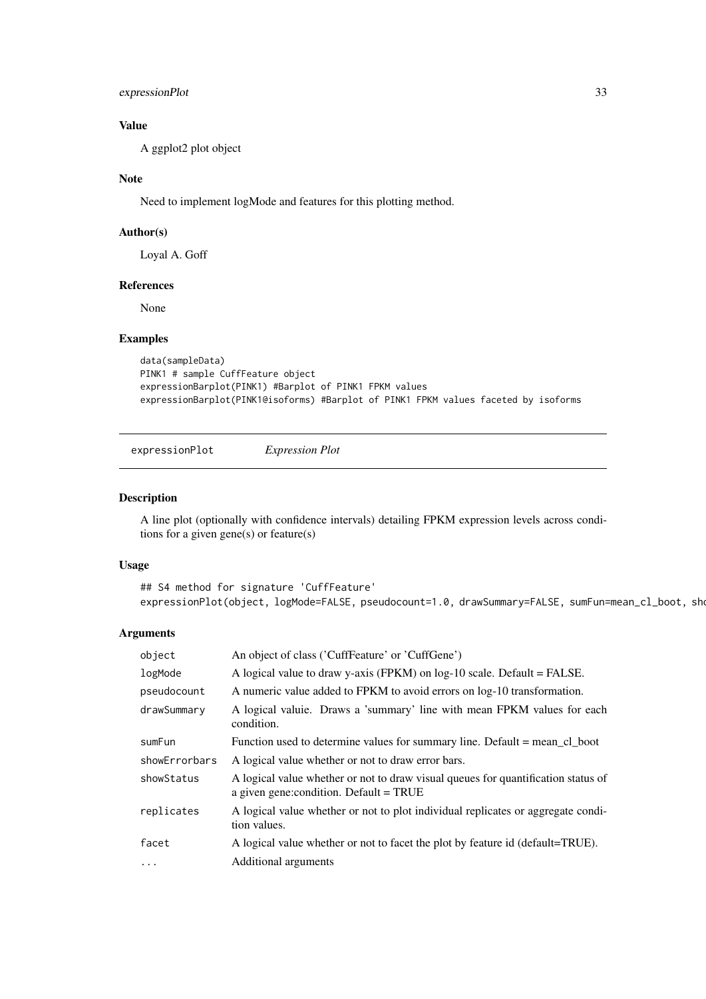<span id="page-32-0"></span>expressionPlot 33

#### Value

A ggplot2 plot object

### Note

Need to implement logMode and features for this plotting method.

### Author(s)

Loyal A. Goff

#### References

None

### Examples

```
data(sampleData)
PINK1 # sample CuffFeature object
expressionBarplot(PINK1) #Barplot of PINK1 FPKM values
expressionBarplot(PINK1@isoforms) #Barplot of PINK1 FPKM values faceted by isoforms
```
expressionPlot *Expression Plot*

### Description

A line plot (optionally with confidence intervals) detailing FPKM expression levels across conditions for a given gene(s) or feature(s)

### Usage

```
## S4 method for signature 'CuffFeature'
expressionPlot(object, logMode=FALSE, pseudocount=1.0, drawSummary=FALSE, sumFun=mean_cl_boot, show
```
#### Arguments

| object        | An object of class ('CuffFeature' or 'CuffGene')                                                                               |  |
|---------------|--------------------------------------------------------------------------------------------------------------------------------|--|
| logMode       | A logical value to draw y-axis (FPKM) on $log-10$ scale. Default = FALSE.                                                      |  |
| pseudocount   | A numeric value added to FPKM to avoid errors on log-10 transformation.                                                        |  |
| drawSummary   | A logical valuie. Draws a 'summary' line with mean FPKM values for each<br>condition.                                          |  |
| sumFun        | Function used to determine values for summary line. Default = mean_cl_boot                                                     |  |
| showErrorbars | A logical value whether or not to draw error bars.                                                                             |  |
| showStatus    | A logical value whether or not to draw visual queues for quantification status of<br>a given gene: condition. Default $=$ TRUE |  |
| replicates    | A logical value whether or not to plot individual replicates or aggregate condi-<br>tion values.                               |  |
| facet         | A logical value whether or not to facet the plot by feature id (default=TRUE).                                                 |  |
| $\ddots$      | Additional arguments                                                                                                           |  |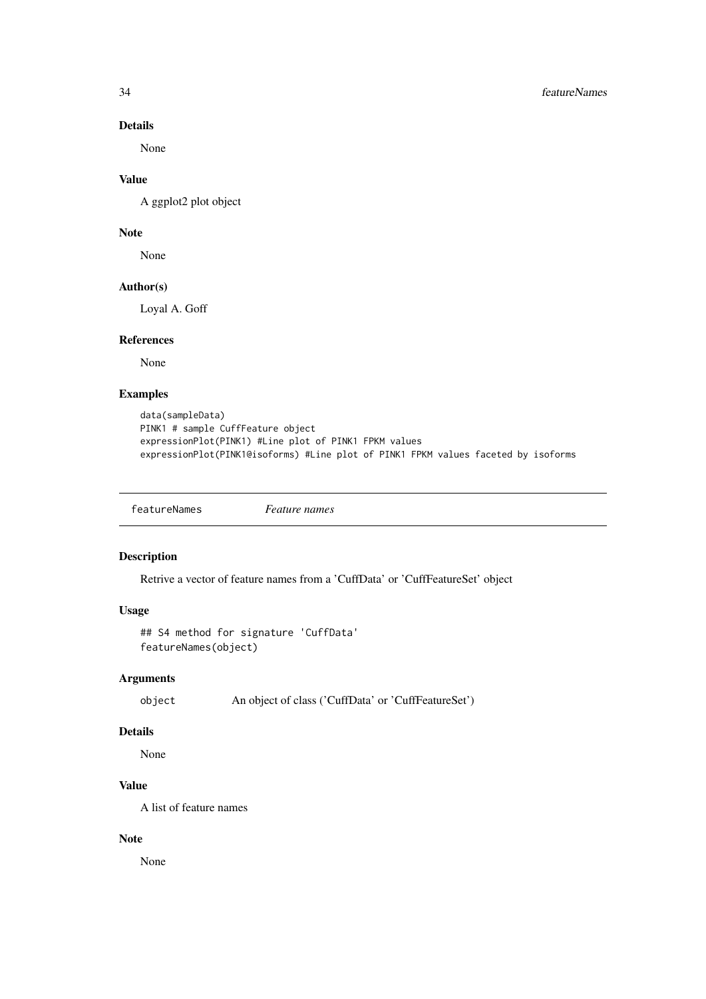#### Details

None

### Value

A ggplot2 plot object

### Note

None

### Author(s)

Loyal A. Goff

#### References

None

### Examples

```
data(sampleData)
PINK1 # sample CuffFeature object
expressionPlot(PINK1) #Line plot of PINK1 FPKM values
expressionPlot(PINK1@isoforms) #Line plot of PINK1 FPKM values faceted by isoforms
```
featureNames *Feature names*

#### Description

Retrive a vector of feature names from a 'CuffData' or 'CuffFeatureSet' object

### Usage

```
## S4 method for signature 'CuffData'
featureNames(object)
```
### Arguments

object An object of class ('CuffData' or 'CuffFeatureSet')

### Details

None

### Value

A list of feature names

#### Note

None

<span id="page-33-0"></span>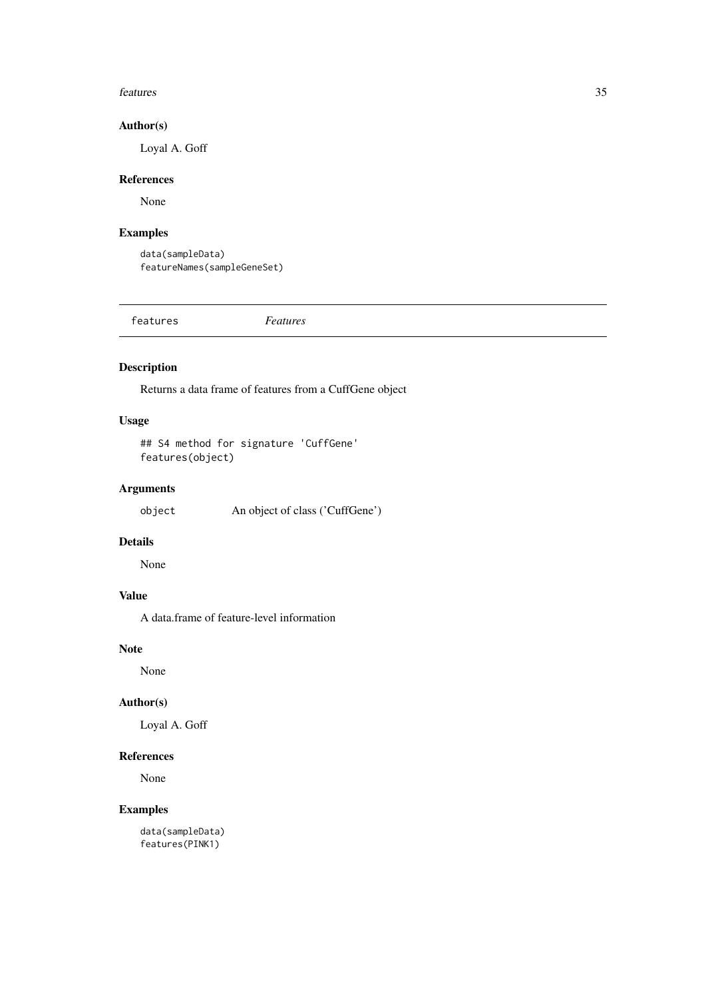#### <span id="page-34-0"></span>features 35

#### Author(s)

Loyal A. Goff

#### References

None

### Examples

data(sampleData) featureNames(sampleGeneSet)

features *Features*

### Description

Returns a data frame of features from a CuffGene object

### Usage

## S4 method for signature 'CuffGene' features(object)

### Arguments

object An object of class ('CuffGene')

### Details

None

### Value

A data.frame of feature-level information

### Note

None

### Author(s)

Loyal A. Goff

#### References

None

### Examples

data(sampleData) features(PINK1)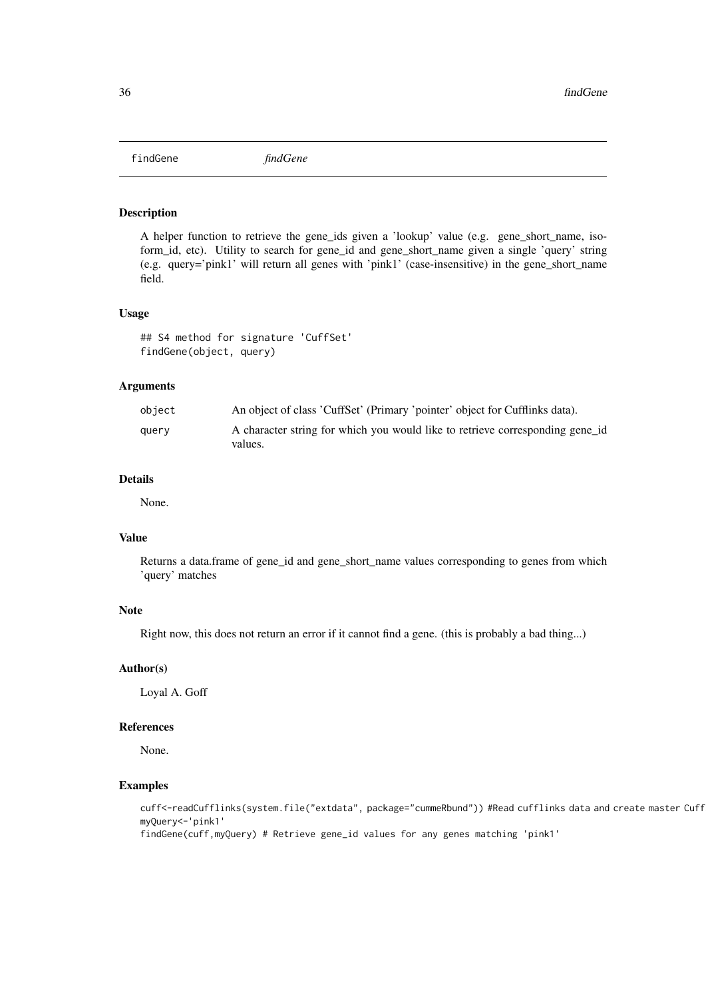<span id="page-35-0"></span>findGene *findGene*

#### Description

A helper function to retrieve the gene\_ids given a 'lookup' value (e.g. gene\_short\_name, isoform\_id, etc). Utility to search for gene\_id and gene\_short\_name given a single 'query' string (e.g. query='pink1' will return all genes with 'pink1' (case-insensitive) in the gene\_short\_name field.

#### Usage

## S4 method for signature 'CuffSet' findGene(object, query)

#### Arguments

| object | An object of class 'CuffSet' (Primary 'pointer' object for Cufflinks data).              |
|--------|------------------------------------------------------------------------------------------|
| query  | A character string for which you would like to retrieve corresponding gene id<br>values. |

#### Details

None.

### Value

Returns a data.frame of gene\_id and gene\_short\_name values corresponding to genes from which 'query' matches

### Note

Right now, this does not return an error if it cannot find a gene. (this is probably a bad thing...)

#### Author(s)

Loyal A. Goff

#### References

None.

### Examples

cuff<-readCufflinks(system.file("extdata", package="cummeRbund")) #Read cufflinks data and create master Cuff myQuery<-'pink1'

findGene(cuff,myQuery) # Retrieve gene\_id values for any genes matching 'pink1'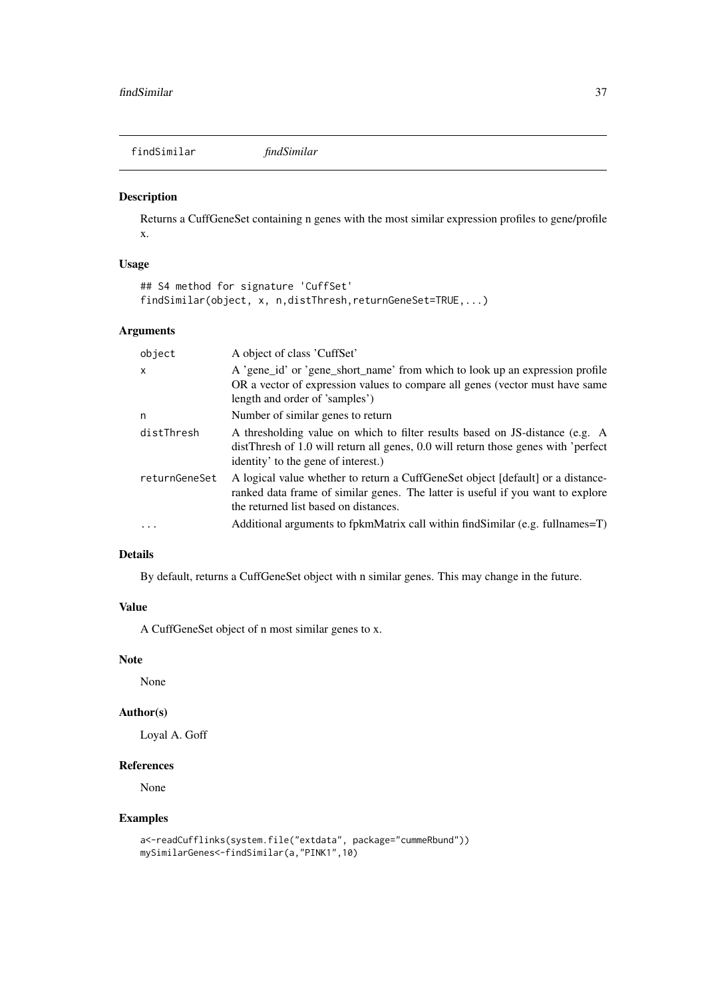<span id="page-36-0"></span>findSimilar *findSimilar*

### Description

Returns a CuffGeneSet containing n genes with the most similar expression profiles to gene/profile x.

### Usage

```
## S4 method for signature 'CuffSet'
findSimilar(object, x, n,distThresh,returnGeneSet=TRUE,...)
```
### Arguments

| object        | A object of class 'CuffSet'                                                                                                                                                                                 |  |
|---------------|-------------------------------------------------------------------------------------------------------------------------------------------------------------------------------------------------------------|--|
| $\mathsf{x}$  | A 'gene_id' or 'gene_short_name' from which to look up an expression profile<br>OR a vector of expression values to compare all genes (vector must have same<br>length and order of 'samples')              |  |
| n             | Number of similar genes to return                                                                                                                                                                           |  |
| distThresh    | A thresholding value on which to filter results based on JS-distance (e.g. A<br>distThresh of 1.0 will return all genes, 0.0 will return those genes with 'perfect<br>identity' to the gene of interest.)   |  |
| returnGeneSet | A logical value whether to return a CuffGeneSet object [default] or a distance-<br>ranked data frame of similar genes. The latter is useful if you want to explore<br>the returned list based on distances. |  |
| $\cdot$       | Additional arguments to fpkmMatrix call within findSimilar (e.g. fullnames=T)                                                                                                                               |  |
|               |                                                                                                                                                                                                             |  |

### Details

By default, returns a CuffGeneSet object with n similar genes. This may change in the future.

### Value

A CuffGeneSet object of n most similar genes to x.

#### Note

None

### Author(s)

Loyal A. Goff

#### References

None

```
a<-readCufflinks(system.file("extdata", package="cummeRbund"))
mySimilarGenes<-findSimilar(a,"PINK1",10)
```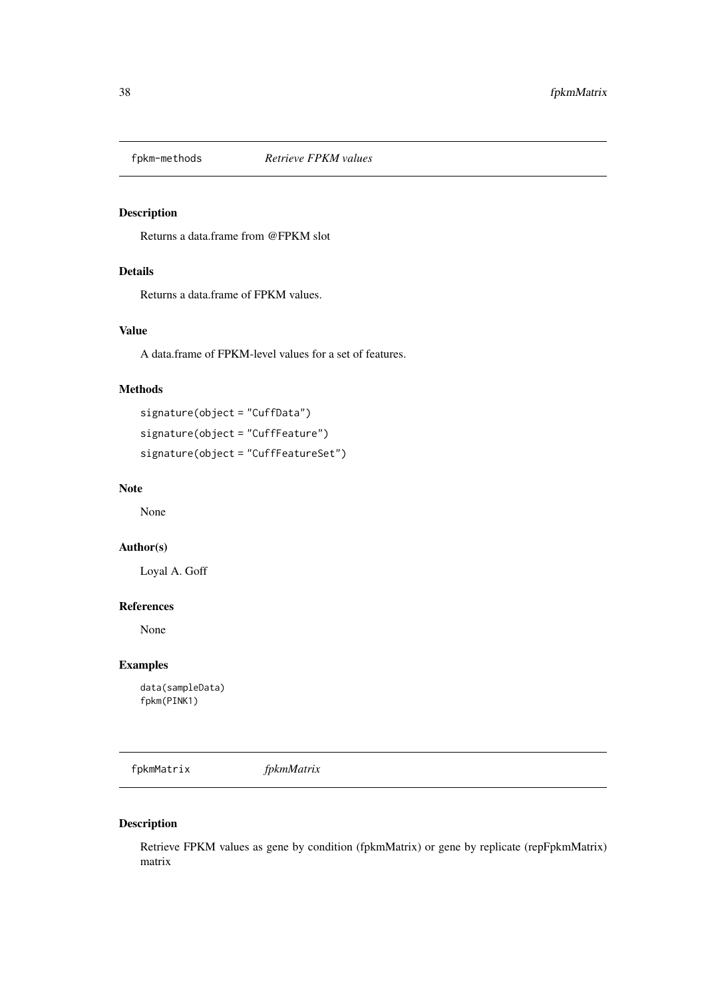<span id="page-37-0"></span>

### Description

Returns a data.frame from @FPKM slot

### Details

Returns a data.frame of FPKM values.

### Value

A data.frame of FPKM-level values for a set of features.

### Methods

signature(object = "CuffData") signature(object = "CuffFeature") signature(object = "CuffFeatureSet")

#### Note

None

### Author(s)

Loyal A. Goff

#### References

None

### Examples

data(sampleData) fpkm(PINK1)

fpkmMatrix *fpkmMatrix*

### Description

Retrieve FPKM values as gene by condition (fpkmMatrix) or gene by replicate (repFpkmMatrix) matrix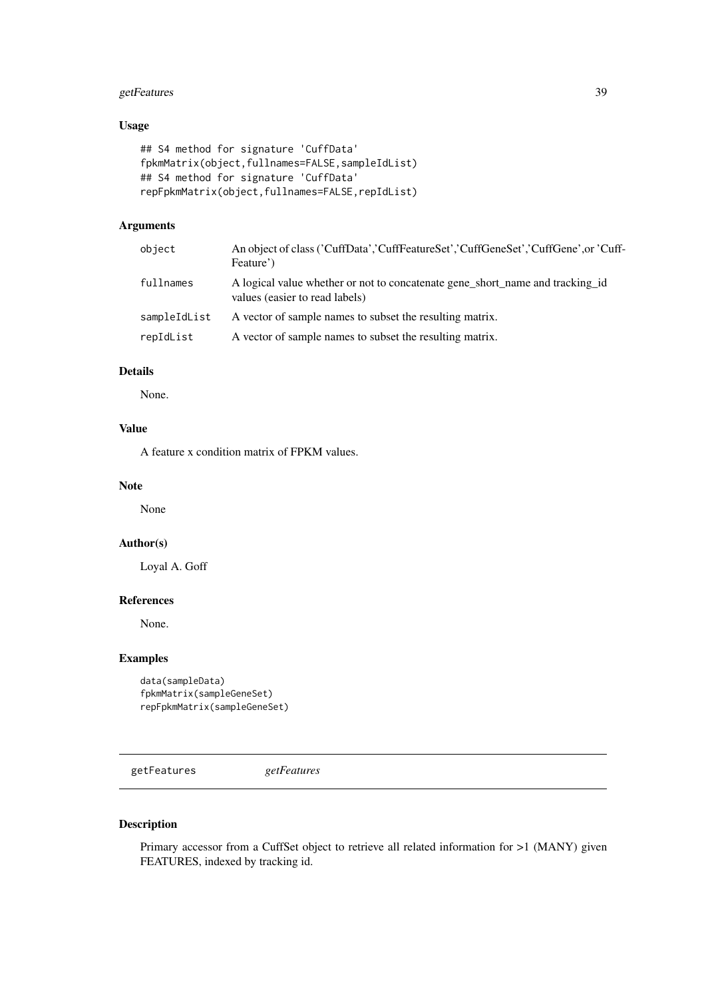#### <span id="page-38-0"></span>getFeatures 39

#### Usage

```
## S4 method for signature 'CuffData'
fpkmMatrix(object,fullnames=FALSE,sampleIdList)
## S4 method for signature 'CuffData'
repFpkmMatrix(object,fullnames=FALSE,repIdList)
```
### Arguments

| object       | An object of class ('CuffData','CuffFeatureSet','CuffGeneSet','CuffGene',or 'Cuff-<br>Feature')                 |
|--------------|-----------------------------------------------------------------------------------------------------------------|
| fullnames    | A logical value whether or not to concatenate gene short name and tracking id<br>values (easier to read labels) |
| sampleIdList | A vector of sample names to subset the resulting matrix.                                                        |
| repIdList    | A vector of sample names to subset the resulting matrix.                                                        |

### Details

None.

### Value

A feature x condition matrix of FPKM values.

#### Note

None

#### Author(s)

Loyal A. Goff

#### References

None.

### Examples

```
data(sampleData)
fpkmMatrix(sampleGeneSet)
repFpkmMatrix(sampleGeneSet)
```
getFeatures *getFeatures*

### Description

Primary accessor from a CuffSet object to retrieve all related information for >1 (MANY) given FEATURES, indexed by tracking id.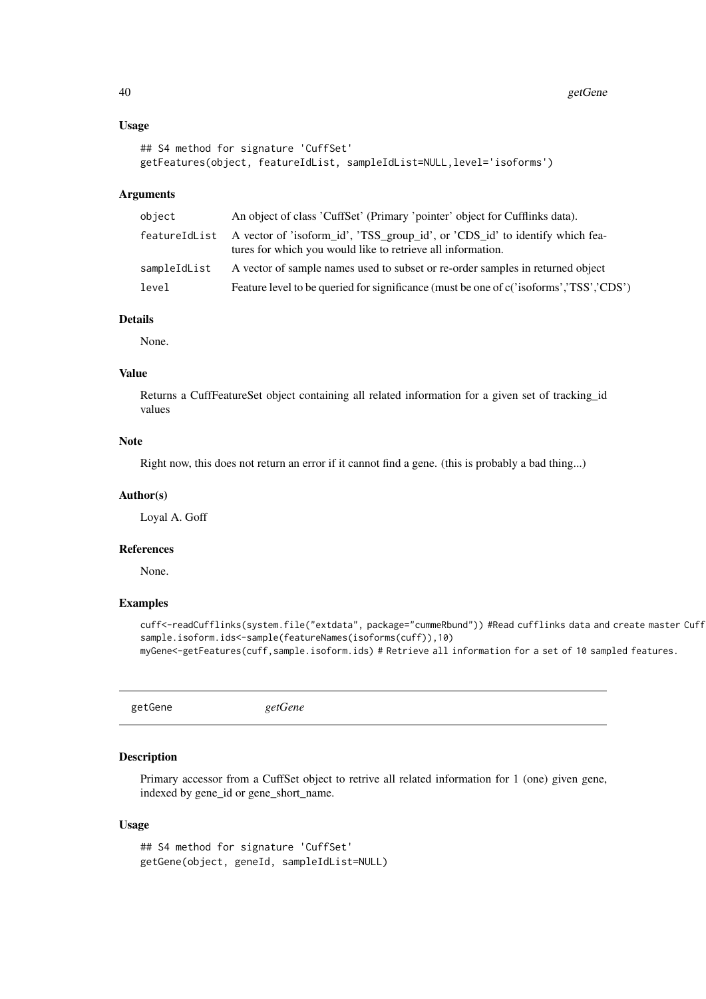#### Usage

```
## S4 method for signature 'CuffSet'
getFeatures(object, featureIdList, sampleIdList=NULL,level='isoforms')
```
### Arguments

| object       | An object of class 'CuffSet' (Primary 'pointer' object for Cufflinks data).                                                                               |
|--------------|-----------------------------------------------------------------------------------------------------------------------------------------------------------|
|              | featureIdList A vector of 'isoform_id', 'TSS_group_id', or 'CDS_id' to identify which fea-<br>tures for which you would like to retrieve all information. |
| sampleIdList | A vector of sample names used to subset or re-order samples in returned object                                                                            |
| level        | Feature level to be queried for significance (must be one of c('isoforms', 'TSS', 'CDS')                                                                  |

### Details

None.

#### Value

Returns a CuffFeatureSet object containing all related information for a given set of tracking\_id values

### Note

Right now, this does not return an error if it cannot find a gene. (this is probably a bad thing...)

#### Author(s)

Loyal A. Goff

#### References

None.

#### Examples

```
cuff<-readCufflinks(system.file("extdata", package="cummeRbund")) #Read cufflinks data and create master Cuff
sample.isoform.ids<-sample(featureNames(isoforms(cuff)),10)
myGene<-getFeatures(cuff,sample.isoform.ids) # Retrieve all information for a set of 10 sampled features.
```
getGene *getGene*

#### Description

Primary accessor from a CuffSet object to retrive all related information for 1 (one) given gene, indexed by gene\_id or gene\_short\_name.

#### Usage

```
## S4 method for signature 'CuffSet'
getGene(object, geneId, sampleIdList=NULL)
```
<span id="page-39-0"></span>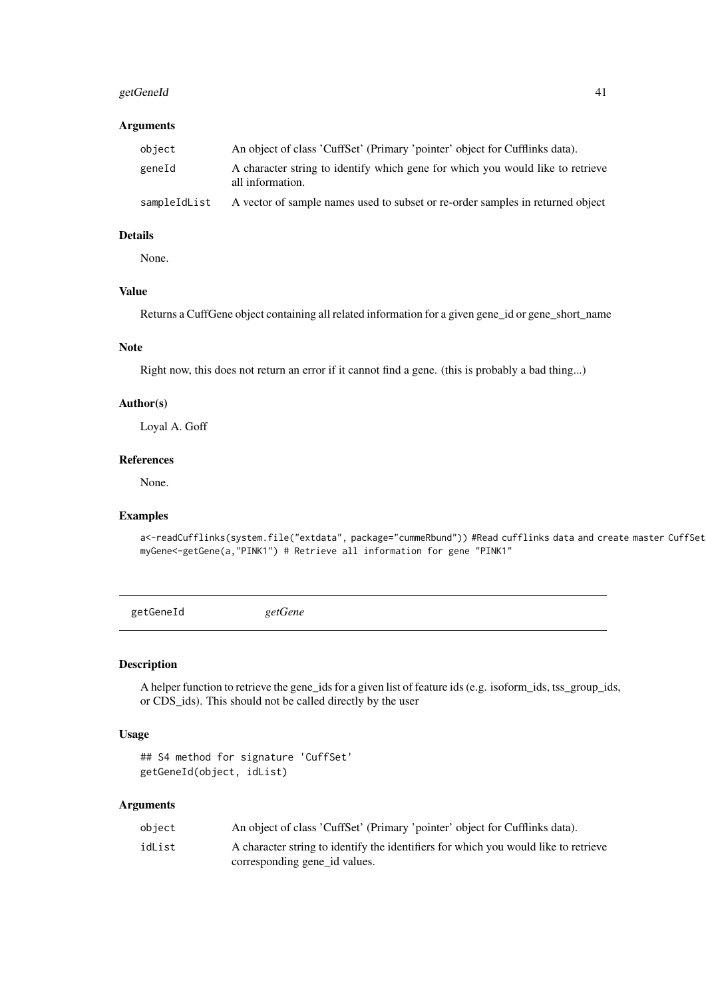#### <span id="page-40-0"></span>getGeneId 41

### Arguments

| object       | An object of class 'CuffSet' (Primary 'pointer' object for Cufflinks data).                        |
|--------------|----------------------------------------------------------------------------------------------------|
| geneId       | A character string to identify which gene for which you would like to retrieve<br>all information. |
| sampleIdList | A vector of sample names used to subset or re-order samples in returned object                     |

### Details

None.

### Value

Returns a CuffGene object containing all related information for a given gene\_id or gene\_short\_name

#### Note

Right now, this does not return an error if it cannot find a gene. (this is probably a bad thing...)

### Author(s)

Loyal A. Goff

#### References

None.

#### Examples

a<-readCufflinks(system.file("extdata", package="cummeRbund")) #Read cufflinks data and create master CuffSet myGene<-getGene(a,"PINK1") # Retrieve all information for gene "PINK1"

getGeneId *getGene*

### Description

A helper function to retrieve the gene\_ids for a given list of feature ids (e.g. isoform\_ids, tss\_group\_ids, or CDS\_ids). This should not be called directly by the user

### Usage

```
## S4 method for signature 'CuffSet'
getGeneId(object, idList)
```
#### Arguments

| object | An object of class 'CuffSet' (Primary 'pointer' object for Cufflinks data).         |
|--------|-------------------------------------------------------------------------------------|
| idList | A character string to identify the identifiers for which you would like to retrieve |
|        | corresponding gene id values.                                                       |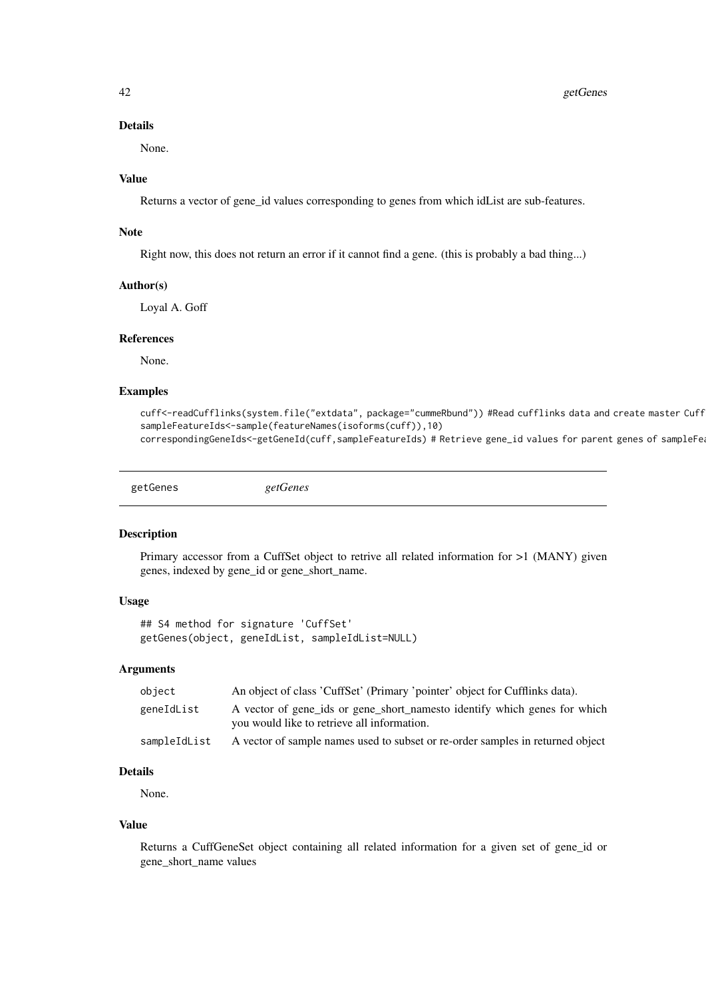<span id="page-41-0"></span>42 getGenes

#### Details

None.

### Value

Returns a vector of gene\_id values corresponding to genes from which idList are sub-features.

#### Note

Right now, this does not return an error if it cannot find a gene. (this is probably a bad thing...)

#### Author(s)

Loyal A. Goff

#### References

None.

#### Examples

cuff<-readCufflinks(system.file("extdata", package="cummeRbund")) #Read cufflinks data and create master Cuff sampleFeatureIds<-sample(featureNames(isoforms(cuff)),10) correspondingGeneIds<-getGeneId(cuff,sampleFeatureIds) # Retrieve gene\_id values for parent genes of sampleFe

getGenes *getGenes*

#### Description

Primary accessor from a CuffSet object to retrive all related information for >1 (MANY) given genes, indexed by gene\_id or gene\_short\_name.

#### Usage

```
## S4 method for signature 'CuffSet'
getGenes(object, geneIdList, sampleIdList=NULL)
```
#### Arguments

| object       | An object of class 'CuffSet' (Primary 'pointer' object for Cufflinks data).    |
|--------------|--------------------------------------------------------------------------------|
| geneIdList   | A vector of gene_ids or gene_short_namesto identify which genes for which      |
|              | you would like to retrieve all information.                                    |
| sampleIdList | A vector of sample names used to subset or re-order samples in returned object |

### Details

None.

### Value

Returns a CuffGeneSet object containing all related information for a given set of gene\_id or gene\_short\_name values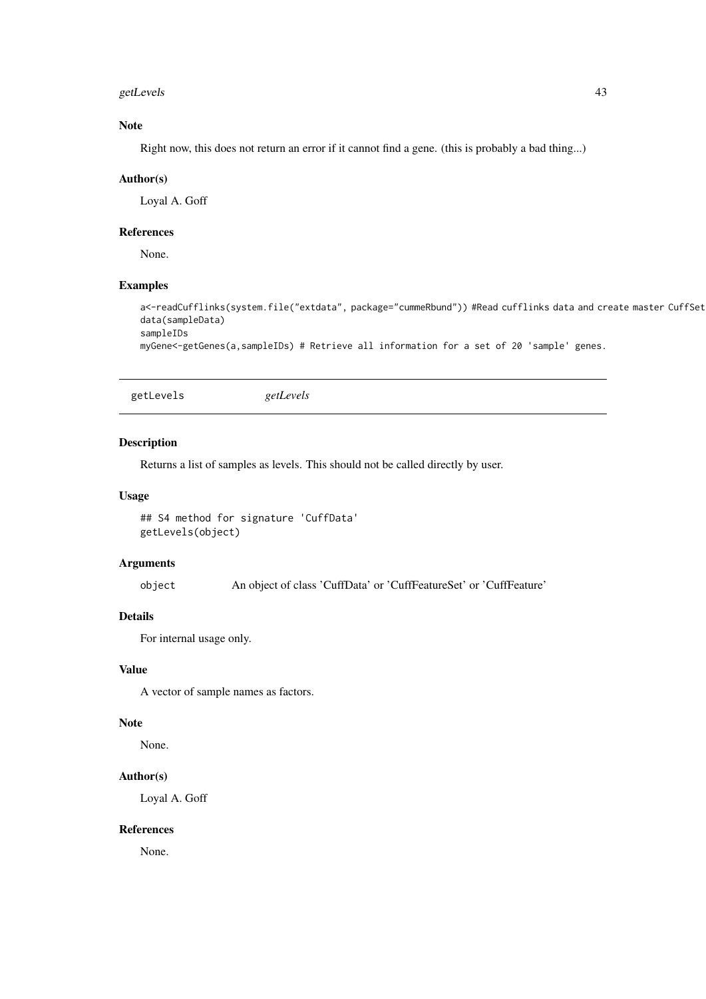#### <span id="page-42-0"></span>getLevels 43

### Note

Right now, this does not return an error if it cannot find a gene. (this is probably a bad thing...)

#### Author(s)

Loyal A. Goff

#### References

None.

### Examples

```
a<-readCufflinks(system.file("extdata", package="cummeRbund")) #Read cufflinks data and create master CuffSet
data(sampleData)
sampleIDs
```
myGene<-getGenes(a,sampleIDs) # Retrieve all information for a set of 20 'sample' genes.

getLevels *getLevels*

#### Description

Returns a list of samples as levels. This should not be called directly by user.

#### Usage

```
## S4 method for signature 'CuffData'
getLevels(object)
```
### Arguments

object An object of class 'CuffData' or 'CuffFeatureSet' or 'CuffFeature'

#### Details

For internal usage only.

### Value

A vector of sample names as factors.

#### Note

None.

#### Author(s)

Loyal A. Goff

#### References

None.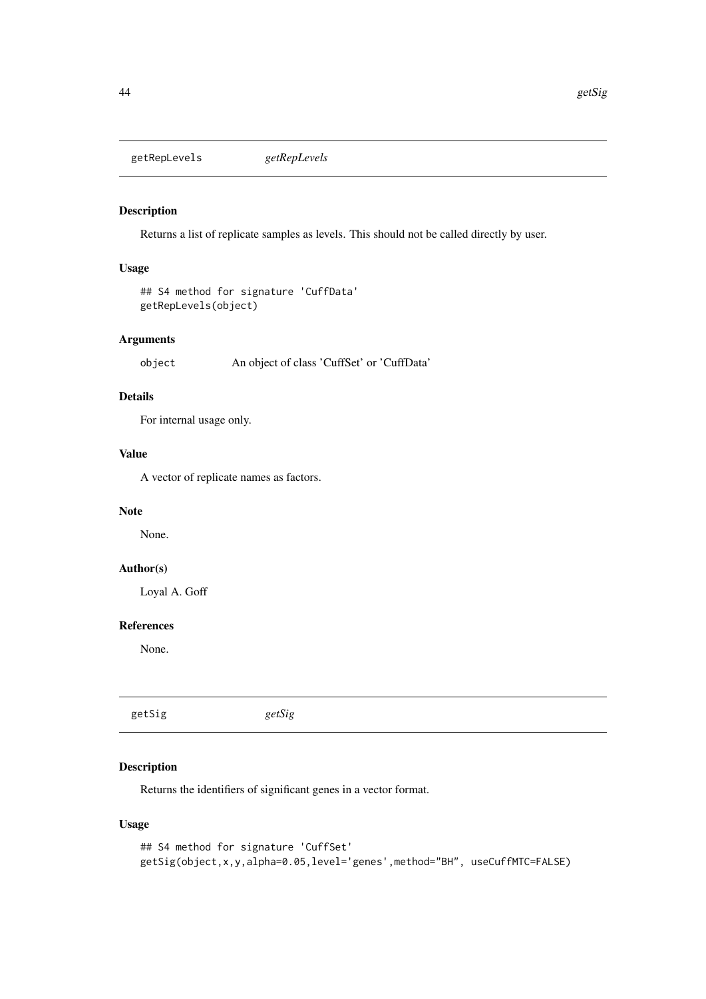<span id="page-43-0"></span>getRepLevels *getRepLevels*

### Description

Returns a list of replicate samples as levels. This should not be called directly by user.

#### Usage

```
## S4 method for signature 'CuffData'
getRepLevels(object)
```
#### Arguments

object An object of class 'CuffSet' or 'CuffData'

### Details

For internal usage only.

### Value

A vector of replicate names as factors.

#### Note

None.

### Author(s)

Loyal A. Goff

#### References

None.

| getSig | getSig |  |
|--------|--------|--|
|        |        |  |

### Description

Returns the identifiers of significant genes in a vector format.

### Usage

```
## S4 method for signature 'CuffSet'
getSig(object,x,y,alpha=0.05,level='genes',method="BH", useCuffMTC=FALSE)
```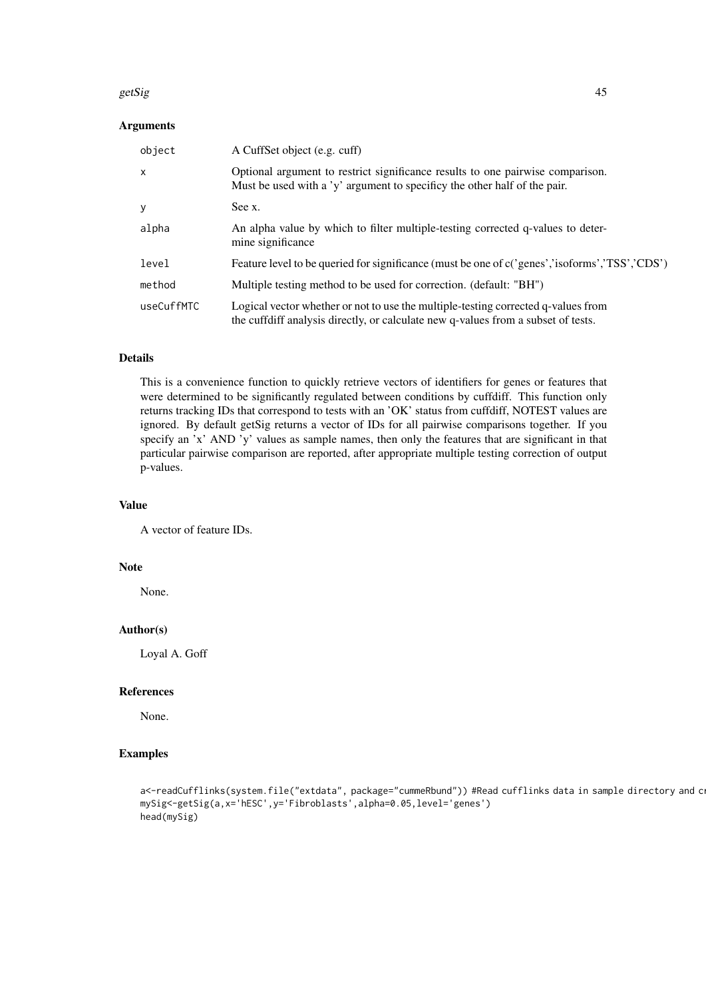#### getSig and the setSig 45 setSig and the setSig and the setSig and the setSig and the setSig and the setSig and the setSig and the setSig and the setSig and the setSig and the setSig and the setSig and the setSig and the se

### Arguments

| object       | A CuffSet object (e.g. cuff)                                                                                                                                           |
|--------------|------------------------------------------------------------------------------------------------------------------------------------------------------------------------|
| $\mathsf{x}$ | Optional argument to restrict significance results to one pairwise comparison.<br>Must be used with a 'y' argument to specificy the other half of the pair.            |
| y            | See x.                                                                                                                                                                 |
| alpha        | An alpha value by which to filter multiple-testing corrected q-values to deter-<br>mine significance                                                                   |
| level        | Feature level to be queried for significance (must be one of c('genes','isoforms','TSS','CDS')                                                                         |
| method       | Multiple testing method to be used for correction. (default: "BH")                                                                                                     |
| useCuffMTC   | Logical vector whether or not to use the multiple-testing corrected q-values from<br>the cuffdiff analysis directly, or calculate new q-values from a subset of tests. |

### Details

This is a convenience function to quickly retrieve vectors of identifiers for genes or features that were determined to be significantly regulated between conditions by cuffdiff. This function only returns tracking IDs that correspond to tests with an 'OK' status from cuffdiff, NOTEST values are ignored. By default getSig returns a vector of IDs for all pairwise comparisons together. If you specify an 'x' AND 'y' values as sample names, then only the features that are significant in that particular pairwise comparison are reported, after appropriate multiple testing correction of output p-values.

#### Value

A vector of feature IDs.

#### Note

None.

### Author(s)

Loyal A. Goff

#### References

None.

```
a<-readCufflinks(system.file("extdata", package="cummeRbund")) #Read cufflinks data in sample directory and c
mySig<-getSig(a,x='hESC',y='Fibroblasts',alpha=0.05,level='genes')
head(mySig)
```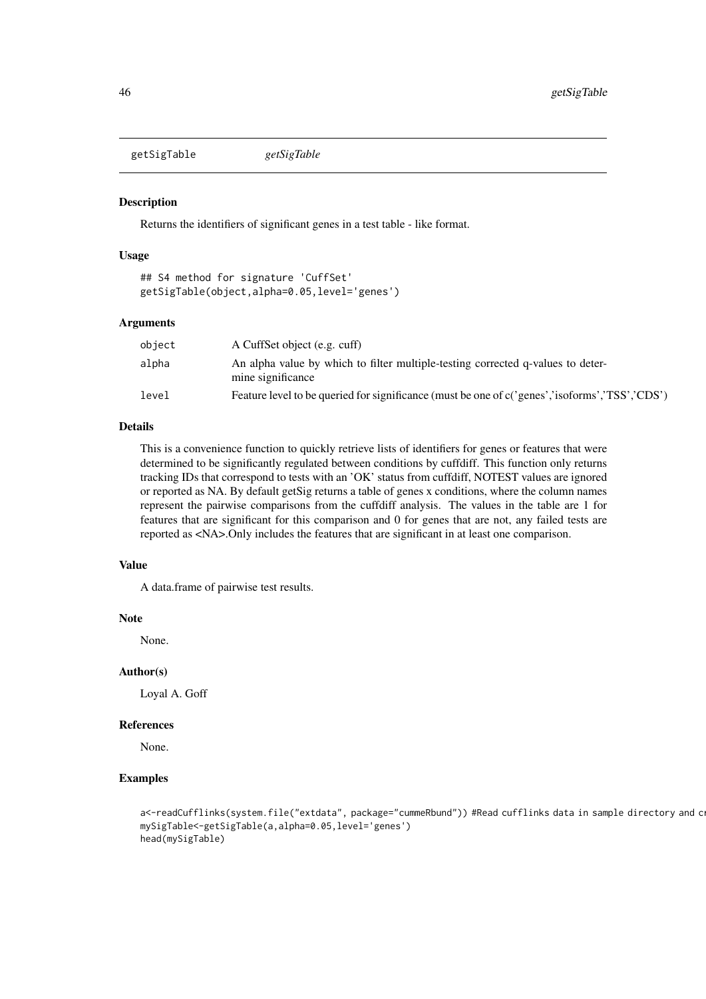<span id="page-45-0"></span>getSigTable *getSigTable*

### Description

Returns the identifiers of significant genes in a test table - like format.

### Usage

```
## S4 method for signature 'CuffSet'
getSigTable(object,alpha=0.05,level='genes')
```
#### Arguments

| object | A CuffSet object (e.g. cuff)                                                                         |
|--------|------------------------------------------------------------------------------------------------------|
| alpha  | An alpha value by which to filter multiple-testing corrected q-values to deter-<br>mine significance |
| level  | Feature level to be queried for significance (must be one of c('genes','isoforms','TSS','CDS')       |

#### Details

This is a convenience function to quickly retrieve lists of identifiers for genes or features that were determined to be significantly regulated between conditions by cuffdiff. This function only returns tracking IDs that correspond to tests with an 'OK' status from cuffdiff, NOTEST values are ignored or reported as NA. By default getSig returns a table of genes x conditions, where the column names represent the pairwise comparisons from the cuffdiff analysis. The values in the table are 1 for features that are significant for this comparison and 0 for genes that are not, any failed tests are reported as <NA>.Only includes the features that are significant in at least one comparison.

### Value

A data.frame of pairwise test results.

#### Note

None.

#### Author(s)

Loyal A. Goff

#### References

None.

```
a<-readCufflinks(system.file("extdata", package="cummeRbund")) #Read cufflinks data in sample directory and c
mySigTable<-getSigTable(a,alpha=0.05,level='genes')
head(mySigTable)
```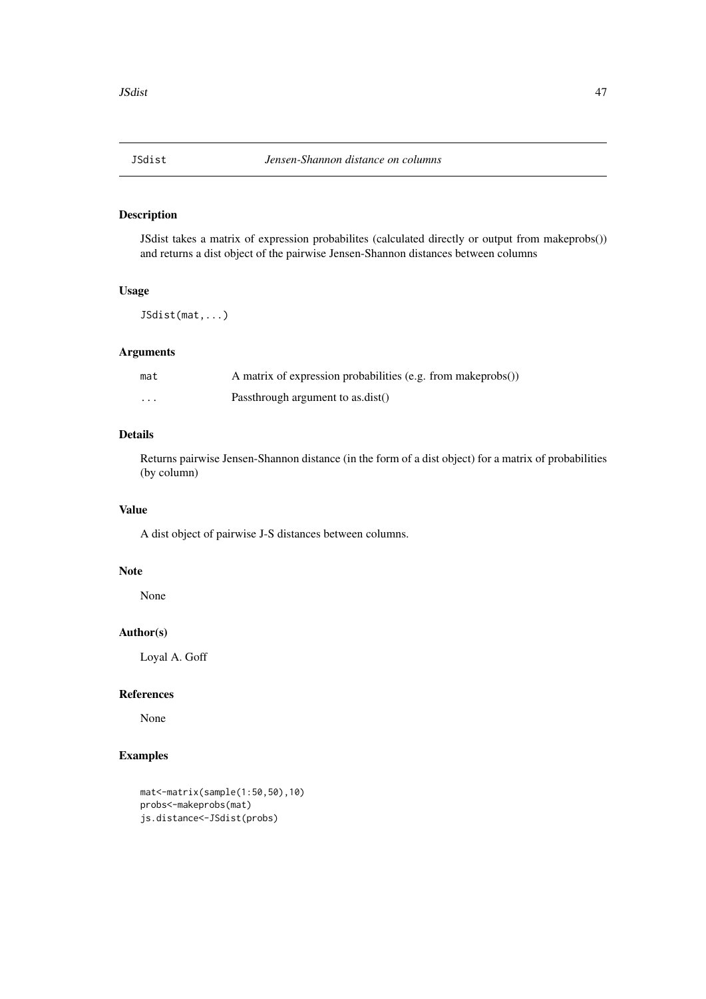<span id="page-46-0"></span>

### Description

JSdist takes a matrix of expression probabilites (calculated directly or output from makeprobs()) and returns a dist object of the pairwise Jensen-Shannon distances between columns

### Usage

JSdist(mat,...)

### Arguments

| mat | A matrix of expression probabilities (e.g. from makeprobs()) |
|-----|--------------------------------------------------------------|
| .   | Passthrough argument to as.dist()                            |

### Details

Returns pairwise Jensen-Shannon distance (in the form of a dist object) for a matrix of probabilities (by column)

#### Value

A dist object of pairwise J-S distances between columns.

### Note

None

### Author(s)

Loyal A. Goff

### References

None

```
mat<-matrix(sample(1:50,50),10)
probs<-makeprobs(mat)
js.distance<-JSdist(probs)
```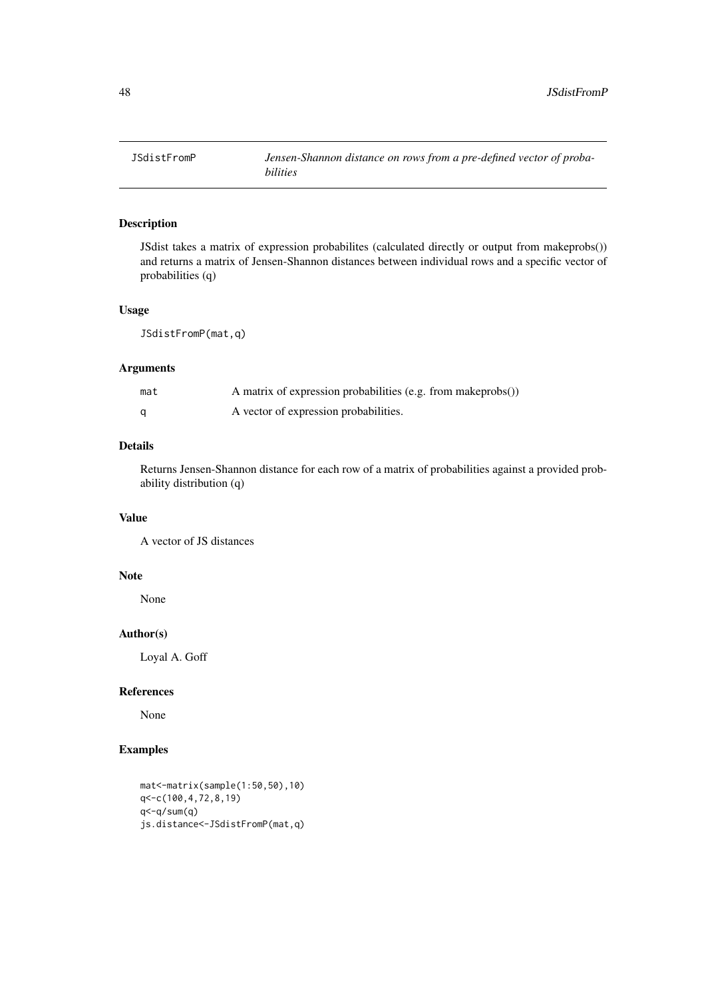<span id="page-47-0"></span>

### Description

JSdist takes a matrix of expression probabilites (calculated directly or output from makeprobs()) and returns a matrix of Jensen-Shannon distances between individual rows and a specific vector of probabilities (q)

#### Usage

JSdistFromP(mat,q)

### Arguments

| mat | A matrix of expression probabilities (e.g. from makeprobs()) |
|-----|--------------------------------------------------------------|
|     | A vector of expression probabilities.                        |

### Details

Returns Jensen-Shannon distance for each row of a matrix of probabilities against a provided probability distribution (q)

### Value

A vector of JS distances

### Note

None

### Author(s)

Loyal A. Goff

#### References

None

```
mat<-matrix(sample(1:50,50),10)
q<-c(100,4,72,8,19)
q < -q/sum(q)js.distance<-JSdistFromP(mat,q)
```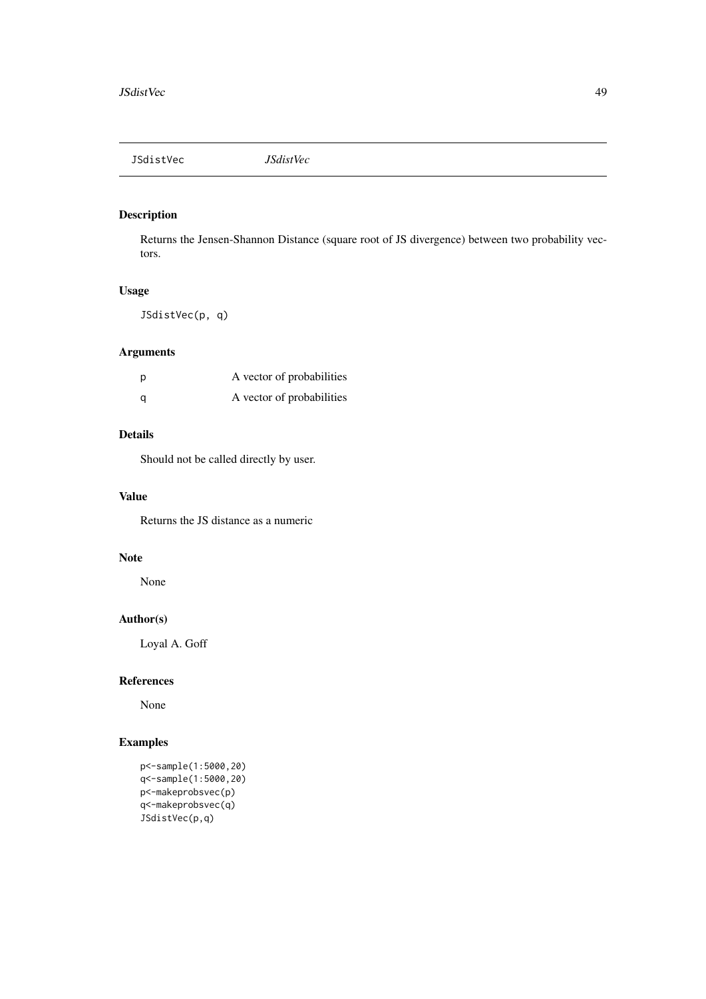<span id="page-48-0"></span>JSdistVec *JSdistVec*

### Description

Returns the Jensen-Shannon Distance (square root of JS divergence) between two probability vectors.

### Usage

JSdistVec(p, q)

### Arguments

| - p | A vector of probabilities |
|-----|---------------------------|
| - a | A vector of probabilities |

### Details

Should not be called directly by user.

#### Value

Returns the JS distance as a numeric

### Note

None

### Author(s)

Loyal A. Goff

### References

None

```
p<-sample(1:5000,20)
q<-sample(1:5000,20)
p<-makeprobsvec(p)
q<-makeprobsvec(q)
JSdistVec(p,q)
```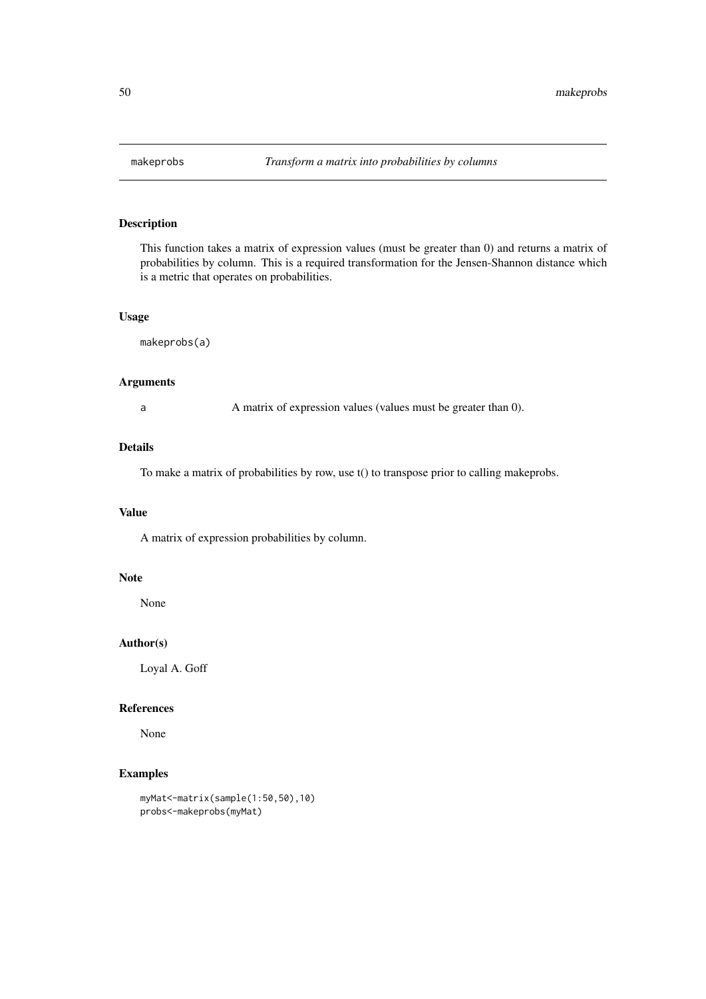<span id="page-49-0"></span>

### Description

This function takes a matrix of expression values (must be greater than 0) and returns a matrix of probabilities by column. This is a required transformation for the Jensen-Shannon distance which is a metric that operates on probabilities.

### Usage

makeprobs(a)

### Arguments

a A matrix of expression values (values must be greater than 0).

### Details

To make a matrix of probabilities by row, use t() to transpose prior to calling makeprobs.

### Value

A matrix of expression probabilities by column.

### Note

None

### Author(s)

Loyal A. Goff

#### References

None

```
myMat<-matrix(sample(1:50,50),10)
probs<-makeprobs(myMat)
```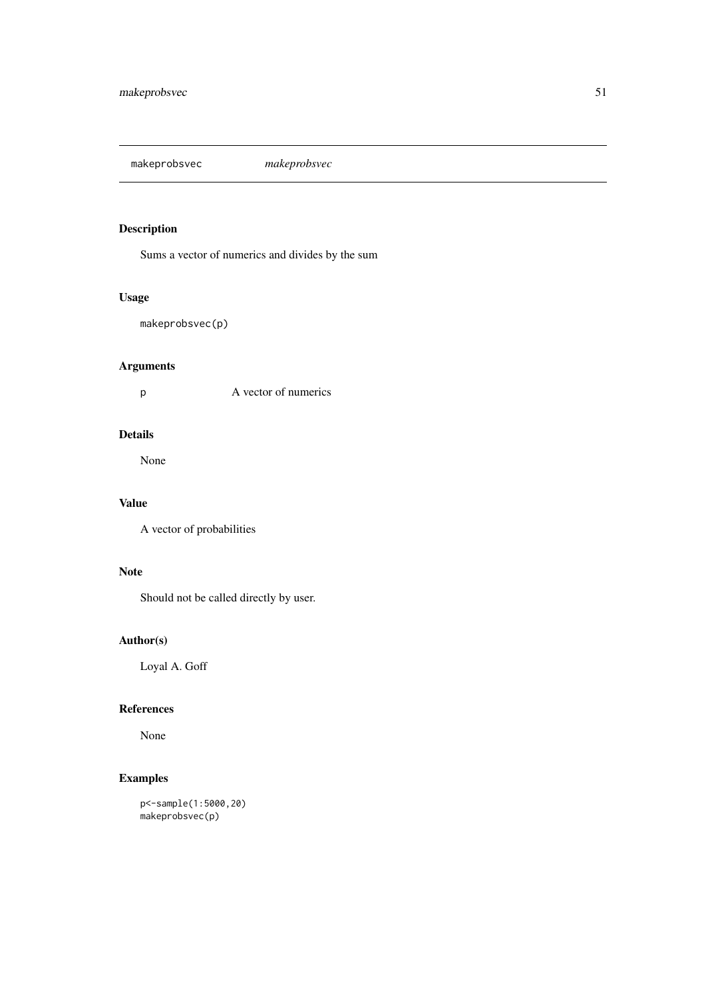<span id="page-50-0"></span>makeprobsvec *makeprobsvec*

### Description

Sums a vector of numerics and divides by the sum

### Usage

makeprobsvec(p)

### Arguments

p A vector of numerics

### Details

None

### Value

A vector of probabilities

### Note

Should not be called directly by user.

### Author(s)

Loyal A. Goff

### References

None

### Examples

p<-sample(1:5000,20) makeprobsvec(p)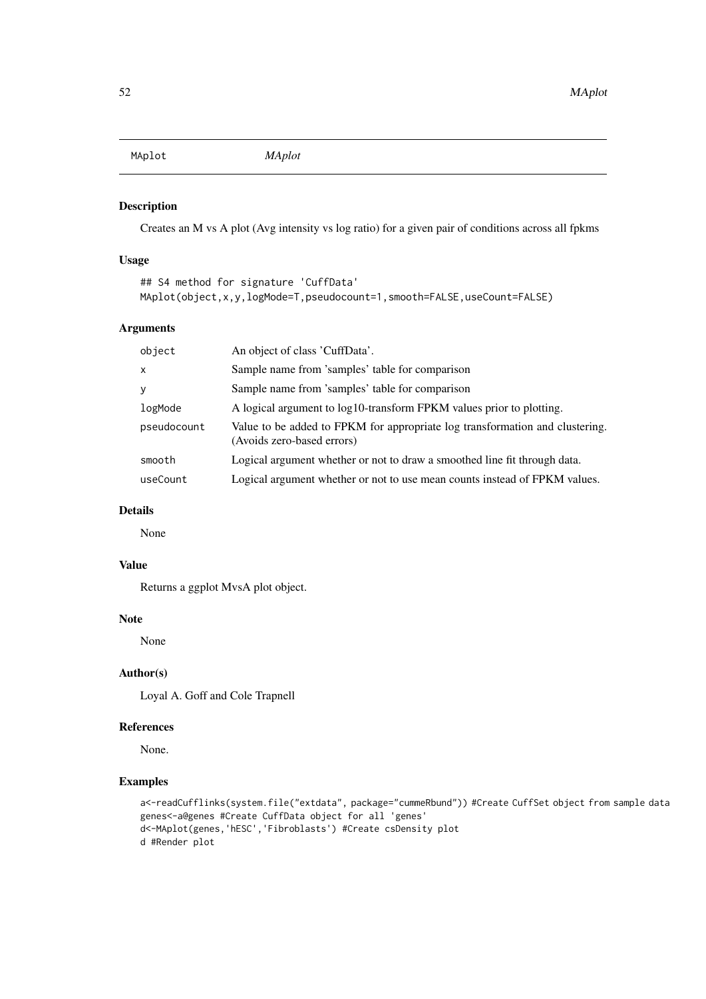<span id="page-51-0"></span>MAplot *MAplot*

#### Description

Creates an M vs A plot (Avg intensity vs log ratio) for a given pair of conditions across all fpkms

### Usage

```
## S4 method for signature 'CuffData'
MAplot(object,x,y,logMode=T,pseudocount=1,smooth=FALSE,useCount=FALSE)
```
### Arguments

| object       | An object of class 'CuffData'.                                                                             |
|--------------|------------------------------------------------------------------------------------------------------------|
| $\mathsf{x}$ | Sample name from 'samples' table for comparison                                                            |
| y            | Sample name from 'samples' table for comparison                                                            |
| logMode      | A logical argument to log10-transform FPKM values prior to plotting.                                       |
| pseudocount  | Value to be added to FPKM for appropriate log transformation and clustering.<br>(Avoids zero-based errors) |
| smooth       | Logical argument whether or not to draw a smoothed line fit through data.                                  |
| useCount     | Logical argument whether or not to use mean counts instead of FPKM values.                                 |

#### Details

None

### Value

Returns a ggplot MvsA plot object.

### Note

None

### Author(s)

Loyal A. Goff and Cole Trapnell

#### References

None.

```
a<-readCufflinks(system.file("extdata", package="cummeRbund")) #Create CuffSet object from sample data
genes<-a@genes #Create CuffData object for all 'genes'
d<-MAplot(genes,'hESC','Fibroblasts') #Create csDensity plot
d #Render plot
```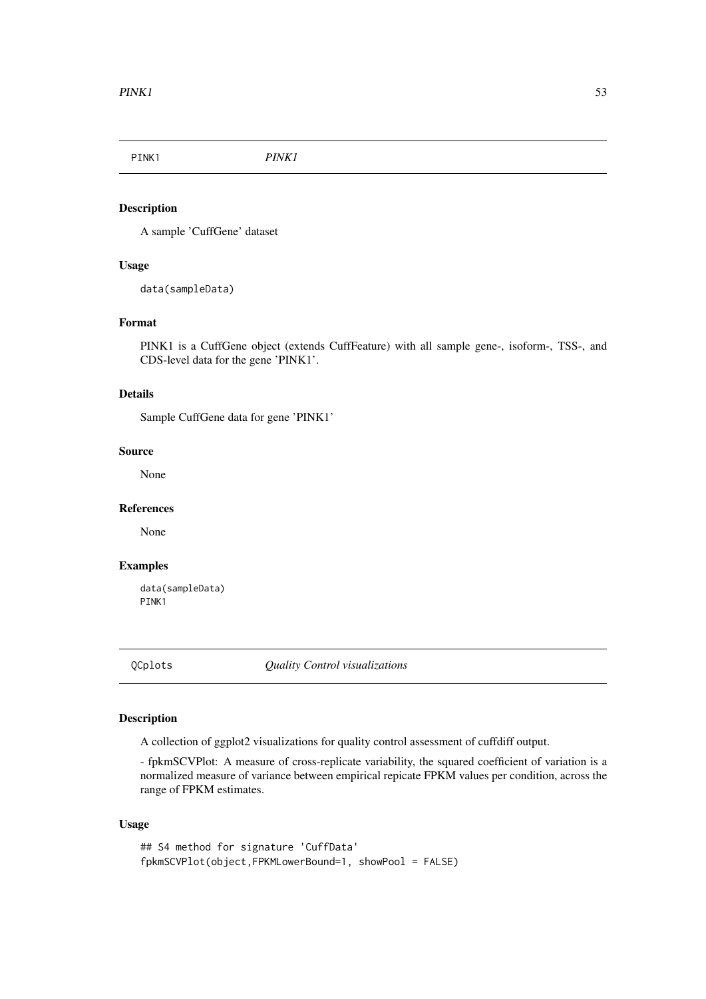<span id="page-52-0"></span>

### Description

A sample 'CuffGene' dataset

### Usage

data(sampleData)

#### Format

PINK1 is a CuffGene object (extends CuffFeature) with all sample gene-, isoform-, TSS-, and CDS-level data for the gene 'PINK1'.

#### Details

Sample CuffGene data for gene 'PINK1'

#### Source

None

#### References

None

#### Examples

data(sampleData) PINK1

QCplots *Quality Control visualizations*

#### Description

A collection of ggplot2 visualizations for quality control assessment of cuffdiff output.

- fpkmSCVPlot: A measure of cross-replicate variability, the squared coefficient of variation is a normalized measure of variance between empirical repicate FPKM values per condition, across the range of FPKM estimates.

### Usage

```
## S4 method for signature 'CuffData'
fpkmSCVPlot(object,FPKMLowerBound=1, showPool = FALSE)
```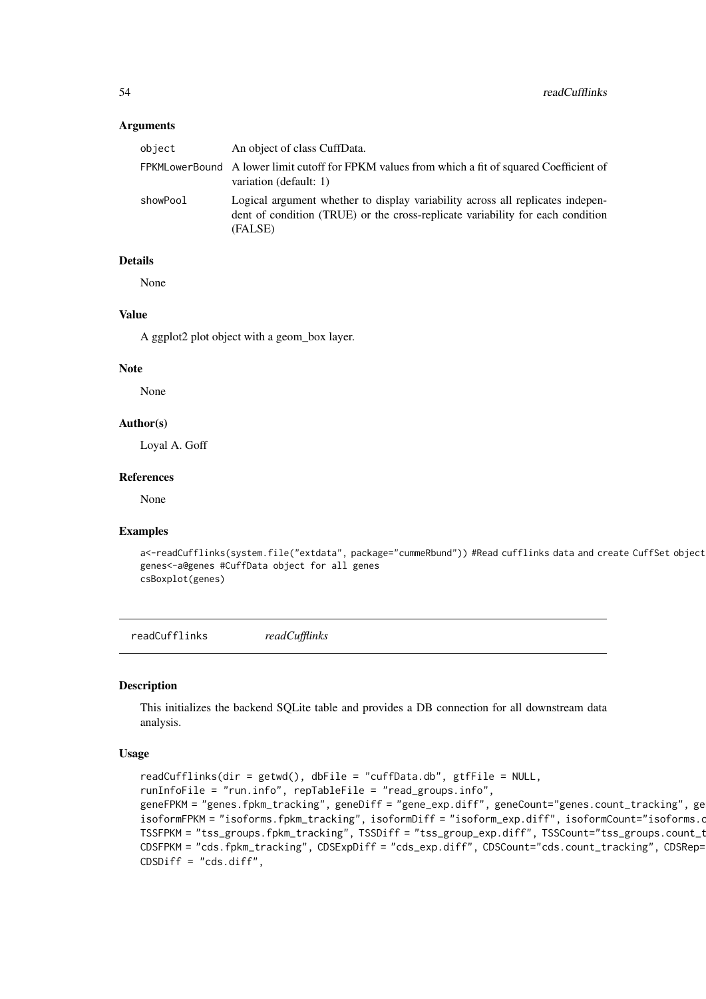#### <span id="page-53-0"></span>Arguments

| object   | An object of class CuffData.                                                                                                                                                |
|----------|-----------------------------------------------------------------------------------------------------------------------------------------------------------------------------|
|          | FPKMLowerBound A lower limit cutoff for FPKM values from which a fit of squared Coefficient of<br>variation (default: 1)                                                    |
| showPool | Logical argument whether to display variability across all replicates indepen-<br>dent of condition (TRUE) or the cross-replicate variability for each condition<br>(FALSE) |

#### Details

None

#### Value

A ggplot2 plot object with a geom\_box layer.

#### Note

None

### Author(s)

Loyal A. Goff

#### References

None

#### Examples

```
a<-readCufflinks(system.file("extdata", package="cummeRbund")) #Read cufflinks data and create CuffSet object
genes<-a@genes #CuffData object for all genes
csBoxplot(genes)
```
readCufflinks *readCufflinks*

#### Description

This initializes the backend SQLite table and provides a DB connection for all downstream data analysis.

#### Usage

```
readCufflinks(dir = getwd(), dbFile = "cuffData.db", gtfFile = NULL,
runInfoFile = "run.info", repTableFile = "read_groups.info",
geneFPKM = "genes.fpkm_tracking", geneDiff = "gene_exp.diff", geneCount="genes.count_tracking", ge
isoformFPKM = "isoforms.fpkm_tracking", isoformDiff = "isoform_exp.diff", isoformCount="isoforms.c
TSSFPKM = "tss_groups.fpkm_tracking", TSSDiff = "tss_group_exp.diff", TSSCount="tss_groups.count_t
CDSFPKM = "cds.fpkm_tracking", CDSExpDiff = "cds_exp.diff", CDSCount="cds.count_tracking", CDSRep=
CDSDiff = "cds.diff",
```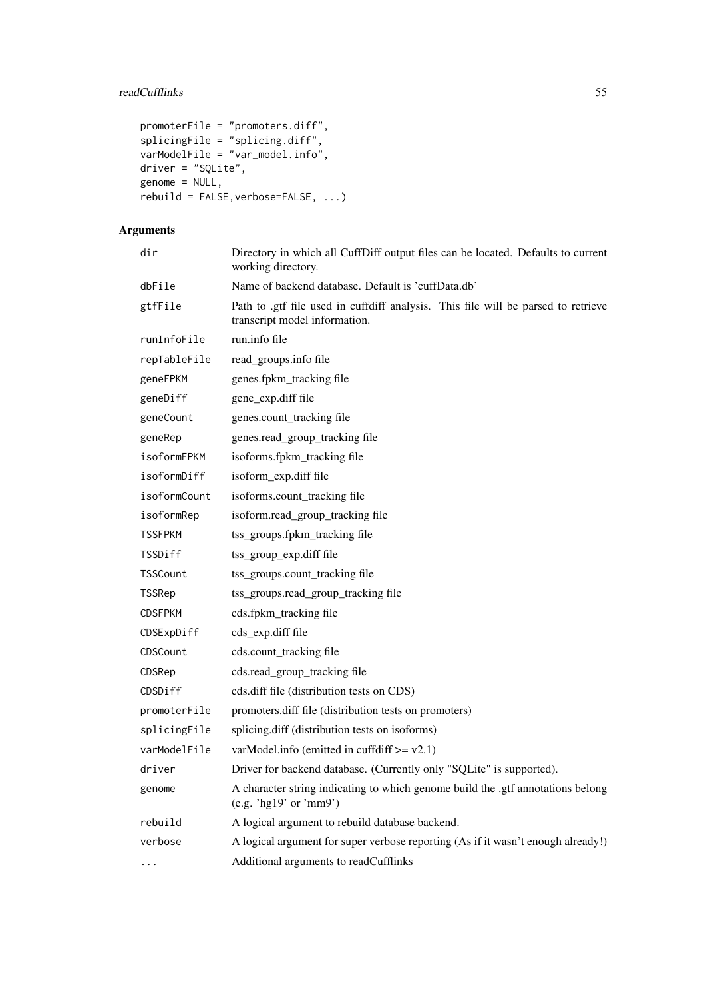### readCufflinks 55

```
promoterFile = "promoters.diff",
splicingFile = "splicing.diff",varModelFile = "var_model.info",
driver = "SQLite",
genome = NULL,
rebuild = FALSE, verbose = FALSE, ...)
```
## Arguments

| dir            | Directory in which all CuffDiff output files can be located. Defaults to current<br>working directory.            |
|----------------|-------------------------------------------------------------------------------------------------------------------|
| dbFile         | Name of backend database. Default is 'cuffData.db'                                                                |
| gtfFile        | Path to gtf file used in cuffdiff analysis. This file will be parsed to retrieve<br>transcript model information. |
| runInfoFile    | run.info file                                                                                                     |
| repTableFile   | read_groups.info file                                                                                             |
| geneFPKM       | genes.fpkm_tracking file                                                                                          |
| geneDiff       | gene_exp.diff file                                                                                                |
| geneCount      | genes.count_tracking file                                                                                         |
| geneRep        | genes.read_group_tracking file                                                                                    |
| isoformFPKM    | isoforms.fpkm_tracking file                                                                                       |
| isoformDiff    | isoform_exp.diff file                                                                                             |
| isoformCount   | isoforms.count_tracking file                                                                                      |
| isoformRep     | isoform.read_group_tracking file                                                                                  |
| <b>TSSFPKM</b> | tss_groups.fpkm_tracking file                                                                                     |
| TSSDiff        | tss_group_exp.diff file                                                                                           |
| TSSCount       | tss_groups.count_tracking file                                                                                    |
| <b>TSSRep</b>  | tss_groups.read_group_tracking file                                                                               |
| <b>CDSFPKM</b> | cds.fpkm_tracking file                                                                                            |
| CDSExpDiff     | cds_exp.diff file                                                                                                 |
| CDSCount       | cds.count_tracking file                                                                                           |
| CDSRep         | cds.read_group_tracking file                                                                                      |
| CDSDiff        | cds.diff file (distribution tests on CDS)                                                                         |
| promoterFile   | promoters.diff file (distribution tests on promoters)                                                             |
| splicingFile   | splicing.diff (distribution tests on isoforms)                                                                    |
| varModelFile   | varModel.info (emitted in cuffdiff $\ge$ = v2.1)                                                                  |
| driver         | Driver for backend database. (Currently only "SQLite" is supported).                                              |
| genome         | A character string indicating to which genome build the .gtf annotations belong<br>(e.g. 'hg19' or 'mm9')         |
| rebuild        | A logical argument to rebuild database backend.                                                                   |
| verbose        | A logical argument for super verbose reporting (As if it wasn't enough already!)                                  |
| $\cdots$       | Additional arguments to readCufflinks                                                                             |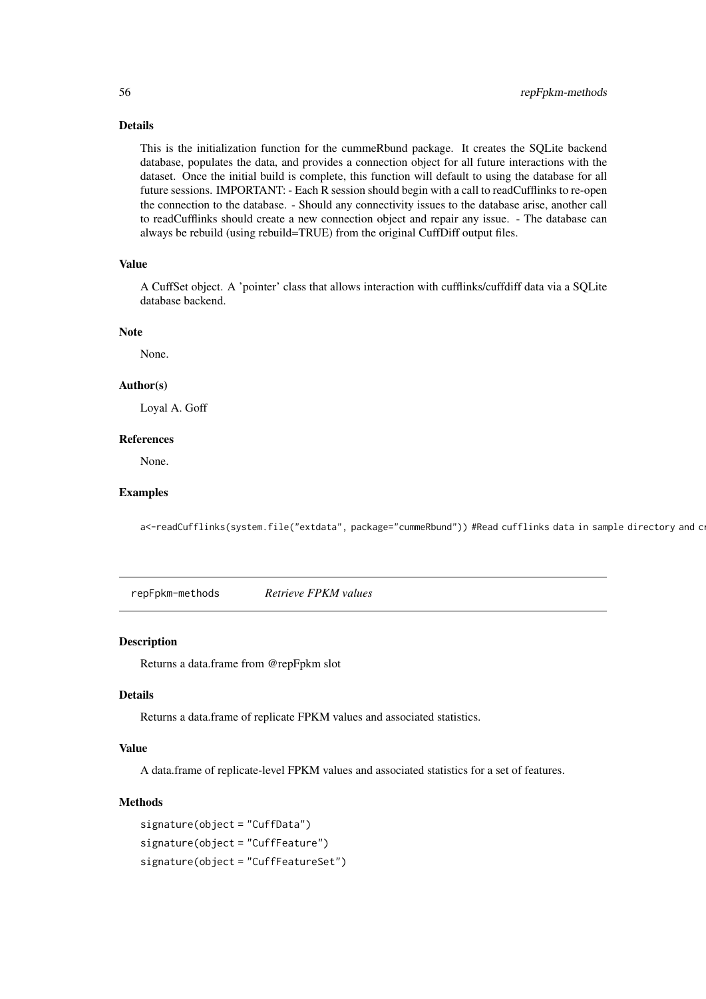#### Details

This is the initialization function for the cummeRbund package. It creates the SQLite backend database, populates the data, and provides a connection object for all future interactions with the dataset. Once the initial build is complete, this function will default to using the database for all future sessions. IMPORTANT: - Each R session should begin with a call to readCufflinks to re-open the connection to the database. - Should any connectivity issues to the database arise, another call to readCufflinks should create a new connection object and repair any issue. - The database can always be rebuild (using rebuild=TRUE) from the original CuffDiff output files.

#### Value

A CuffSet object. A 'pointer' class that allows interaction with cufflinks/cuffdiff data via a SQLite database backend.

#### Note

None.

#### Author(s)

Loyal A. Goff

#### References

None.

#### Examples

a<-readCufflinks(system.file("extdata", package="cummeRbund")) #Read cufflinks data in sample directory and c

repFpkm-methods *Retrieve FPKM values*

#### Description

Returns a data.frame from @repFpkm slot

#### Details

Returns a data.frame of replicate FPKM values and associated statistics.

#### Value

A data.frame of replicate-level FPKM values and associated statistics for a set of features.

#### **Methods**

```
signature(object = "CuffData")
signature(object = "CuffFeature")
signature(object = "CuffFeatureSet")
```
<span id="page-55-0"></span>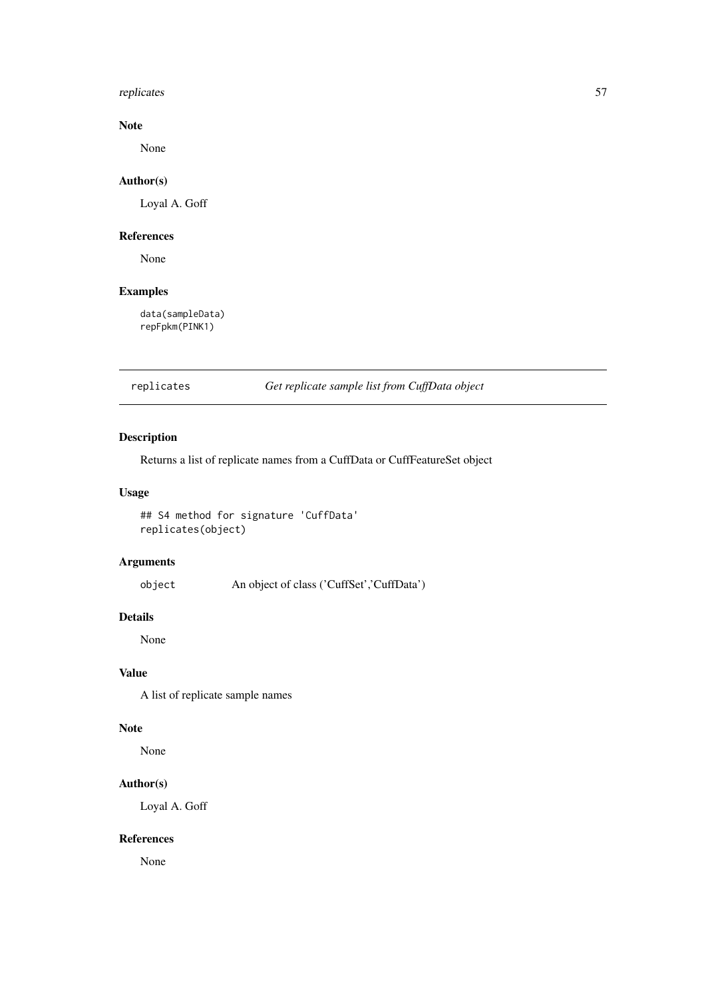#### <span id="page-56-0"></span>replicates 57

### Note

None

### Author(s)

Loyal A. Goff

#### References

None

### Examples

data(sampleData) repFpkm(PINK1)

replicates *Get replicate sample list from CuffData object*

### Description

Returns a list of replicate names from a CuffData or CuffFeatureSet object

### Usage

```
## S4 method for signature 'CuffData'
replicates(object)
```
### Arguments

object An object of class ('CuffSet','CuffData')

### Details

None

### Value

A list of replicate sample names

#### Note

None

### Author(s)

Loyal A. Goff

### References

None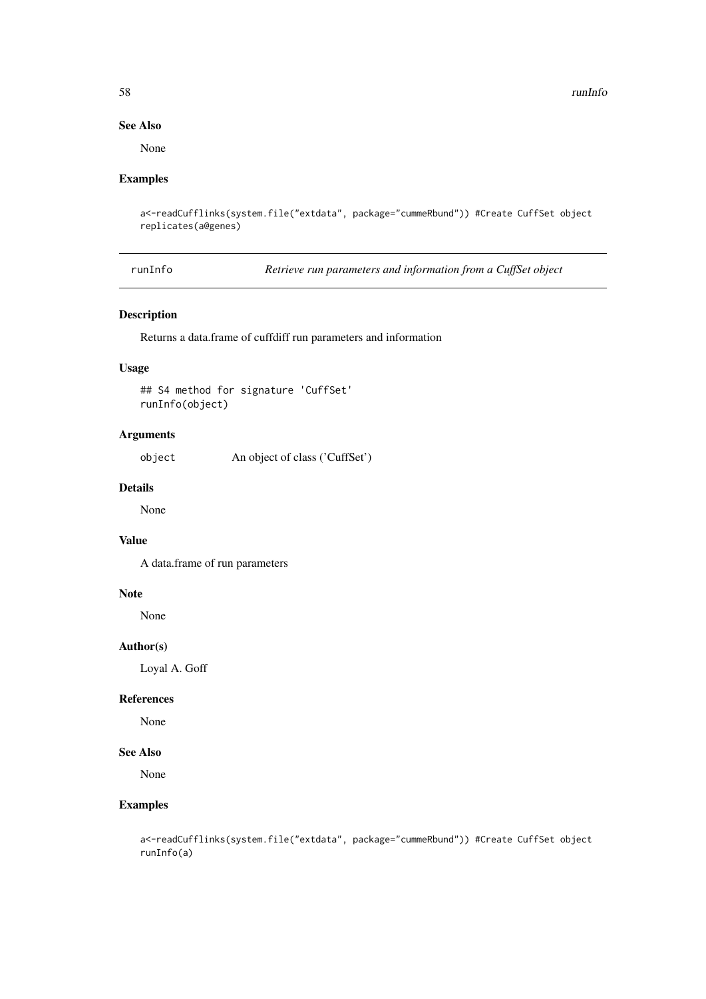<span id="page-57-0"></span>58 runInfo

#### See Also

None

### Examples

```
a<-readCufflinks(system.file("extdata", package="cummeRbund")) #Create CuffSet object
replicates(a@genes)
```
runInfo *Retrieve run parameters and information from a CuffSet object*

#### Description

Returns a data.frame of cuffdiff run parameters and information

### Usage

```
## S4 method for signature 'CuffSet'
runInfo(object)
```
### Arguments

object An object of class ('CuffSet')

### Details

None

### Value

A data.frame of run parameters

### Note

None

#### Author(s)

Loyal A. Goff

#### References

None

#### See Also

None

```
a<-readCufflinks(system.file("extdata", package="cummeRbund")) #Create CuffSet object
runInfo(a)
```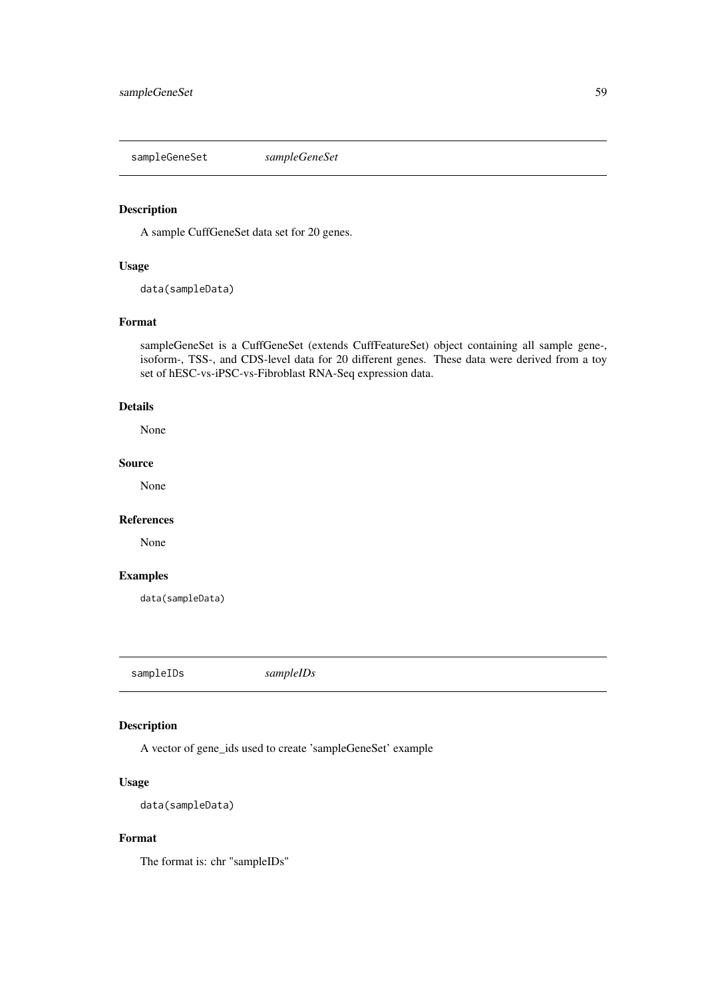<span id="page-58-0"></span>sampleGeneSet *sampleGeneSet*

#### Description

A sample CuffGeneSet data set for 20 genes.

### Usage

data(sampleData)

#### Format

sampleGeneSet is a CuffGeneSet (extends CuffFeatureSet) object containing all sample gene-, isoform-, TSS-, and CDS-level data for 20 different genes. These data were derived from a toy set of hESC-vs-iPSC-vs-Fibroblast RNA-Seq expression data.

#### Details

None

#### Source

None

### References

None

### Examples

data(sampleData)

sampleIDs *sampleIDs*

### Description

A vector of gene\_ids used to create 'sampleGeneSet' example

### Usage

data(sampleData)

### Format

The format is: chr "sampleIDs"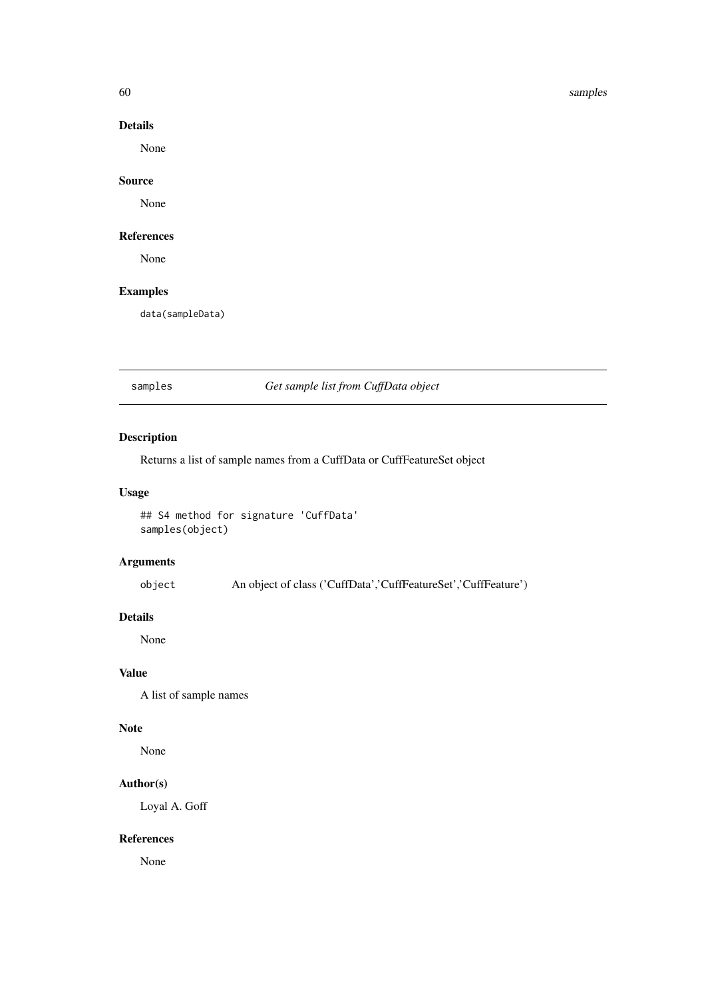<span id="page-59-0"></span>60 samples and the samples of the samples of the samples of the samples of the samples of the samples of the samples of the samples of the samples of the samples of the samples of the samples of the samples of the samples

### Details

None

### Source

None

#### References

None

### Examples

data(sampleData)

samples *Get sample list from CuffData object*

### Description

Returns a list of sample names from a CuffData or CuffFeatureSet object

### Usage

```
## S4 method for signature 'CuffData'
samples(object)
```
### Arguments

object An object of class ('CuffData','CuffFeatureSet','CuffFeature')

### Details

None

### Value

A list of sample names

### Note

None

### Author(s)

Loyal A. Goff

### References

None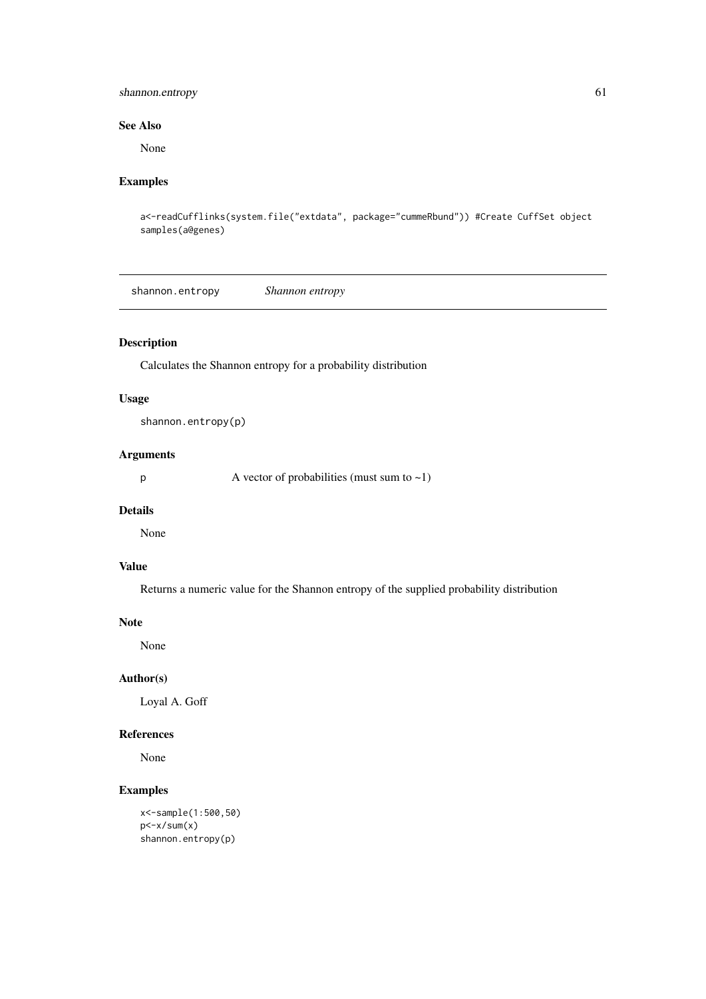#### <span id="page-60-0"></span>shannon.entropy 61

#### See Also

None

### Examples

```
a<-readCufflinks(system.file("extdata", package="cummeRbund")) #Create CuffSet object
samples(a@genes)
```
shannon.entropy *Shannon entropy*

### Description

Calculates the Shannon entropy for a probability distribution

### Usage

shannon.entropy(p)

### Arguments

 $p \rightarrow A$  vector of probabilities (must sum to  $\sim 1$ )

#### Details

None

### Value

Returns a numeric value for the Shannon entropy of the supplied probability distribution

#### Note

None

#### Author(s)

Loyal A. Goff

### References

None

```
x<-sample(1:500,50)
p < -x / sum(x)shannon.entropy(p)
```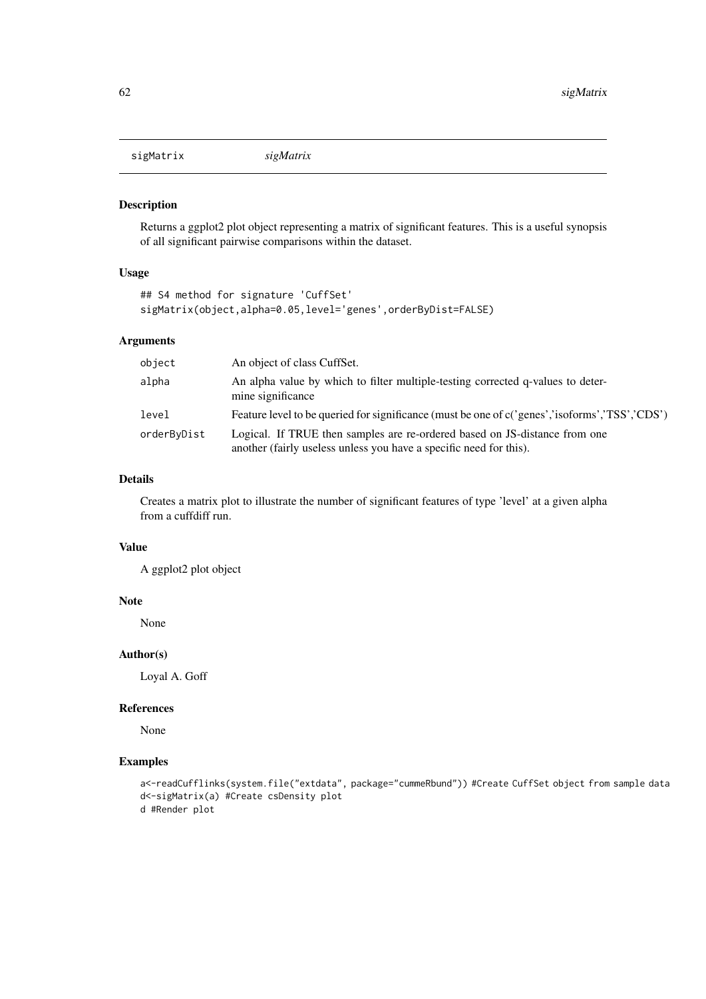<span id="page-61-0"></span>sigMatrix *sigMatrix*

### Description

Returns a ggplot2 plot object representing a matrix of significant features. This is a useful synopsis of all significant pairwise comparisons within the dataset.

### Usage

```
## S4 method for signature 'CuffSet'
sigMatrix(object,alpha=0.05,level='genes',orderByDist=FALSE)
```
### Arguments

| object      | An object of class CuffSet.                                                                                                                      |
|-------------|--------------------------------------------------------------------------------------------------------------------------------------------------|
| alpha       | An alpha value by which to filter multiple-testing corrected q-values to deter-<br>mine significance                                             |
| level       | Feature level to be queried for significance (must be one of c('genes','isoforms','TSS','CDS')                                                   |
| orderByDist | Logical. If TRUE then samples are re-ordered based on JS-distance from one<br>another (fairly useless unless you have a specific need for this). |

#### Details

Creates a matrix plot to illustrate the number of significant features of type 'level' at a given alpha from a cuffdiff run.

### Value

A ggplot2 plot object

#### Note

None

#### Author(s)

Loyal A. Goff

#### References

None

```
a<-readCufflinks(system.file("extdata", package="cummeRbund")) #Create CuffSet object from sample data
d<-sigMatrix(a) #Create csDensity plot
d #Render plot
```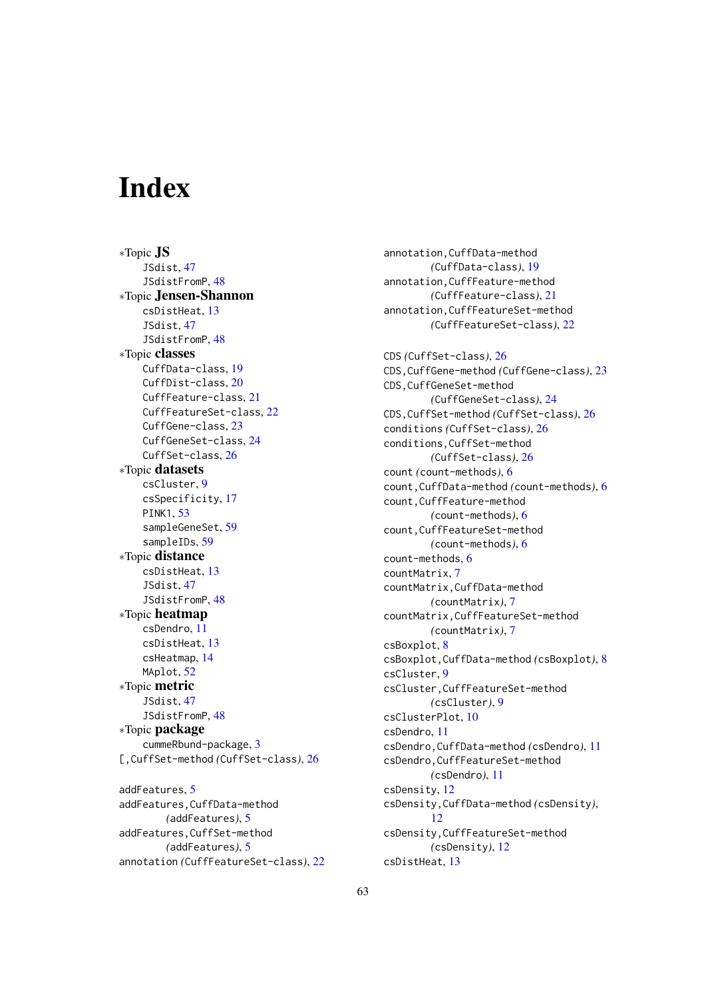# <span id="page-62-0"></span>Index

∗Topic JS JSdist, [47](#page-46-0) JSdistFromP, [48](#page-47-0) ∗Topic Jensen-Shannon csDistHeat, [13](#page-12-0) JSdist, [47](#page-46-0) JSdistFromP, [48](#page-47-0) ∗Topic classes CuffData-class, [19](#page-18-0) CuffDist-class, [20](#page-19-0) CuffFeature-class, [21](#page-20-0) CuffFeatureSet-class, [22](#page-21-0) CuffGene-class, [23](#page-22-0) CuffGeneSet-class, [24](#page-23-0) CuffSet-class, [26](#page-25-0) ∗Topic datasets csCluster, [9](#page-8-0) csSpecificity, [17](#page-16-0) PINK1, [53](#page-52-0) sampleGeneSet, [59](#page-58-0) sampleIDs, [59](#page-58-0) ∗Topic distance csDistHeat, [13](#page-12-0) JSdist, [47](#page-46-0) JSdistFromP, [48](#page-47-0) ∗Topic heatmap csDendro, [11](#page-10-0) csDistHeat, [13](#page-12-0) csHeatmap, [14](#page-13-0) MAplot, [52](#page-51-0) ∗Topic metric JSdist, [47](#page-46-0) JSdistFromP, [48](#page-47-0) ∗Topic package cummeRbund-package, [3](#page-2-0) [,CuffSet-method *(*CuffSet-class*)*, [26](#page-25-0) addFeatures, [5](#page-4-0) addFeatures,CuffData-method *(*addFeatures*)*, [5](#page-4-0)

addFeatures,CuffSet-method *(*addFeatures*)*, [5](#page-4-0) annotation *(*CuffFeatureSet-class*)*, [22](#page-21-0) annotation,CuffData-method *(*CuffData-class*)*, [19](#page-18-0) annotation,CuffFeature-method *(*CuffFeature-class*)*, [21](#page-20-0) annotation,CuffFeatureSet-method *(*CuffFeatureSet-class*)*, [22](#page-21-0)

CDS *(*CuffSet-class*)*, [26](#page-25-0) CDS,CuffGene-method *(*CuffGene-class*)*, [23](#page-22-0) CDS,CuffGeneSet-method *(*CuffGeneSet-class*)*, [24](#page-23-0) CDS,CuffSet-method *(*CuffSet-class*)*, [26](#page-25-0) conditions *(*CuffSet-class*)*, [26](#page-25-0) conditions,CuffSet-method *(*CuffSet-class*)*, [26](#page-25-0) count *(*count-methods*)*, [6](#page-5-0) count,CuffData-method *(*count-methods*)*, [6](#page-5-0) count,CuffFeature-method *(*count-methods*)*, [6](#page-5-0) count,CuffFeatureSet-method *(*count-methods*)*, [6](#page-5-0) count-methods, [6](#page-5-0) countMatrix, [7](#page-6-0) countMatrix,CuffData-method *(*countMatrix*)*, [7](#page-6-0) countMatrix,CuffFeatureSet-method *(*countMatrix*)*, [7](#page-6-0) csBoxplot, [8](#page-7-0) csBoxplot,CuffData-method *(*csBoxplot*)*, [8](#page-7-0) csCluster, [9](#page-8-0) csCluster,CuffFeatureSet-method *(*csCluster*)*, [9](#page-8-0) csClusterPlot, [10](#page-9-0) csDendro, [11](#page-10-0) csDendro,CuffData-method *(*csDendro*)*, [11](#page-10-0) csDendro,CuffFeatureSet-method *(*csDendro*)*, [11](#page-10-0) csDensity, [12](#page-11-0) csDensity,CuffData-method *(*csDensity*)*, [12](#page-11-0) csDensity,CuffFeatureSet-method *(*csDensity*)*, [12](#page-11-0) csDistHeat, [13](#page-12-0)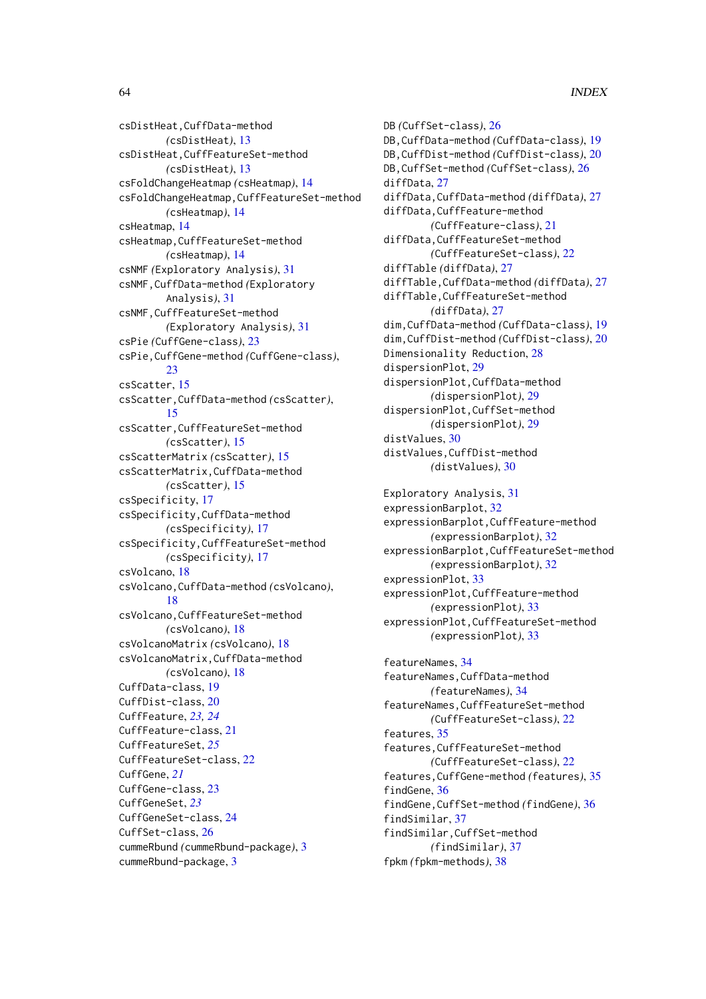csDistHeat,CuffData-method *(*csDistHeat*)*, [13](#page-12-0) csDistHeat,CuffFeatureSet-method *(*csDistHeat*)*, [13](#page-12-0) csFoldChangeHeatmap *(*csHeatmap*)*, [14](#page-13-0) csFoldChangeHeatmap,CuffFeatureSet-method *(*csHeatmap*)*, [14](#page-13-0) csHeatmap, [14](#page-13-0) csHeatmap,CuffFeatureSet-method *(*csHeatmap*)*, [14](#page-13-0) csNMF *(*Exploratory Analysis*)*, [31](#page-30-0) csNMF,CuffData-method *(*Exploratory Analysis*)*, [31](#page-30-0) csNMF,CuffFeatureSet-method *(*Exploratory Analysis*)*, [31](#page-30-0) csPie *(*CuffGene-class*)*, [23](#page-22-0) csPie,CuffGene-method *(*CuffGene-class*)*, [23](#page-22-0) csScatter, [15](#page-14-0) csScatter,CuffData-method *(*csScatter*)*, [15](#page-14-0) csScatter,CuffFeatureSet-method *(*csScatter*)*, [15](#page-14-0) csScatterMatrix *(*csScatter*)*, [15](#page-14-0) csScatterMatrix,CuffData-method *(*csScatter*)*, [15](#page-14-0) csSpecificity, [17](#page-16-0) csSpecificity,CuffData-method *(*csSpecificity*)*, [17](#page-16-0) csSpecificity,CuffFeatureSet-method *(*csSpecificity*)*, [17](#page-16-0) csVolcano, [18](#page-17-0) csVolcano,CuffData-method *(*csVolcano*)*, [18](#page-17-0) csVolcano,CuffFeatureSet-method *(*csVolcano*)*, [18](#page-17-0) csVolcanoMatrix *(*csVolcano*)*, [18](#page-17-0) csVolcanoMatrix,CuffData-method *(*csVolcano*)*, [18](#page-17-0) CuffData-class, [19](#page-18-0) CuffDist-class, [20](#page-19-0) CuffFeature, *[23,](#page-22-0) [24](#page-23-0)* CuffFeature-class, [21](#page-20-0) CuffFeatureSet, *[25](#page-24-0)* CuffFeatureSet-class, [22](#page-21-0) CuffGene, *[21](#page-20-0)* CuffGene-class, [23](#page-22-0) CuffGeneSet, *[23](#page-22-0)* CuffGeneSet-class, [24](#page-23-0) CuffSet-class, [26](#page-25-0) cummeRbund *(*cummeRbund-package*)*, [3](#page-2-0) cummeRbund-package, [3](#page-2-0)

DB *(*CuffSet-class*)*, [26](#page-25-0) DB,CuffData-method *(*CuffData-class*)*, [19](#page-18-0) DB,CuffDist-method *(*CuffDist-class*)*, [20](#page-19-0) DB,CuffSet-method *(*CuffSet-class*)*, [26](#page-25-0) diffData, [27](#page-26-0) diffData,CuffData-method *(*diffData*)*, [27](#page-26-0) diffData,CuffFeature-method *(*CuffFeature-class*)*, [21](#page-20-0) diffData,CuffFeatureSet-method *(*CuffFeatureSet-class*)*, [22](#page-21-0) diffTable *(*diffData*)*, [27](#page-26-0) diffTable,CuffData-method *(*diffData*)*, [27](#page-26-0) diffTable,CuffFeatureSet-method *(*diffData*)*, [27](#page-26-0) dim,CuffData-method *(*CuffData-class*)*, [19](#page-18-0) dim,CuffDist-method *(*CuffDist-class*)*, [20](#page-19-0) Dimensionality Reduction, [28](#page-27-0) dispersionPlot, [29](#page-28-0) dispersionPlot,CuffData-method *(*dispersionPlot*)*, [29](#page-28-0) dispersionPlot,CuffSet-method *(*dispersionPlot*)*, [29](#page-28-0) distValues, [30](#page-29-0) distValues,CuffDist-method *(*distValues*)*, [30](#page-29-0) Exploratory Analysis, [31](#page-30-0) expressionBarplot, [32](#page-31-0) expressionBarplot,CuffFeature-method *(*expressionBarplot*)*, [32](#page-31-0) expressionBarplot,CuffFeatureSet-method *(*expressionBarplot*)*, [32](#page-31-0) expressionPlot, [33](#page-32-0) expressionPlot,CuffFeature-method *(*expressionPlot*)*, [33](#page-32-0) expressionPlot,CuffFeatureSet-method *(*expressionPlot*)*, [33](#page-32-0) featureNames, [34](#page-33-0) featureNames,CuffData-method *(*featureNames*)*, [34](#page-33-0) featureNames,CuffFeatureSet-method *(*CuffFeatureSet-class*)*, [22](#page-21-0) features, [35](#page-34-0) features,CuffFeatureSet-method *(*CuffFeatureSet-class*)*, [22](#page-21-0) features,CuffGene-method *(*features*)*, [35](#page-34-0) findGene, [36](#page-35-0) findGene,CuffSet-method *(*findGene*)*, [36](#page-35-0) findSimilar, [37](#page-36-0) findSimilar,CuffSet-method *(*findSimilar*)*, [37](#page-36-0) fpkm *(*fpkm-methods*)*, [38](#page-37-0)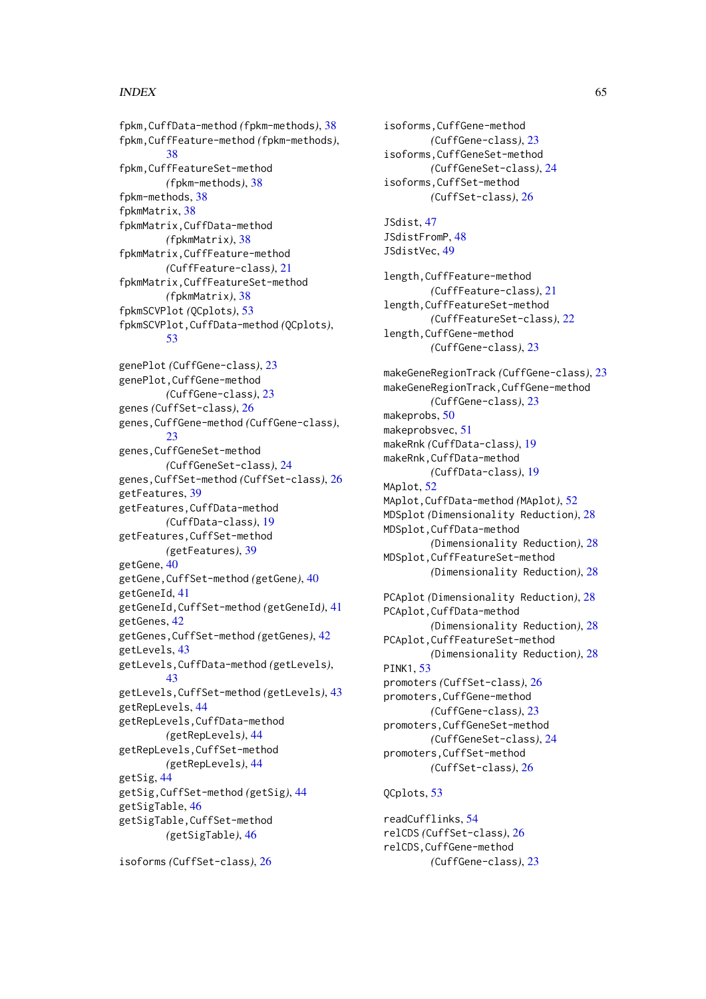#### INDEX 65

fpkm,CuffData-method *(*fpkm-methods*)*, [38](#page-37-0) fpkm,CuffFeature-method *(*fpkm-methods*)*, [38](#page-37-0) fpkm,CuffFeatureSet-method *(*fpkm-methods*)*, [38](#page-37-0) fpkm-methods, [38](#page-37-0) fpkmMatrix, [38](#page-37-0) fpkmMatrix,CuffData-method *(*fpkmMatrix*)*, [38](#page-37-0) fpkmMatrix,CuffFeature-method *(*CuffFeature-class*)*, [21](#page-20-0) fpkmMatrix,CuffFeatureSet-method *(*fpkmMatrix*)*, [38](#page-37-0) fpkmSCVPlot *(*QCplots*)*, [53](#page-52-0) fpkmSCVPlot,CuffData-method *(*QCplots*)*, [53](#page-52-0) genePlot *(*CuffGene-class*)*, [23](#page-22-0) genePlot,CuffGene-method *(*CuffGene-class*)*, [23](#page-22-0) genes *(*CuffSet-class*)*, [26](#page-25-0) genes,CuffGene-method *(*CuffGene-class*)*, [23](#page-22-0) genes,CuffGeneSet-method *(*CuffGeneSet-class*)*, [24](#page-23-0) genes,CuffSet-method *(*CuffSet-class*)*, [26](#page-25-0) getFeatures, [39](#page-38-0) getFeatures,CuffData-method *(*CuffData-class*)*, [19](#page-18-0) getFeatures,CuffSet-method *(*getFeatures*)*, [39](#page-38-0) getGene, [40](#page-39-0) getGene,CuffSet-method *(*getGene*)*, [40](#page-39-0) getGeneId, [41](#page-40-0) getGeneId,CuffSet-method *(*getGeneId*)*, [41](#page-40-0) getGenes, [42](#page-41-0) getGenes,CuffSet-method *(*getGenes*)*, [42](#page-41-0) getLevels, [43](#page-42-0) getLevels,CuffData-method *(*getLevels*)*, [43](#page-42-0) getLevels,CuffSet-method *(*getLevels*)*, [43](#page-42-0) getRepLevels, [44](#page-43-0) getRepLevels,CuffData-method *(*getRepLevels*)*, [44](#page-43-0) getRepLevels,CuffSet-method *(*getRepLevels*)*, [44](#page-43-0) getSig, [44](#page-43-0) getSig,CuffSet-method *(*getSig*)*, [44](#page-43-0) getSigTable, [46](#page-45-0) getSigTable,CuffSet-method *(*getSigTable*)*, [46](#page-45-0)

isoforms *(*CuffSet-class*)*, [26](#page-25-0)

isoforms,CuffGene-method *(*CuffGene-class*)*, [23](#page-22-0) isoforms,CuffGeneSet-method *(*CuffGeneSet-class*)*, [24](#page-23-0) isoforms,CuffSet-method *(*CuffSet-class*)*, [26](#page-25-0) JSdist, [47](#page-46-0) JSdistFromP, [48](#page-47-0) JSdistVec, [49](#page-48-0) length,CuffFeature-method *(*CuffFeature-class*)*, [21](#page-20-0) length,CuffFeatureSet-method *(*CuffFeatureSet-class*)*, [22](#page-21-0) length,CuffGene-method *(*CuffGene-class*)*, [23](#page-22-0) makeGeneRegionTrack *(*CuffGene-class*)*, [23](#page-22-0) makeGeneRegionTrack,CuffGene-method *(*CuffGene-class*)*, [23](#page-22-0) makeprobs, [50](#page-49-0) makeprobsvec, [51](#page-50-0) makeRnk *(*CuffData-class*)*, [19](#page-18-0) makeRnk,CuffData-method *(*CuffData-class*)*, [19](#page-18-0) MAplot, [52](#page-51-0) MAplot,CuffData-method *(*MAplot*)*, [52](#page-51-0) MDSplot *(*Dimensionality Reduction*)*, [28](#page-27-0) MDSplot,CuffData-method *(*Dimensionality Reduction*)*, [28](#page-27-0) MDSplot,CuffFeatureSet-method *(*Dimensionality Reduction*)*, [28](#page-27-0) PCAplot *(*Dimensionality Reduction*)*, [28](#page-27-0) PCAplot,CuffData-method *(*Dimensionality Reduction*)*, [28](#page-27-0) PCAplot,CuffFeatureSet-method *(*Dimensionality Reduction*)*, [28](#page-27-0) PINK1, [53](#page-52-0) promoters *(*CuffSet-class*)*, [26](#page-25-0) promoters,CuffGene-method *(*CuffGene-class*)*, [23](#page-22-0) promoters,CuffGeneSet-method *(*CuffGeneSet-class*)*, [24](#page-23-0) promoters,CuffSet-method *(*CuffSet-class*)*, [26](#page-25-0) QCplots, [53](#page-52-0) readCufflinks, [54](#page-53-0)

relCDS *(*CuffSet-class*)*, [26](#page-25-0) relCDS,CuffGene-method *(*CuffGene-class*)*, [23](#page-22-0)